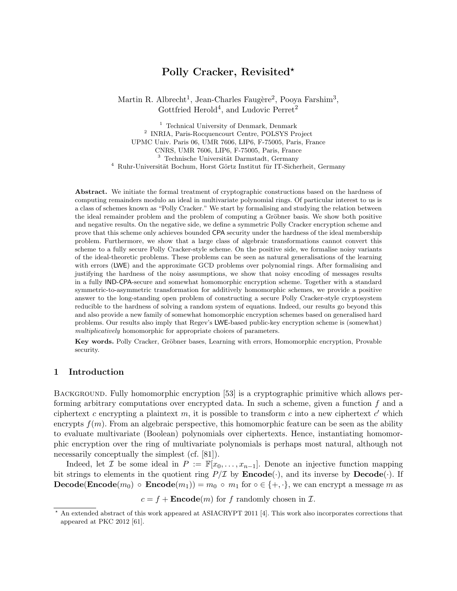# Polly Cracker, Revisited\*

Martin R. Albrecht<sup>1</sup>, Jean-Charles Faugère<sup>2</sup>, Pooya Farshim<sup>3</sup>, Gottfried Herold<sup>4</sup>, and Ludovic Perret<sup>2</sup>

<sup>1</sup> Technical University of Denmark, Denmark 2 INRIA, Paris-Rocquencourt Centre, POLSYS Project UPMC Univ. Paris 06, UMR 7606, LIP6, F-75005, Paris, France CNRS, UMR 7606, LIP6, F-75005, Paris, France  $3$  Technische Universität Darmstadt, Germany <sup>4</sup> Ruhr-Universität Bochum, Horst Görtz Institut für IT-Sicherheit, Germany

Abstract. We initiate the formal treatment of cryptographic constructions based on the hardness of computing remainders modulo an ideal in multivariate polynomial rings. Of particular interest to us is a class of schemes known as "Polly Cracker." We start by formalising and studying the relation between the ideal remainder problem and the problem of computing a Gröbner basis. We show both positive and negative results. On the negative side, we define a symmetric Polly Cracker encryption scheme and prove that this scheme only achieves bounded CPA security under the hardness of the ideal membership problem. Furthermore, we show that a large class of algebraic transformations cannot convert this scheme to a fully secure Polly Cracker-style scheme. On the positive side, we formalise noisy variants of the ideal-theoretic problems. These problems can be seen as natural generalisations of the learning with errors (LWE) and the approximate GCD problems over polynomial rings. After formalising and justifying the hardness of the noisy assumptions, we show that noisy encoding of messages results in a fully IND-CPA-secure and somewhat homomorphic encryption scheme. Together with a standard symmetric-to-asymmetric transformation for additively homomorphic schemes, we provide a positive answer to the long-standing open problem of constructing a secure Polly Cracker-style cryptosystem reducible to the hardness of solving a random system of equations. Indeed, our results go beyond this and also provide a new family of somewhat homomorphic encryption schemes based on generalised hard problems. Our results also imply that Regev's LWE-based public-key encryption scheme is (somewhat) multiplicatively homomorphic for appropriate choices of parameters.

Key words. Polly Cracker, Gröbner bases, Learning with errors, Homomorphic encryption, Provable security.

# 1 Introduction

BACKGROUND. Fully homomorphic encryption [53] is a cryptographic primitive which allows performing arbitrary computations over encrypted data. In such a scheme, given a function f and a ciphertext c encrypting a plaintext m, it is possible to transform c into a new ciphertext  $c'$  which encrypts  $f(m)$ . From an algebraic perspective, this homomorphic feature can be seen as the ability to evaluate multivariate (Boolean) polynomials over ciphertexts. Hence, instantiating homomorphic encryption over the ring of multivariate polynomials is perhaps most natural, although not necessarily conceptually the simplest (cf. [81]).

Indeed, let *I* be some ideal in  $P := \mathbb{F}[x_0, \ldots, x_{n-1}]$ . Denote an injective function mapping bit strings to elements in the quotient ring  $P/\mathcal{I}$  by **Encode**(·), and its inverse by **Decode**(·). If **Decode(Encode** $(m_0) \circ$ **Encode** $(m_1)$ ) =  $m_0 \circ m_1$  for  $\circ \in \{+, \cdot\}$ , we can encrypt a message m as

 $c = f + \textbf{Encode}(m)$  for f randomly chosen in  $\mathcal{I}$ .

<sup>?</sup> An extended abstract of this work appeared at ASIACRYPT 2011 [4]. This work also incorporates corrections that appeared at PKC 2012 [61].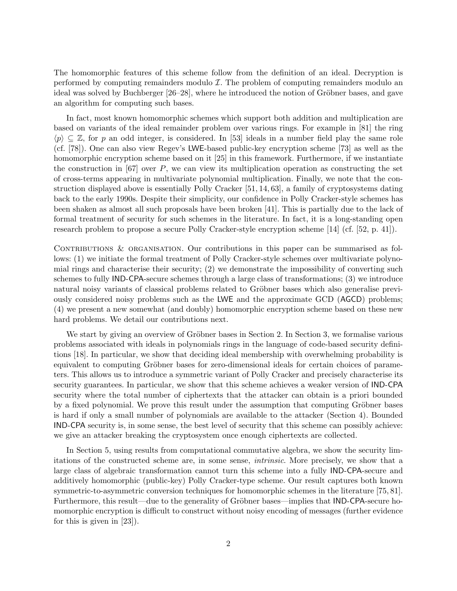The homomorphic features of this scheme follow from the definition of an ideal. Decryption is performed by computing remainders modulo  $\mathcal I$ . The problem of computing remainders modulo an ideal was solved by Buchberger [26–28], where he introduced the notion of Gröbner bases, and gave an algorithm for computing such bases.

In fact, most known homomorphic schemes which support both addition and multiplication are based on variants of the ideal remainder problem over various rings. For example in [81] the ring  $\langle p \rangle \subseteq \mathbb{Z}$ , for p an odd integer, is considered. In [53] ideals in a number field play the same role (cf. [78]). One can also view Regev's LWE-based public-key encryption scheme [73] as well as the homomorphic encryption scheme based on it [25] in this framework. Furthermore, if we instantiate the construction in  $[67]$  over P, we can view its multiplication operation as constructing the set of cross-terms appearing in multivariate polynomial multiplication. Finally, we note that the construction displayed above is essentially Polly Cracker [51, 14, 63], a family of cryptosystems dating back to the early 1990s. Despite their simplicity, our confidence in Polly Cracker-style schemes has been shaken as almost all such proposals have been broken [41]. This is partially due to the lack of formal treatment of security for such schemes in the literature. In fact, it is a long-standing open research problem to propose a secure Polly Cracker-style encryption scheme [14] (cf. [52, p. 41]).

CONTRIBUTIONS & ORGANISATION. Our contributions in this paper can be summarised as follows: (1) we initiate the formal treatment of Polly Cracker-style schemes over multivariate polynomial rings and characterise their security; (2) we demonstrate the impossibility of converting such schemes to fully IND-CPA-secure schemes through a large class of transformations; (3) we introduce natural noisy variants of classical problems related to Gröbner bases which also generalise previously considered noisy problems such as the LWE and the approximate GCD (AGCD) problems; (4) we present a new somewhat (and doubly) homomorphic encryption scheme based on these new hard problems. We detail our contributions next.

We start by giving an overview of Gröbner bases in Section 2. In Section 3, we formalise various problems associated with ideals in polynomials rings in the language of code-based security definitions [18]. In particular, we show that deciding ideal membership with overwhelming probability is equivalent to computing Gröbner bases for zero-dimensional ideals for certain choices of parameters. This allows us to introduce a symmetric variant of Polly Cracker and precisely characterise its security guarantees. In particular, we show that this scheme achieves a weaker version of IND-CPA security where the total number of ciphertexts that the attacker can obtain is a priori bounded by a fixed polynomial. We prove this result under the assumption that computing Gröbner bases is hard if only a small number of polynomials are available to the attacker (Section 4). Bounded IND-CPA security is, in some sense, the best level of security that this scheme can possibly achieve: we give an attacker breaking the cryptosystem once enough ciphertexts are collected.

In Section 5, using results from computational commutative algebra, we show the security limitations of the constructed scheme are, in some sense, intrinsic. More precisely, we show that a large class of algebraic transformation cannot turn this scheme into a fully IND-CPA-secure and additively homomorphic (public-key) Polly Cracker-type scheme. Our result captures both known symmetric-to-asymmetric conversion techniques for homomorphic schemes in the literature [75, 81]. Furthermore, this result—due to the generality of Gröbner bases—implies that **IND-CPA**-secure homomorphic encryption is difficult to construct without noisy encoding of messages (further evidence for this is given in [23]).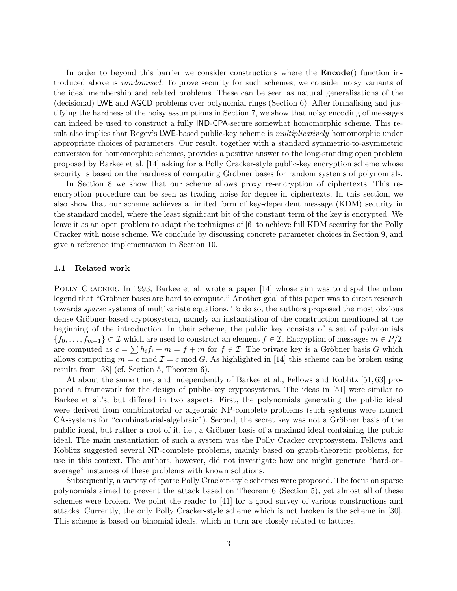In order to beyond this barrier we consider constructions where the  $\text{Encode}()$  function introduced above is randomised. To prove security for such schemes, we consider noisy variants of the ideal membership and related problems. These can be seen as natural generalisations of the (decisional) LWE and AGCD problems over polynomial rings (Section 6). After formalising and justifying the hardness of the noisy assumptions in Section 7, we show that noisy encoding of messages can indeed be used to construct a fully IND-CPA-secure somewhat homomorphic scheme. This result also implies that Regev's LWE-based public-key scheme is *multiplicatively* homomorphic under appropriate choices of parameters. Our result, together with a standard symmetric-to-asymmetric conversion for homomorphic schemes, provides a positive answer to the long-standing open problem proposed by Barkee et al. [14] asking for a Polly Cracker-style public-key encryption scheme whose security is based on the hardness of computing Gröbner bases for random systems of polynomials.

In Section 8 we show that our scheme allows proxy re-encryption of ciphertexts. This reencryption procedure can be seen as trading noise for degree in ciphertexts. In this section, we also show that our scheme achieves a limited form of key-dependent message (KDM) security in the standard model, where the least significant bit of the constant term of the key is encrypted. We leave it as an open problem to adapt the techniques of [6] to achieve full KDM security for the Polly Cracker with noise scheme. We conclude by discussing concrete parameter choices in Section 9, and give a reference implementation in Section 10.

#### 1.1 Related work

POLLY CRACKER. In 1993, Barkee et al. wrote a paper [14] whose aim was to dispel the urban legend that "Gröbner bases are hard to compute." Another goal of this paper was to direct research towards sparse systems of multivariate equations. To do so, the authors proposed the most obvious dense Gröbner-based cryptosystem, namely an instantiation of the construction mentioned at the beginning of the introduction. In their scheme, the public key consists of a set of polynomials  ${f_0,\ldots,f_{m-1}}\subset\mathcal{I}$  which are used to construct an element  $f\in\mathcal{I}$ . Encryption of messages  $m\in P/\mathcal{I}$ are computed as  $c = \sum h_i f_i + m = f + m$  for  $f \in \mathcal{I}$ . The private key is a Gröbner basis G which allows computing  $m = c \mod \mathcal{I} = c \mod G$ . As highlighted in [14] this scheme can be broken using results from [38] (cf. Section 5, Theorem 6).

At about the same time, and independently of Barkee et al., Fellows and Koblitz [51, 63] proposed a framework for the design of public-key cryptosystems. The ideas in [51] were similar to Barkee et al.'s, but differed in two aspects. First, the polynomials generating the public ideal were derived from combinatorial or algebraic NP-complete problems (such systems were named CA-systems for "combinatorial-algebraic"). Second, the secret key was not a Gröbner basis of the public ideal, but rather a root of it, i.e., a Gröbner basis of a maximal ideal containing the public ideal. The main instantiation of such a system was the Polly Cracker cryptosystem. Fellows and Koblitz suggested several NP-complete problems, mainly based on graph-theoretic problems, for use in this context. The authors, however, did not investigate how one might generate "hard-onaverage" instances of these problems with known solutions.

Subsequently, a variety of sparse Polly Cracker-style schemes were proposed. The focus on sparse polynomials aimed to prevent the attack based on Theorem 6 (Section 5), yet almost all of these schemes were broken. We point the reader to [41] for a good survey of various constructions and attacks. Currently, the only Polly Cracker-style scheme which is not broken is the scheme in [30]. This scheme is based on binomial ideals, which in turn are closely related to lattices.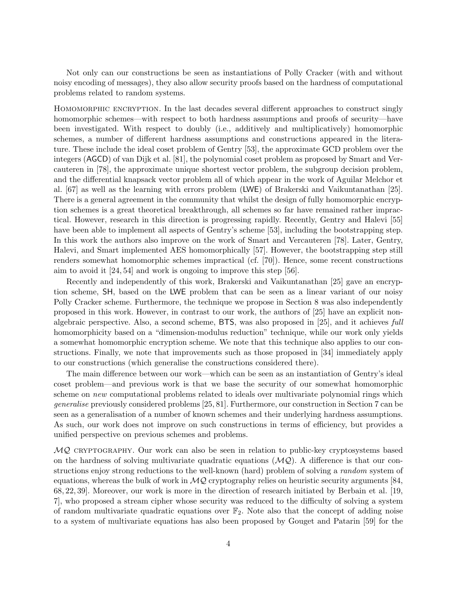Not only can our constructions be seen as instantiations of Polly Cracker (with and without noisy encoding of messages), they also allow security proofs based on the hardness of computational problems related to random systems.

HOMOMORPHIC ENCRYPTION. In the last decades several different approaches to construct singly homomorphic schemes—with respect to both hardness assumptions and proofs of security—have been investigated. With respect to doubly (i.e., additively and multiplicatively) homomorphic schemes, a number of different hardness assumptions and constructions appeared in the literature. These include the ideal coset problem of Gentry [53], the approximate GCD problem over the integers (AGCD) of van Dijk et al. [81], the polynomial coset problem as proposed by Smart and Vercauteren in [78], the approximate unique shortest vector problem, the subgroup decision problem, and the differential knapsack vector problem all of which appear in the work of Aguilar Melchor et al. [67] as well as the learning with errors problem (LWE) of Brakerski and Vaikuntanathan [25]. There is a general agreement in the community that whilst the design of fully homomorphic encryption schemes is a great theoretical breakthrough, all schemes so far have remained rather impractical. However, research in this direction is progressing rapidly. Recently, Gentry and Halevi [55] have been able to implement all aspects of Gentry's scheme [53], including the bootstrapping step. In this work the authors also improve on the work of Smart and Vercauteren [78]. Later, Gentry, Halevi, and Smart implemented AES homomorphically [57]. However, the bootstrapping step still renders somewhat homomorphic schemes impractical (cf. [70]). Hence, some recent constructions aim to avoid it [24, 54] and work is ongoing to improve this step [56].

Recently and independently of this work, Brakerski and Vaikuntanathan [25] gave an encryption scheme, SH, based on the LWE problem that can be seen as a linear variant of our noisy Polly Cracker scheme. Furthermore, the technique we propose in Section 8 was also independently proposed in this work. However, in contrast to our work, the authors of [25] have an explicit nonalgebraic perspective. Also, a second scheme, BTS, was also proposed in [25], and it achieves full homomorphicity based on a "dimension-modulus reduction" technique, while our work only yields a somewhat homomorphic encryption scheme. We note that this technique also applies to our constructions. Finally, we note that improvements such as those proposed in [34] immediately apply to our constructions (which generalise the constructions considered there).

The main difference between our work—which can be seen as an instantiation of Gentry's ideal coset problem—and previous work is that we base the security of our somewhat homomorphic scheme on *new* computational problems related to ideals over multivariate polynomial rings which generalise previously considered problems [25, 81]. Furthermore, our construction in Section 7 can be seen as a generalisation of a number of known schemes and their underlying hardness assumptions. As such, our work does not improve on such constructions in terms of efficiency, but provides a unified perspective on previous schemes and problems.

 $MQ$  cryptography. Our work can also be seen in relation to public-key cryptosystems based on the hardness of solving multivariate quadratic equations  $(MQ)$ . A difference is that our constructions enjoy strong reductions to the well-known (hard) problem of solving a *random* system of equations, whereas the bulk of work in  $MQ$  cryptography relies on heuristic security arguments [84, 68, 22, 39]. Moreover, our work is more in the direction of research initiated by Berbain et al. [19, 7], who proposed a stream cipher whose security was reduced to the difficulty of solving a system of random multivariate quadratic equations over  $\mathbb{F}_2$ . Note also that the concept of adding noise to a system of multivariate equations has also been proposed by Gouget and Patarin [59] for the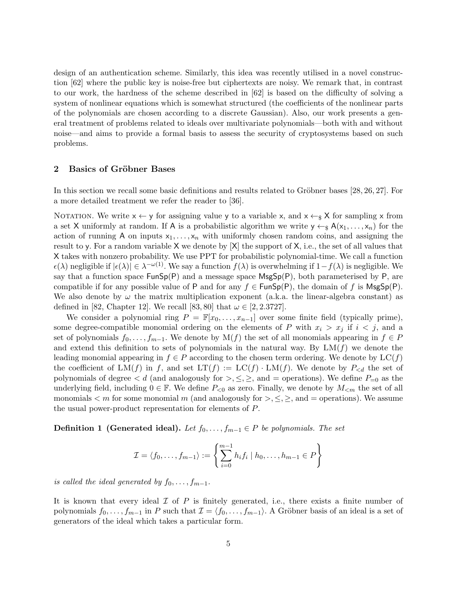design of an authentication scheme. Similarly, this idea was recently utilised in a novel construction [62] where the public key is noise-free but ciphertexts are noisy. We remark that, in contrast to our work, the hardness of the scheme described in [62] is based on the difficulty of solving a system of nonlinear equations which is somewhat structured (the coefficients of the nonlinear parts of the polynomials are chosen according to a discrete Gaussian). Also, our work presents a general treatment of problems related to ideals over multivariate polynomials—both with and without noise—and aims to provide a formal basis to assess the security of cryptosystems based on such problems.

## 2 Basics of Gröbner Bases

In this section we recall some basic definitions and results related to Gröbner bases  $[28, 26, 27]$ . For a more detailed treatment we refer the reader to [36].

NOTATION. We write  $x \leftarrow y$  for assigning value y to a variable x, and  $x \leftarrow y X$  for sampling x from a set X uniformly at random. If A is a probabilistic algorithm we write  $y \leftarrow_s A(x_1, \ldots, x_n)$  for the action of running A on inputs  $x_1, \ldots, x_n$  with uniformly chosen random coins, and assigning the result to y. For a random variable  $X$  we denote by  $[X]$  the support of  $X$ , i.e., the set of all values that X takes with nonzero probability. We use PPT for probabilistic polynomial-time. We call a function  $\epsilon(\lambda)$  negligible if  $|\epsilon(\lambda)| \in \lambda^{-\omega(1)}$ . We say a function  $f(\lambda)$  is overwhelming if  $1-f(\lambda)$  is negligible. We say that a function space  $\text{FunSp}(P)$  and a message space  $\text{MsgSp}(P)$ , both parameterised by P, are compatible if for any possible value of P and for any  $f \in \text{FunSp}(P)$ , the domain of f is  $\text{MsgSp}(P)$ . We also denote by  $\omega$  the matrix multiplication exponent (a.k.a. the linear-algebra constant) as defined in [82, Chapter 12]. We recall [83, 80] that  $\omega \in [2, 2.3727]$ .

We consider a polynomial ring  $P = \mathbb{F}[x_0, \ldots, x_{n-1}]$  over some finite field (typically prime), some degree-compatible monomial ordering on the elements of P with  $x_i > x_j$  if  $i < j$ , and a set of polynomials  $f_0, \ldots, f_{m-1}$ . We denote by  $M(f)$  the set of all monomials appearing in  $f \in P$ and extend this definition to sets of polynomials in the natural way. By  $LM(f)$  we denote the leading monomial appearing in  $f \in P$  according to the chosen term ordering. We denote by  $LC(f)$ the coefficient of  $LM(f)$  in f, and set  $LT(f) := LC(f) \cdot LM(f)$ . We denote by  $P_{< d}$  the set of polynomials of degree  $\lt d$  (and analogously for  $\gt, \leq, \geq$ , and = operations). We define  $P_{=0}$  as the underlying field, including  $0 \in \mathbb{F}$ . We define  $P_{\leq 0}$  as zero. Finally, we denote by  $M_{\leq m}$  the set of all monomials  $\lt m$  for some monomial m (and analogously for  $\gt, \leq, \geq$ , and = operations). We assume the usual power-product representation for elements of P.

**Definition 1 (Generated ideal).** Let  $f_0, \ldots, f_{m-1} \in P$  be polynomials. The set

$$
\mathcal{I} = \langle f_0, \dots, f_{m-1} \rangle := \left\{ \sum_{i=0}^{m-1} h_i f_i \mid h_0, \dots, h_{m-1} \in P \right\}
$$

is called the ideal generated by  $f_0, \ldots, f_{m-1}$ .

It is known that every ideal  $\mathcal I$  of  $P$  is finitely generated, i.e., there exists a finite number of polynomials  $f_0, \ldots, f_{m-1}$  in P such that  $\mathcal{I} = \langle f_0, \ldots, f_{m-1} \rangle$ . A Gröbner basis of an ideal is a set of generators of the ideal which takes a particular form.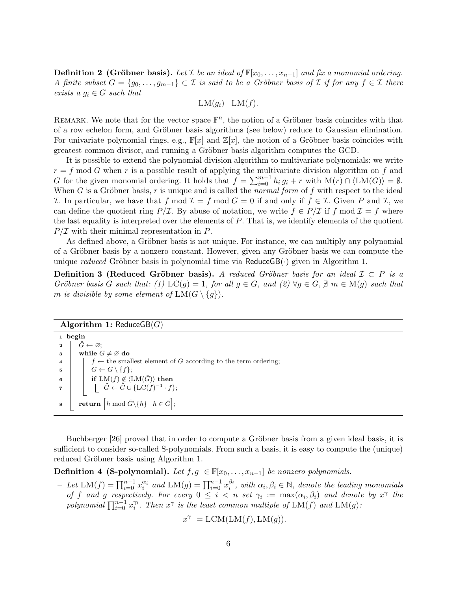**Definition 2 (Gröbner basis).** Let  $\mathcal{I}$  be an ideal of  $\mathbb{F}[x_0, \ldots, x_{n-1}]$  and fix a monomial ordering. A finite subset  $G = \{g_0, \ldots, g_{m-1}\} \subset \mathcal{I}$  is said to be a Gröbner basis of  $\mathcal{I}$  if for any  $f \in \mathcal{I}$  there exists a  $g_i \in G$  such that

$$
LM(g_i) | LM(f).
$$

REMARK. We note that for the vector space  $\mathbb{F}^n$ , the notion of a Gröbner basis coincides with that of a row echelon form, and Gröbner basis algorithms (see below) reduce to Gaussian elimination. For univariate polynomial rings, e.g.,  $\mathbb{F}[x]$  and  $\mathbb{Z}[x]$ , the notion of a Gröbner basis coincides with greatest common divisor, and running a Gröbner basis algorithm computes the GCD.

It is possible to extend the polynomial division algorithm to multivariate polynomials: we write  $r = f \mod G$  when r is a possible result of applying the multivariate division algorithm on f and G for the given monomial ordering. It holds that  $f = \sum_{i=0}^{m-1} h_i g_i + r$  with  $M(r) \cap \langle LM(G) \rangle = \emptyset$ . When G is a Gröbner basis, r is unique and is called the normal form of f with respect to the ideal I. In particular, we have that f mod  $\mathcal{I} = f \mod G = 0$  if and only if  $f \in \mathcal{I}$ . Given P and I, we can define the quotient ring P/I. By abuse of notation, we write  $f \in P/\mathcal{I}$  if f mod  $\mathcal{I} = f$  where the last equality is interpreted over the elements of P. That is, we identify elements of the quotient  $P/\mathcal{I}$  with their minimal representation in P.

As defined above, a Gröbner basis is not unique. For instance, we can multiply any polynomial of a Gröbner basis by a nonzero constant. However, given any Gröbner basis we can compute the unique *reduced* Gröbner basis in polynomial time via  $\text{ReduceGB}(\cdot)$  given in Algorithm 1.

**Definition 3 (Reduced Gröbner basis).** A reduced Gröbner basis for an ideal  $\mathcal{I} \subset P$  is a Gröbner basis G such that: (1)  $LC(q) = 1$ , for all  $q \in G$ , and (2)  $\forall q \in G$ ,  $\not\exists m \in M(q)$  such that m is divisible by some element of  $LM(G \setminus \{g\})$ .

|                         | Algorithm 1: Reduce $GB(G)$                                                                                                                                                                                             |  |  |
|-------------------------|-------------------------------------------------------------------------------------------------------------------------------------------------------------------------------------------------------------------------|--|--|
|                         | begin                                                                                                                                                                                                                   |  |  |
| $\mathbf{2}$            | $\tilde{G} \leftarrow \varnothing;$                                                                                                                                                                                     |  |  |
| $\overline{\mathbf{3}}$ | while $G \neq \emptyset$ do                                                                                                                                                                                             |  |  |
| $\overline{4}$          | $f \leftarrow$ the smallest element of G according to the term ordering;                                                                                                                                                |  |  |
| 5                       | $G \leftarrow G \setminus \{f\};$                                                                                                                                                                                       |  |  |
| 6                       |                                                                                                                                                                                                                         |  |  |
| $\overline{7}$          | $\left \begin{array}{c} \textbf{ if } \mathrm{LM}(f)\not\in \langle \mathrm{LM}(\tilde{G}) \rangle \textbf{ then}\\ \mid\quad \tilde{G} \leftarrow \tilde{G} \cup \{ \mathrm{LC}(f)^{-1}\cdot f \}; \end{array}\right.$ |  |  |
| 8                       | <b>return</b> $\left[h \mod \tilde{G}\backslash\{h\} \mid h \in \tilde{G}\right];$                                                                                                                                      |  |  |

Buchberger [26] proved that in order to compute a Gröbner basis from a given ideal basis, it is sufficient to consider so-called S-polynomials. From such a basis, it is easy to compute the (unique) reduced Gröbner basis using Algorithm 1.

**Definition 4 (S-polynomial).** Let  $f, g \in \mathbb{F}[x_0, \ldots, x_{n-1}]$  be nonzero polynomials.

 $−$  Let LM(f) =  $\prod_{i=0}^{n-1} x_i^{\alpha_i}$  and LM(g) =  $\prod_{i=0}^{n-1} x_i^{\beta_i}$ , with  $\alpha_i, \beta_i \in \mathbb{N}$ , denote the leading monomials of f and g respectively. For every  $0 \leq i < n$  set  $\gamma_i := \max(\alpha_i, \beta_i)$  and denote by  $x^{\gamma}$  the polynomial  $\prod_{i=0}^{n-1} x_i^{\gamma_i}$ . Then  $x^{\gamma}$  is the least common multiple of  $LM(f)$  and  $LM(g)$ :

$$
x^{\gamma} = \text{LCM}(\text{LM}(f), \text{LM}(g)).
$$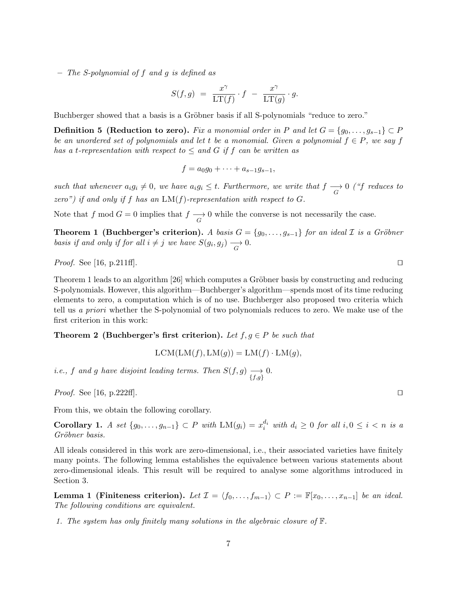– The S-polynomial of f and g is defined as

$$
S(f,g) = \frac{x^{\gamma}}{\mathop{\rm LT}(f)} \cdot f - \frac{x^{\gamma}}{\mathop{\rm LT}(g)} \cdot g.
$$

Buchberger showed that a basis is a Gröbner basis if all S-polynomials "reduce to zero."

**Definition 5** (Reduction to zero). Fix a monomial order in P and let  $G = \{g_0, \ldots, g_{s-1}\} \subset P$ be an unordered set of polynomials and let t be a monomial. Given a polynomial  $f \in P$ , we say f has a t-representation with respect to  $\leq$  and G if f can be written as

$$
f = a_0 g_0 + \dots + a_{s-1} g_{s-1},
$$

such that whenever  $a_i g_i \neq 0$ , we have  $a_i g_i \leq t$ . Furthermore, we write that  $f \rightarrow 0$  ("f reduces to zero") if and only if f has an  $LM(f)$ -representation with respect to G.

Note that f mod  $G = 0$  implies that  $f \longrightarrow 0$  while the converse is not necessarily the case.

**Theorem 1 (Buchberger's criterion).** A basis  $G = \{g_0, \ldots, g_{s-1}\}\$  for an ideal  $\mathcal I$  is a Gröbner basis if and only if for all  $i \neq j$  we have  $S(g_i, g_j) \longrightarrow 0$ .

*Proof.* See [16, p.211ff].

Theorem 1 leads to an algorithm [26] which computes a Gröbner basis by constructing and reducing S-polynomials. However, this algorithm—Buchberger's algorithm—spends most of its time reducing elements to zero, a computation which is of no use. Buchberger also proposed two criteria which tell us a priori whether the S-polynomial of two polynomials reduces to zero. We make use of the first criterion in this work:

**Theorem 2 (Buchberger's first criterion).** Let  $f, g \in P$  be such that

 $LCM(LM(f),LM(g)) = LM(f) \cdot LM(g),$ 

*i.e.*, f and g have disjoint leading terms. Then  $S(f,g) \longrightarrow_{\{f,g\}} 0$ .

*Proof.* See [16, p.222ff].

From this, we obtain the following corollary.

**Corollary 1.** A set  $\{g_0, \ldots, g_{n-1}\} \subset P$  with  $LM(g_i) = x_i^{d_i}$  with  $d_i \geq 0$  for all  $i, 0 \leq i < n$  is a Gröbner basis.

All ideals considered in this work are zero-dimensional, i.e., their associated varieties have finitely many points. The following lemma establishes the equivalence between various statements about zero-dimensional ideals. This result will be required to analyse some algorithms introduced in Section 3.

**Lemma 1 (Finiteness criterion).** Let  $\mathcal{I} = \langle f_0, \ldots, f_{m-1} \rangle \subset P := \mathbb{F}[x_0, \ldots, x_{n-1}]$  be an ideal. The following conditions are equivalent.

1. The system has only finitely many solutions in the algebraic closure of  $\mathbb{F}$ .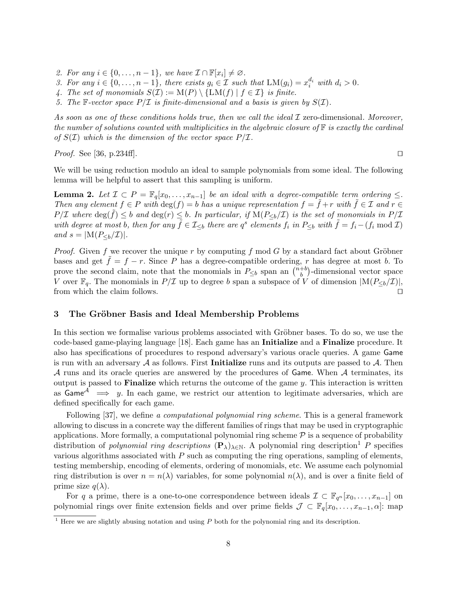- 2. For any  $i \in \{0, \ldots, n-1\}$ , we have  $\mathcal{I} \cap \mathbb{F}[x_i] \neq \emptyset$ .
- 3. For any  $i \in \{0, \ldots, n-1\}$ , there exists  $g_i \in \mathcal{I}$  such that  $LM(g_i) = x_i^{d_i}$  with  $d_i > 0$ .
- 4. The set of monomials  $S(\mathcal{I}) := \mathrm{M}(P) \setminus \{ \mathrm{LM}(f) \mid f \in \mathcal{I} \}$  is finite.
- 5. The F-vector space  $P/\mathcal{I}$  is finite-dimensional and a basis is given by  $S(\mathcal{I})$ .

As soon as one of these conditions holds true, then we call the ideal  $\mathcal I$  zero-dimensional. Moreover, the number of solutions counted with multiplicities in the algebraic closure of  $\mathbb F$  is exactly the cardinal of  $S(\mathcal{I})$  which is the dimension of the vector space  $P/\mathcal{I}$ .

*Proof.* See [36, p.234ff].

We will be using reduction modulo an ideal to sample polynomials from some ideal. The following lemma will be helpful to assert that this sampling is uniform.

**Lemma 2.** Let  $\mathcal{I} \subset P = \mathbb{F}_q[x_0, \ldots, x_{n-1}]$  be an ideal with a degree-compatible term ordering  $\leq$ . Then any element  $f \in P$  with  $\deg(f) = b$  has a unique representation  $f = \tilde{f} + r$  with  $\tilde{f} \in \mathcal{I}$  and  $r \in \mathcal{I}$  $P/\mathcal{I}$  where  $\deg(\tilde{f}) \leq b$  and  $\deg(r) \leq b$ . In particular, if  $M(P_{\leq b}/\mathcal{I})$  is the set of monomials in  $P/\mathcal{I}$ with degree at most b, then for any  $\tilde{f} \in \mathcal{I}_{\leq b}$  there are  $q^s$  elements  $f_i$  in  $P_{\leq b}$  with  $\tilde{f} = f_i - (f_i \mod \mathcal{I})$ and  $s = |M(P_{\leq b}/\mathcal{I})|$ .

*Proof.* Given f we recover the unique r by computing f mod G by a standard fact about Gröbner bases and get  $f = f - r$ . Since P has a degree-compatible ordering, r has degree at most b. To prove the second claim, note that the monomials in  $P_{\leq b}$  span an  $\binom{n+b}{b}$  $b<sub>b</sub><sup>+</sup>$ <sup>b</sup>)-dimensional vector space V over  $\mathbb{F}_q$ . The monomials in  $P/\mathcal{I}$  up to degree b span a subspace of V of dimension  $|M(P_{\leq b}/\mathcal{I})|$ , from which the claim follows.  $\Box$ 

# 3 The Gröbner Basis and Ideal Membership Problems

In this section we formalise various problems associated with Gröbner bases. To do so, we use the code-based game-playing language [18]. Each game has an Initialize and a Finalize procedure. It also has specifications of procedures to respond adversary's various oracle queries. A game Game is run with an adversary  $\mathcal A$  as follows. First **Initialize** runs and its outputs are passed to  $\mathcal A$ . Then  $\mathcal A$  runs and its oracle queries are answered by the procedures of Game. When  $\mathcal A$  terminates, its output is passed to **Finalize** which returns the outcome of the game  $y$ . This interaction is written as Game<sup>A</sup>  $\implies$  y. In each game, we restrict our attention to legitimate adversaries, which are defined specifically for each game.

Following [37], we define a *computational polynomial ring scheme*. This is a general framework allowing to discuss in a concrete way the different families of rings that may be used in cryptographic applications. More formally, a computational polynomial ring scheme  $P$  is a sequence of probability distribution of *polynomial ring descriptions*  $(P_{\lambda})_{\lambda \in \mathbb{N}}$ . A polynomial ring description<sup>1</sup> P specifies various algorithms associated with  $P$  such as computing the ring operations, sampling of elements, testing membership, encoding of elements, ordering of monomials, etc. We assume each polynomial ring distribution is over  $n = n(\lambda)$  variables, for some polynomial  $n(\lambda)$ , and is over a finite field of prime size  $q(\lambda)$ .

For q a prime, there is a one-to-one correspondence between ideals  $\mathcal{I} \subset \mathbb{F}_{q^n}[x_0,\ldots,x_{n-1}]$  on polynomial rings over finite extension fields and over prime fields  $\mathcal{J} \subset \mathbb{F}_q[x_0, \ldots, x_{n-1}, \alpha]$ : map

 $\frac{1}{1}$  Here we are slightly abusing notation and using P both for the polynomial ring and its description.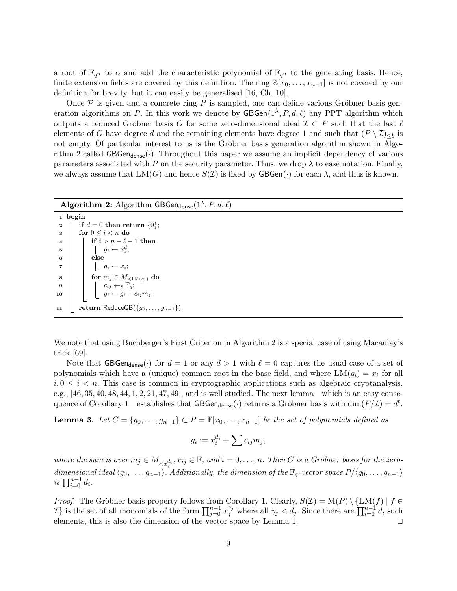a root of  $\mathbb{F}_{q^n}$  to  $\alpha$  and add the characteristic polynomial of  $\mathbb{F}_{q^n}$  to the generating basis. Hence, finite extension fields are covered by this definition. The ring  $\mathbb{Z}[x_0, \ldots, x_{n-1}]$  is not covered by our definition for brevity, but it can easily be generalised [16, Ch. 10].

Once  $\mathcal P$  is given and a concrete ring P is sampled, one can define various Gröbner basis generation algorithms on P. In this work we denote by GBGen $(1^{\lambda}, P, d, \ell)$  any PPT algorithm which outputs a reduced Gröbner basis G for some zero-dimensional ideal  $\mathcal{I} \subset P$  such that the last  $\ell$ elements of G have degree d and the remaining elements have degree 1 and such that  $(P \setminus \mathcal{I})_{\leq b}$  is not empty. Of particular interest to us is the Gröbner basis generation algorithm shown in Algorithm 2 called GBGen<sub>dense</sub>( $\cdot$ ). Throughout this paper we assume an implicit dependency of various parameters associated with P on the security parameter. Thus, we drop  $\lambda$  to ease notation. Finally, we always assume that  $LM(G)$  and hence  $S(\mathcal{I})$  is fixed by GBGen( $\cdot$ ) for each  $\lambda$ , and thus is known.

| <b>Algorithm 2:</b> Algorithm GBGen <sub>dense</sub> $(1^{\lambda}, P, d, \ell)$                                |
|-----------------------------------------------------------------------------------------------------------------|
| 1 begin                                                                                                         |
| if $d=0$ then return $\{0\}$ ;<br>$\mathbf{2}$                                                                  |
| for $0 \leq i \leq n$ do<br>3                                                                                   |
| if $i > n - \ell - 1$ then<br>$\bf{4}$                                                                          |
| $g_i \leftarrow x_i^d;$<br>5                                                                                    |
| else<br>6                                                                                                       |
| $g_i \leftarrow x_i;$<br>$\overline{7}$                                                                         |
| for $m_j \in M_{\leq \text{LM}(g_i)}$ do<br>8                                                                   |
| $\begin{array}{ l} & c_{ij} \leftarrow_{\$} \mathbb{F}_q;\\ & g_i \leftarrow g_i + c_{ij}m_j; \end{array}$<br>9 |
| 10                                                                                                              |
| <b>return</b> ReduceGB( $\{g_0, \ldots, g_{n-1}\}$ );<br>11                                                     |

We note that using Buchberger's First Criterion in Algorithm 2 is a special case of using Macaulay's trick [69].

Note that  $GBSen_{dense}(\cdot)$  for  $d = 1$  or any  $d > 1$  with  $\ell = 0$  captures the usual case of a set of polynomials which have a (unique) common root in the base field, and where  $LM(g_i) = x_i$  for all  $i, 0 \leq i \leq n$ . This case is common in cryptographic applications such as algebraic cryptanalysis, e.g., [46, 35, 40, 48, 44, 1, 2, 21, 47, 49], and is well studied. The next lemma—which is an easy consequence of Corollary 1—establishes that  $\mathsf{GBGen}_{\mathsf{dense}}(\cdot)$  returns a Gröbner basis with  $\dim(P/\mathcal{I}) = d^\ell$ .

**Lemma 3.** Let  $G = \{g_0, \ldots, g_{n-1}\} \subset P = \mathbb{F}[x_0, \ldots, x_{n-1}]$  be the set of polynomials defined as

$$
g_i := x_i^{d_i} + \sum c_{ij} m_j,
$$

where the sum is over  $m_j \in M_{\langle x_i^{d_i}, x_{ij} \in \mathbb{F}, n}$  and  $i = 0, \ldots, n$ . Then G is a Gröbner basis for the zerodimensional ideal  $\langle g_0, \ldots, g_{n-1} \rangle$ . Additionally, the dimension of the  $\mathbb{F}_q$ -vector space  $P/\langle g_0, \ldots, g_{n-1} \rangle$ is  $\prod_{i=0}^{n-1} d_i$ .

*Proof.* The Gröbner basis property follows from Corollary 1. Clearly,  $S(\mathcal{I}) = M(P) \setminus \{LM(f) | f \in$  $\mathcal{I}$  is the set of all monomials of the form  $\prod_{j=0}^{n-1} x_j^{\gamma_j}$  where all  $\gamma_j < d_j$ . Since there are  $\prod_{i=0}^{n-1} d_i$  such elements, this is also the dimension of the vector space by Lemma 1.  $\Box$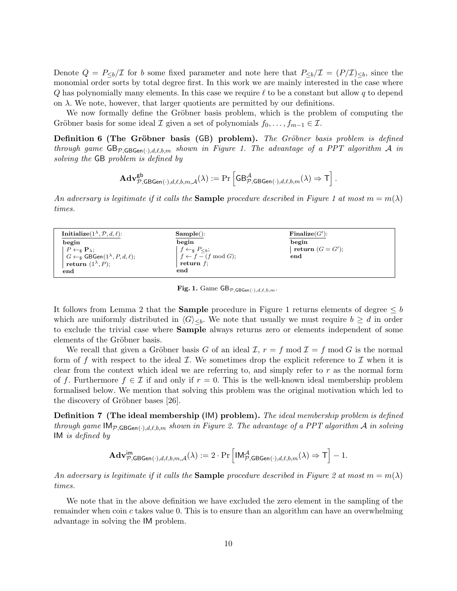Denote  $Q = P_{\leq b}/\mathcal{I}$  for b some fixed parameter and note here that  $P_{\leq b}/\mathcal{I} = (P/\mathcal{I})_{\leq b}$ , since the monomial order sorts by total degree first. In this work we are mainly interested in the case where Q has polynomially many elements. In this case we require  $\ell$  to be a constant but allow q to depend on  $\lambda$ . We note, however, that larger quotients are permitted by our definitions.

We now formally define the Gröbner basis problem, which is the problem of computing the Gröbner basis for some ideal  $\mathcal I$  given a set of polynomials  $f_0, \ldots, f_{m-1} \in \mathcal I$ .

**Definition 6 (The Gröbner basis (GB) problem).** The Gröbner basis problem is defined through game  $\text{GB}_{\mathcal{P},\text{GBGen}(\cdot),d,\ell,b,m}$  shown in Figure 1. The advantage of a PPT algorithm A in solving the GB problem is defined by

$$
\mathbf{Adv}_{\mathcal{P},\mathsf{GBGen}(\cdot),d,\ell,b,m,\mathcal{A}}^{\mathsf{gb}}(\lambda) := \Pr \left[\mathsf{GB}_{\mathcal{P},\mathsf{GBGen}(\cdot),d,\ell,b,m}^{\mathcal{A}}(\lambda) \Rightarrow \mathsf{T} \right].
$$

An adversary is legitimate if it calls the **Sample** procedure described in Figure 1 at most  $m = m(\lambda)$ times.

| Initialize( $1^{\lambda}, \mathcal{P}, d, \ell$ ):           | Sample():                                                         | <b>Finalize</b> $(G')$ : |
|--------------------------------------------------------------|-------------------------------------------------------------------|--------------------------|
| begin                                                        | begin                                                             | begin                    |
| $P \leftarrow_{\mathbb{S}} \mathbf{P}_{\lambda};$            | $f \leftarrow_{\$} P_{\leq b};$<br>$f \leftarrow f - (f \mod G);$ | return $(G = G')$ ;      |
| $G \leftarrow_{\$} \mathsf{GBGen}(1^{\lambda}, P, d, \ell);$ |                                                                   | end                      |
| return $(1^{\lambda}, P)$ ;                                  | return $f$ ;                                                      |                          |
| end                                                          | end                                                               |                          |

Fig. 1. Game  $\mathsf{GB}_{\mathcal{P},\mathsf{GBGen}(\cdot),d,\ell,b,m}$ .

It follows from Lemma 2 that the **Sample** procedure in Figure 1 returns elements of degree  $\leq b$ which are uniformly distributed in  $\langle G \rangle_{\leq b}$ . We note that usually we must require  $b \geq d$  in order to exclude the trivial case where Sample always returns zero or elements independent of some elements of the Gröbner basis.

We recall that given a Gröbner basis G of an ideal  $\mathcal{I}, r = f \mod \mathcal{I} = f \mod G$  is the normal form of f with respect to the ideal  $\mathcal I$ . We sometimes drop the explicit reference to  $\mathcal I$  when it is clear from the context which ideal we are referring to, and simply refer to  $r$  as the normal form of f. Furthermore  $f \in \mathcal{I}$  if and only if  $r = 0$ . This is the well-known ideal membership problem formalised below. We mention that solving this problem was the original motivation which led to the discovery of Gröbner bases [26].

Definition 7 (The ideal membership (IM) problem). The ideal membership problem is defined through game  $\mathsf{IM}_{\mathcal{P},\mathsf{GBGen}(\cdot),d,\ell,b,m}$  shown in Figure 2. The advantage of a PPT algorithm A in solving IM is defined by

$$
\mathbf{Adv}_{\mathcal{P},\mathsf{GBGen}(\cdot),d,\ell,b,m,\mathcal{A}}^{\mathsf{im}}(\lambda) := 2 \cdot \Pr \left[ \mathsf{IM}_{\mathcal{P},\mathsf{GBGen}(\cdot),d,\ell,b,m}^{\mathcal{A}}(\lambda) \Rightarrow \mathsf{T} \right] - 1.
$$

An adversary is legitimate if it calls the **Sample** procedure described in Figure 2 at most  $m = m(\lambda)$ times.

We note that in the above definition we have excluded the zero element in the sampling of the remainder when coin c takes value 0. This is to ensure than an algorithm can have an overwhelming advantage in solving the IM problem.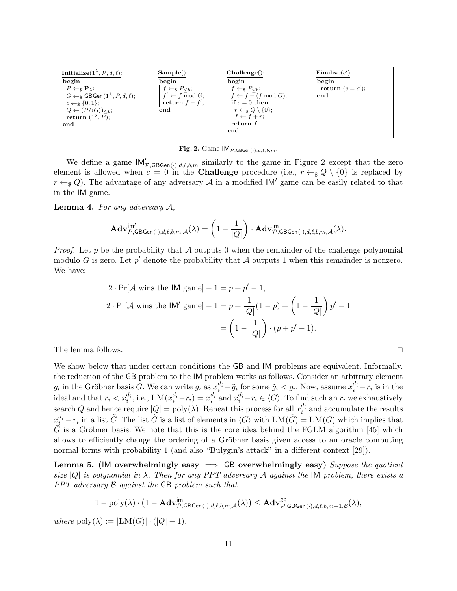| Initialize( $1^{\lambda}, \mathcal{P}, d, \ell$ ):                   | Sample():                                                                                        | $Challenge():$                          | Finalize $(c')$ :   |
|----------------------------------------------------------------------|--------------------------------------------------------------------------------------------------|-----------------------------------------|---------------------|
| begin                                                                | begin                                                                                            | begin                                   | begin               |
| $P \leftarrow_{\S} \mathbf{P}_{\lambda};$                            | $\begin{array}{l} \n\mid f \leftarrow_{\$} P_{\leq b}; \\ f' \leftarrow f \mod G; \n\end{array}$ | $f \leftarrow_{\mathbb{S}} P_{\leq b};$ | return $(c = c')$ ; |
| $G \leftarrow_{\mathsf{s}} \mathsf{GBGen}(1^{\lambda}, P, d, \ell);$ |                                                                                                  | $f \leftarrow f - (f \mod G);$          | end                 |
| $c \leftarrow_s \{0,1\};$                                            | return $f - f'$ ;                                                                                | if $c=0$ then                           |                     |
| $Q \leftarrow (P/\langle G \rangle)_{\leq b};$                       | end                                                                                              | $r \leftarrow_s Q \setminus \{0\};$     |                     |
| return $(1^{\lambda}, P)$ ;                                          |                                                                                                  | $f \leftarrow f + r$ ;                  |                     |
| end                                                                  |                                                                                                  | return $f$ :                            |                     |
|                                                                      |                                                                                                  | end                                     |                     |

Fig. 2. Game  $IM_{\mathcal{P},\text{GBGen}(\cdot),d,\ell,b,m}$ .

We define a game  $IM'_{\mathcal{P},\mathsf{GBGen}(\cdot),d,\ell,b,m}$  similarly to the game in Figure 2 except that the zero element is allowed when  $c = 0$  in the **Challenge** procedure (i.e.,  $r \leftarrow s Q \setminus \{0\}$  is replaced by  $r \leftarrow_{\S} Q$ ). The advantage of any adversary  $\mathcal A$  in a modified IM' game can be easily related to that in the IM game.

**Lemma 4.** For any adversary  $A$ ,

$$
\mathbf{Adv}_{\mathcal{P},\mathsf{GBGen}(\cdot),d,\ell,b,m,\mathcal{A}}^{\mathsf{im}'}(\lambda)=\left(1-\frac{1}{|Q|}\right)\cdot\mathbf{Adv}_{\mathcal{P},\mathsf{GBGen}(\cdot),d,\ell,b,m,\mathcal{A}}^{\mathsf{im}}(\lambda).
$$

*Proof.* Let p be the probability that A outputs 0 when the remainder of the challenge polynomial modulo G is zero. Let  $p'$  denote the probability that A outputs 1 when this remainder is nonzero. We have:

2 · Pr[
$$
\mathcal{A}
$$
 wins the IM game] – 1 =  $p + p' - 1$ ,  
2 · Pr[ $\mathcal{A}$  wins the IM' game] – 1 =  $p + \frac{1}{|Q|}(1 - p) + \left(1 - \frac{1}{|Q|}\right)p' - 1$   
=  $\left(1 - \frac{1}{|Q|}\right) \cdot (p + p' - 1)$ .

The lemma follows.  $\Box$ 

We show below that under certain conditions the GB and IM problems are equivalent. Informally, the reduction of the GB problem to the IM problem works as follows. Consider an arbitrary element  $g_i$  in the Gröbner basis G. We can write  $g_i$  as  $x_i^{d_i} - \tilde{g}_i$  for some  $\tilde{g}_i < g_i$ . Now, assume  $x_i^{d_i} - r_i$  is in the ideal and that  $r_i < x_i^{d_i}$ , i.e.,  $LM(x_i^{d_i} - r_i) = x_i^{d_i}$  and  $x_i^{d_i} - r_i \in \langle G \rangle$ . To find such an  $r_i$  we exhaustively search Q and hence require  $|Q| = \text{poly}(\lambda)$ . Repeat this process for all  $x_i^{d_i}$  and accumulate the results  $x_j^{d_i} - r_i$  in a list  $\tilde{G}$ . The list  $\tilde{G}$  is a list of elements in  $\langle G \rangle$  with  $LM(\tilde{G}) = LM(G)$  which implies that  $\tilde{G}$  is a Gröbner basis. We note that this is the core idea behind the FGLM algorithm [45] which allows to efficiently change the ordering of a Gröbner basis given access to an oracle computing normal forms with probability 1 (and also "Bulygin's attack" in a different context [29]).

Lemma 5. (IM overwhelmingly easy  $\implies$  GB overwhelmingly easy) Suppose the quotient size |Q| is polynomial in  $\lambda$ . Then for any PPT adversary A against the IM problem, there exists a PPT adversary B against the GB problem such that

$$
1-\text{poly}(\lambda)\cdot\big(1-\mathbf{Adv}_{\mathcal{P},\mathsf{GBGen}(\cdot),d,\ell,b,m,\mathcal{A}}^{\text{im}}(\lambda)\big)\leq \mathbf{Adv}_{\mathcal{P},\mathsf{GBGen}(\cdot),d,\ell,b,m+1,\mathcal{B}}^{\text{gb}}(\lambda),
$$

where  $\text{poly}(\lambda) := |\text{LM}(G)| \cdot (|Q| - 1).$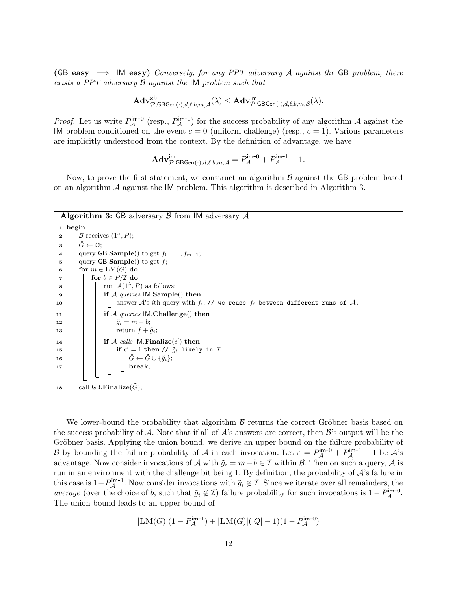(GB easy  $\implies$  IM easy) Conversely, for any PPT adversary A against the GB problem, there exists a PPT adversary B against the IM problem such that

 $\mathbf{Adv}_{\mathcal{P},\mathsf{GBGen}(\cdot),d,\ell,b,m,\mathcal{A}}^{\mathsf{gb}}(\lambda) \leq \mathbf{Adv}_{\mathcal{P},\mathsf{GBGen}(\cdot),d,\ell,b,m,\mathcal{B}}^{\mathsf{im}}(\lambda).$ 

*Proof.* Let us write  $P_{\mathcal{A}}^{\text{im}-0}$  (resp.,  $P_{\mathcal{A}}^{\text{im}-1}$ ) for the success probability of any algorithm  $\mathcal{A}$  against the IM problem conditioned on the event  $c = 0$  (uniform challenge) (resp.,  $c = 1$ ). Various parameters are implicitly understood from the context. By the definition of advantage, we have

$$
\mathbf{Adv}_{\mathcal{P},\mathsf{GBGen}(\cdot),d,\ell,b,m,\mathcal{A}}^{\text{im}} = P_{\mathcal{A}}^{\text{im-0}} + P_{\mathcal{A}}^{\text{im-1}} - 1.
$$

Now, to prove the first statement, we construct an algorithm  $\beta$  against the GB problem based on an algorithm  $\mathcal A$  against the IM problem. This algorithm is described in Algorithm 3.

#### Algorithm 3: GB adversary  $\beta$  from IM adversary  $\mathcal A$

```
1 begin
 2 | B receives (1^{\lambda}, P);
 \mathbf{s} \mid \tilde{G} \leftarrow \varnothing;4 query GB.Sample() to get f_0, \ldots, f_{m-1};
 \mathbf{5} query GB.Sample() to get f;
 6 for m \in LM(G) do
 7 | for b \in P/\mathcal{I} do
 \mathbf{s} | | run \mathcal{A}(1^{\lambda}, P) as follows:
 9 \mid \cdot \cdot \cdot \cdot if A queries IM. Sample() then
10 | | answer A's ith query with f_i; // we reuse f_i between different runs of A.
11 | | if \mathcal A queries M. Challenge() then
12 | \tilde{g}_i = m - b;13 | | | | return f + \tilde{g}_i;
14 \parallel if A calls IM. Finalize(c') then
\begin{array}{|c|c|c|c|c|}\hline \text{15} & & \end{array} \begin{array}{|c|c|c|c|}\hline \text{15} & & \end{array} \begin{array}{|c|c|c|c|}\hline \text{16} & & \end{array} \begin{array}{|c|c|c|c|}\hline \text{16} & & \end{array} \begin{array}{|c|c|c|c|}\hline \text{17} & & \end{array} \begin{array}{|c|c|c|c|}\hline \text{18} & & \end{array} \begin{array}{|c|c|c|c|}\hline \text{17} & & \end{array} \begin{array}{|c|16 G˜ ← G˜ ∪ {g˜i};
17 | | | | break;
18 call GB.Finalize(\tilde{G});
```
We lower-bound the probability that algorithm  $\beta$  returns the correct Gröbner basis based on the success probability of A. Note that if all of  $\mathcal{A}$ 's answers are correct, then  $\mathcal{B}$ 's output will be the Gröbner basis. Applying the union bound, we derive an upper bound on the failure probability of B by bounding the failure probability of A in each invocation. Let  $\varepsilon = P_{\mathcal{A}}^{\text{im-0}} + P_{\mathcal{A}}^{\text{im-1}} - 1$  be  $\mathcal{A}$ 's advantage. Now consider invocations of A with  $\tilde{g}_i = m - b \in \mathcal{I}$  within B. Then on such a query, A is run in an environment with the challenge bit being 1. By definition, the probability of  $\mathcal{A}$ 's failure in this case is  $1-P_{\mathcal{A}}^{\text{im-1}}$ . Now consider invocations with  $\tilde{g}_i \notin \mathcal{I}$ . Since we iterate over all remainders, the average (over the choice of b, such that  $\tilde{g}_i \notin \mathcal{I}$ ) failure probability for such invocations is  $1 - P_{\mathcal{A}}^{\text{im}-0}$ . The union bound leads to an upper bound of

$$
|{\rm LM}(G)|(1-P_{\mathcal{A}}^{\rm im-1})+|{\rm LM}(G)|(|Q|-1)(1-P_{\mathcal{A}}^{\rm im-0})
$$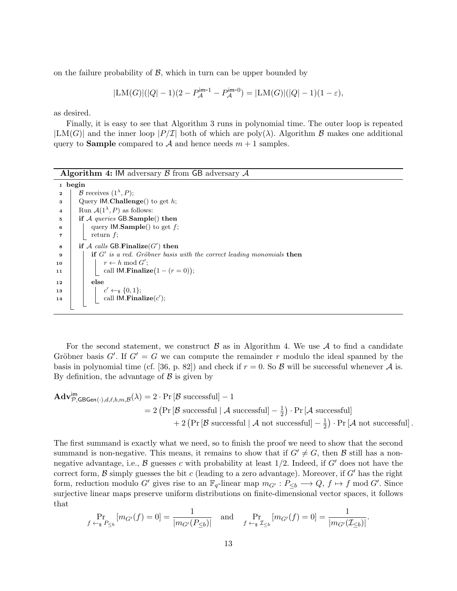on the failure probability of  $\beta$ , which in turn can be upper bounded by

$$
|\text{LM}(G)|(|Q|-1)(2-P_{\mathcal{A}}^{\text{im}-1}-P_{\mathcal{A}}^{\text{im}-0})=|\text{LM}(G)|(|Q|-1)(1-\varepsilon),
$$

as desired.

Finally, it is easy to see that Algorithm 3 runs in polynomial time. The outer loop is repeated  $|LM(G)|$  and the inner loop  $|P/\mathcal{I}|$  both of which are poly( $\lambda$ ). Algorithm B makes one additional query to **Sample** compared to A and hence needs  $m + 1$  samples.

## **Algorithm 4:** IM adversary  $\beta$  from GB adversary  $\mathcal A$

<sup>1</sup> begin 2 | B receives  $(1^{\lambda}, P)$ ;  $\mathbf{3}$  Query IM.Challenge() to get h; 4 Run  $A(1^{\lambda}, P)$  as follows:  $\mathfrak{s}$  if A queries GB.Sample() then  $\mathbf{6}$  | query IM.Sample() to get f;  $\tau$  | return f;  $\, {\bf s} \, \parallel \, \, {\bf if} \, \, \mathcal{A} \, \, calls \, \, \mathsf{GB}.\mathbf{Finalize}(G') \, \, {\bf then}$  $\mathbf{p}$  if G' is a red. Gröbner basis with the correct leading monomials then  $\begin{array}{c|c|c|c|c} \text{10} & & r \leftarrow h \bmod G'; \end{array}$ 11 | call IM. Finalize  $(1 - (r = 0));$  $_{12}$  else <sup>13</sup> c  $c' \leftarrow_{\$} \{0,1\};$ 14 | | call  $\mathsf{IM}.\mathbf{Finalize}(c');$ 

For the second statement, we construct  $\beta$  as in Algorithm 4. We use  $\mathcal A$  to find a candidate Gröbner basis  $G'$ . If  $G' = G$  we can compute the remainder r modulo the ideal spanned by the basis in polynomial time (cf. [36, p. 82]) and check if  $r = 0$ . So B will be successful whenever A is. By definition, the advantage of  $\beta$  is given by

$$
\begin{aligned}\n\mathbf{Adv}_{\mathcal{P},\mathsf{GBGen}(\cdot),d,\ell,b,m,\mathcal{B}}^{\mathsf{im}}(\lambda) &= 2 \cdot \Pr\left[\mathcal{B} \text{ successful}\right] - 1 \\
&= 2 \left(\Pr\left[\mathcal{B} \text{ successful} \mid \mathcal{A} \text{ successful}\right] - \frac{1}{2}\right) \cdot \Pr\left[\mathcal{A} \text{ successful}\right] \\
&\quad + 2 \left(\Pr\left[\mathcal{B} \text{ successful} \mid \mathcal{A} \text{ not successful}\right] - \frac{1}{2}\right) \cdot \Pr\left[\mathcal{A} \text{ not successful}\right].\n\end{aligned}
$$

The first summand is exactly what we need, so to finish the proof we need to show that the second summand is non-negative. This means, it remains to show that if  $G' \neq G$ , then B still has a nonnegative advantage, i.e.,  $\beta$  guesses c with probability at least 1/2. Indeed, if G' does not have the correct form,  $\beta$  simply guesses the bit c (leading to a zero advantage). Moreover, if  $G'$  has the right form, reduction modulo G' gives rise to an  $\mathbb{F}_q$ -linear map  $m_{G'} : P_{\leq b} \longrightarrow Q$ ,  $f \mapsto f \mod G'$ . Since surjective linear maps preserve uniform distributions on finite-dimensional vector spaces, it follows that

$$
\Pr_{f \leftarrow \S} P_{\leq b} [m_{G'}(f) = 0] = \frac{1}{|m_{G'}(P_{\leq b})|} \text{ and } \Pr_{f \leftarrow \S} T_{\leq b} [m_{G'}(f) = 0] = \frac{1}{|m_{G'}(\mathcal{I}_{\leq b})|}.
$$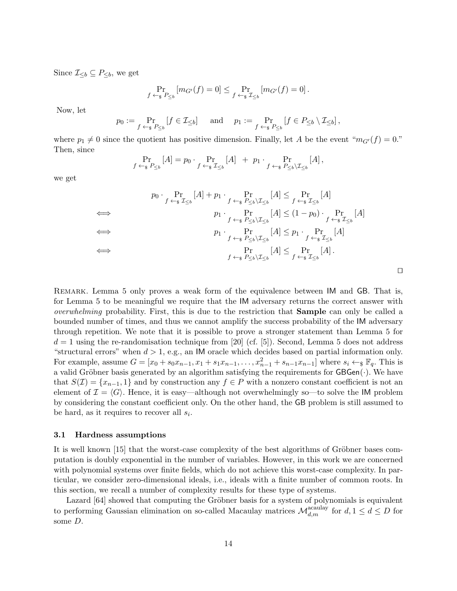Since  $\mathcal{I}_{\leq b} \subseteq P_{\leq b}$ , we get

$$
\Pr_{f \leftarrow_{\$} P_{\leq b}} [m_{G'}(f) = 0] \leq \Pr_{f \leftarrow_{\$} \mathcal{I}_{\leq b}} [m_{G'}(f) = 0].
$$

Now, let

$$
p_0 := \Pr_{f \leftarrow_{\$} P_{\leq b}} [f \in \mathcal{I}_{\leq b}] \quad \text{and} \quad p_1 := \Pr_{f \leftarrow_{\$} P_{\leq b}} [f \in P_{\leq b} \setminus \mathcal{I}_{\leq b}],
$$

where  $p_1 \neq 0$  since the quotient has positive dimension. Finally, let A be the event " $m_{G'}(f) = 0$ ." Then, since

$$
\Pr_{f \leftarrow \S} P_{\leq b} [A] = p_0 \cdot \Pr_{f \leftarrow \S} T_{\leq b} [A] + p_1 \cdot \Pr_{f \leftarrow \S} P_{\leq b} \setminus T_{\leq b} [A],
$$

we get

$$
p_0 \cdot \Pr_{f \leftarrow \S} \Pr_{\mathcal{I}_{\leq b}}[A] + p_1 \cdot \Pr_{f \leftarrow \S} \Pr_{P_{\leq b} \setminus \mathcal{I}_{\leq b}}[A] \leq \Pr_{f \leftarrow \S} \Pr_{\mathcal{I}_{\leq b}}[A]
$$
\n
$$
\iff p_1 \cdot \Pr_{f \leftarrow \S} \Pr_{P_{\leq b} \setminus \mathcal{I}_{\leq b}}[A] \leq (1 - p_0) \cdot \Pr_{f \leftarrow \S} \Pr_{\mathcal{I}_{\leq b}}[A]
$$
\n
$$
\iff p_1 \cdot \Pr_{f \leftarrow \S} \Pr_{P_{\leq b} \setminus \mathcal{I}_{\leq b}}[A] \leq p_1 \cdot \Pr_{f \leftarrow \S} \Pr_{\mathcal{I}_{\leq b}}[A]
$$
\n
$$
\iff \Pr_{f \leftarrow \S} \Pr_{P_{\leq b} \setminus \mathcal{I}_{\leq b}}[A] \leq \Pr_{f \leftarrow \S} \Pr_{\mathcal{I}_{\leq b}}[A].
$$

 $\Box$ 

REMARK. Lemma 5 only proves a weak form of the equivalence between IM and GB. That is, for Lemma 5 to be meaningful we require that the IM adversary returns the correct answer with overwhelming probability. First, this is due to the restriction that Sample can only be called a bounded number of times, and thus we cannot amplify the success probability of the IM adversary through repetition. We note that it is possible to prove a stronger statement than Lemma 5 for  $d = 1$  using the re-randomisation technique from [20] (cf. [5]). Second, Lemma 5 does not address "structural errors" when  $d > 1$ , e.g., an IM oracle which decides based on partial information only. For example, assume  $G = [x_0 + s_0x_{n-1}, x_1 + s_1x_{n-1}, \ldots, x_{n-1}^2 + s_{n-1}x_{n-1}]$  where  $s_i \leftarrow_{\$} \mathbb{F}_q$ . This is a valid Gröbner basis generated by an algorithm satisfying the requirements for  $\mathsf{GBGen}(\cdot)$ . We have that  $S(\mathcal{I}) = \{x_{n-1}, 1\}$  and by construction any  $f \in P$  with a nonzero constant coefficient is not an element of  $\mathcal{I} = \langle G \rangle$ . Hence, it is easy—although not overwhelmingly so—to solve the IM problem by considering the constant coefficient only. On the other hand, the GB problem is still assumed to be hard, as it requires to recover all  $s_i$ .

#### 3.1 Hardness assumptions

It is well known  $[15]$  that the worst-case complexity of the best algorithms of Gröbner bases computation is doubly exponential in the number of variables. However, in this work we are concerned with polynomial systems over finite fields, which do not achieve this worst-case complexity. In particular, we consider zero-dimensional ideals, i.e., ideals with a finite number of common roots. In this section, we recall a number of complexity results for these type of systems.

Lazard [64] showed that computing the Gröbner basis for a system of polynomials is equivalent to performing Gaussian elimination on so-called Macaulay matrices  $\mathcal{M}_{d,m}^{\text{acaulay}}$  for  $d, 1 \leq d \leq D$  for some D.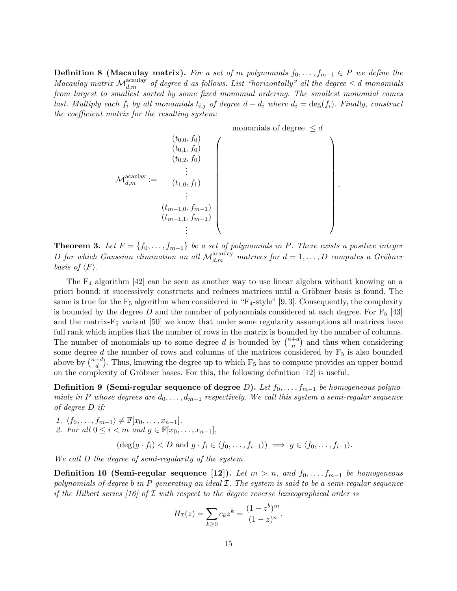**Definition 8 (Macaulay matrix).** For a set of m polynomials  $f_0, \ldots, f_{m-1} \in P$  we define the Macaulay matrix  $\mathcal{M}_{d,m}^{\rm acaulay}$  of degree d as follows. List "horizontally" all the degree  $\leq d$  monomials from largest to smallest sorted by some fixed monomial ordering. The smallest monomial comes last. Multiply each  $f_i$  by all monomials  $t_{i,j}$  of degree  $d - d_i$  where  $d_i = \deg(f_i)$ . Finally, construct the coefficient matrix for the resulting system:

$$
(t_{0,0}, f_0)
$$
monomials of degree  $\leq d$   
\n
$$
(t_{0,1}, f_0)
$$
  
\n
$$
(t_{0,2}, f_0)
$$
  
\n
$$
\vdots
$$
  
\n
$$
(t_{1,0}, f_1)
$$
  
\n
$$
\vdots
$$
  
\n
$$
(t_{m-1,0}, f_{m-1})
$$
  
\n
$$
(t_{m-1,1}, f_{m-1})
$$
  
\n
$$
\vdots
$$

**Theorem 3.** Let  $F = \{f_0, \ldots, f_{m-1}\}\$  be a set of polynomials in P. There exists a positive integer D for which Gaussian elimination on all  $\mathcal{M}_{d,m}^{\rm acaulay}$  matrices for  $d = 1, \ldots, D$  computes a Gröbner basis of  $\langle F \rangle$ .

The  $F_4$  algorithm [42] can be seen as another way to use linear algebra without knowing an a priori bound: it successively constructs and reduces matrices until a Gröbner basis is found. The same is true for the  $F_5$  algorithm when considered in " $F_4$ -style" [9, 3]. Consequently, the complexity is bounded by the degree D and the number of polynomials considered at each degree. For  $F_5$  [43] and the matrix- $F_5$  variant [50] we know that under some regularity assumptions all matrices have full rank which implies that the number of rows in the matrix is bounded by the number of columns. The number of monomials up to some degree d is bounded by  $\binom{n+d}{n}$  $n^{+d}$  and thus when considering some degree d the number of rows and columns of the matrices considered by  $F_5$  is also bounded above by  $\binom{n+d}{d}$  $\binom{+d}{d}$ . Thus, knowing the degree up to which  $F_5$  has to compute provides an upper bound on the complexity of Gröbner bases. For this, the following definition [12] is useful.

Definition 9 (Semi-regular sequence of degree D). Let  $f_0, \ldots, f_{m-1}$  be homogeneous polynomials in P whose degrees are  $d_0, \ldots, d_{m-1}$  respectively. We call this system a semi-regular sequence of degree D if:

1.  $\langle f_0, \ldots, f_{m-1} \rangle \neq \mathbb{F}[x_0, \ldots, x_{n-1}].$ 

2. For all  $0 \leq i < m$  and  $g \in \mathbb{F}[x_0, \ldots, x_{n-1}]$ ,

 $(\deg(g \cdot f_i) < D \text{ and } g \cdot f_i \in \langle f_0, \ldots, f_{i-1} \rangle) \implies g \in \langle f_0, \ldots, f_{i-1} \rangle.$ 

We call D the degree of semi-regularity of the system.

Definition 10 (Semi-regular sequence [12]). Let  $m > n$ , and  $f_0, \ldots, f_{m-1}$  be homogeneous polynomials of degree b in P generating an ideal  $\mathcal I$ . The system is said to be a semi-regular sequence if the Hilbert series [16] of  $\mathcal I$  with respect to the degree reverse lexicographical order is

$$
H_{\mathcal{I}}(z) = \sum_{k \ge 0} c_k z^k = \frac{(1 - z^b)^m}{(1 - z)^n}.
$$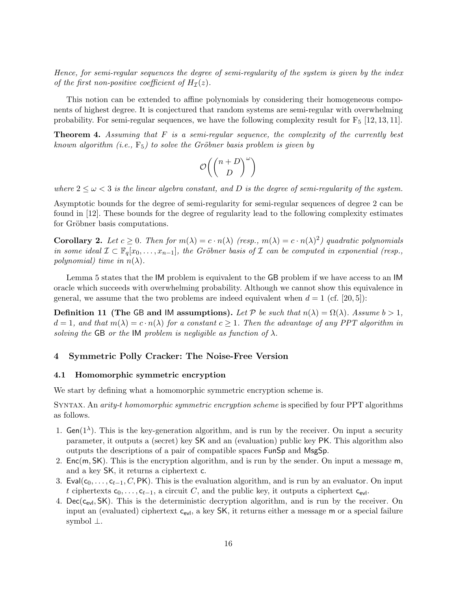Hence, for semi-regular sequences the degree of semi-regularity of the system is given by the index of the first non-positive coefficient of  $H<sub>\mathcal{I</sub>(z)$ .

This notion can be extended to affine polynomials by considering their homogeneous components of highest degree. It is conjectured that random systems are semi-regular with overwhelming probability. For semi-regular sequences, we have the following complexity result for F<sup>5</sup> [12, 13, 11].

**Theorem 4.** Assuming that  $F$  is a semi-regular sequence, the complexity of the currently best known algorithm (i.e.,  $F_5$ ) to solve the Gröbner basis problem is given by

$$
\mathcal{O}\biggl(\binom{n+D}{D}^\omega\biggr)
$$

where  $2 \leq \omega < 3$  is the linear algebra constant, and D is the degree of semi-regularity of the system.

Asymptotic bounds for the degree of semi-regularity for semi-regular sequences of degree 2 can be found in [12]. These bounds for the degree of regularity lead to the following complexity estimates for Gröbner basis computations.

**Corollary 2.** Let  $c \geq 0$ . Then for  $m(\lambda) = c \cdot n(\lambda)$  (resp.,  $m(\lambda) = c \cdot n(\lambda)^2$ ) quadratic polynomials in some ideal  $\mathcal{I} \subset \mathbb{F}_q[x_0, \ldots, x_{n-1}]$ , the Gröbner basis of  $\mathcal{I}$  can be computed in exponential (resp., polynomial) time in  $n(\lambda)$ .

Lemma 5 states that the IM problem is equivalent to the GB problem if we have access to an IM oracle which succeeds with overwhelming probability. Although we cannot show this equivalence in general, we assume that the two problems are indeed equivalent when  $d = 1$  (cf. [20, 5]):

**Definition 11 (The GB and IM assumptions).** Let P be such that  $n(\lambda) = \Omega(\lambda)$ . Assume  $b > 1$ ,  $d = 1$ , and that  $m(\lambda) = c \cdot n(\lambda)$  for a constant  $c \geq 1$ . Then the advantage of any PPT algorithm in solving the GB or the IM problem is negligible as function of  $\lambda$ .

## 4 Symmetric Polly Cracker: The Noise-Free Version

### 4.1 Homomorphic symmetric encryption

We start by defining what a homomorphic symmetric encryption scheme is.

SYNTAX. An *arity-t homomorphic symmetric encryption scheme* is specified by four PPT algorithms as follows.

- 1.  $Gen(1^{\lambda})$ . This is the key-generation algorithm, and is run by the receiver. On input a security parameter, it outputs a (secret) key SK and an (evaluation) public key PK. This algorithm also outputs the descriptions of a pair of compatible spaces FunSp and MsgSp.
- 2.  $Enc(m, SK)$ . This is the encryption algorithm, and is run by the sender. On input a message m, and a key SK, it returns a ciphertext c.
- 3. Eval( $c_0, \ldots, c_{t-1}, C$ , PK). This is the evaluation algorithm, and is run by an evaluator. On input t ciphertexts  $c_0, \ldots, c_{t-1}$ , a circuit C, and the public key, it outputs a ciphertext  $c_{evl}$ .
- 4. Dec( $c_{evl}$ , SK). This is the deterministic decryption algorithm, and is run by the receiver. On input an (evaluated) ciphertext  $c_{evl}$ , a key SK, it returns either a message m or a special failure symbol ⊥.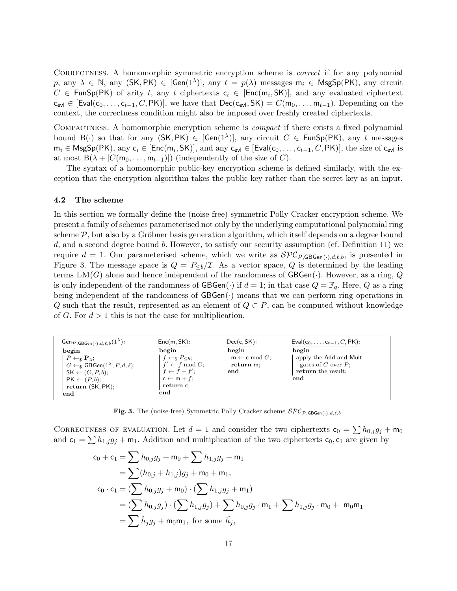CORRECTNESS. A homomorphic symmetric encryption scheme is *correct* if for any polynomial p, any  $\lambda \in \mathbb{N}$ , any  $(SK, PK) \in [Gen(1^{\lambda})]$ , any  $t = p(\lambda)$  messages  $m_i \in MsgSp(PK)$ , any circuit  $C \in \mathsf{FunSp}(\mathsf{PK})$  of arity t, any t ciphertexts  $c_i \in [\mathsf{Enc}(m_i, \mathsf{SK})]$ , and any evaluated ciphertext  $c_{\text{evl}} \in [\text{Eval}(c_0, \ldots, c_{t-1}, C, PK)],$  we have that  $\text{Dec}(c_{\text{evl}}, SK) = C(m_0, \ldots, m_{t-1}).$  Depending on the context, the correctness condition might also be imposed over freshly created ciphertexts.

Compactness. A homomorphic encryption scheme is compact if there exists a fixed polynomial bound B(·) so that for any  $(SK, PK) \in [Gen(1<sup>\lambda</sup>)]$ , any circuit  $C \in FunSp(PK)$ , any t messages  $m_i \in \mathsf{MsgSp}(\mathsf{PK}),$  any  $\mathsf{c}_i \in [\mathsf{Enc}(m_i,\mathsf{SK})]$ , and any  $\mathsf{c}_{\mathsf{evl}} \in [\mathsf{Eval}(\mathsf{c}_0,\ldots,\mathsf{c}_{t-1},C,\mathsf{PK})]$ , the size of  $\mathsf{c}_{\mathsf{evl}}$  is at most  $B(\lambda + |C(m_0, \ldots, m_{t-1})|)$  (independently of the size of C).

The syntax of a homomorphic public-key encryption scheme is defined similarly, with the exception that the encryption algorithm takes the public key rather than the secret key as an input.

#### 4.2 The scheme

In this section we formally define the (noise-free) symmetric Polly Cracker encryption scheme. We present a family of schemes parameterised not only by the underlying computational polynomial ring scheme  $P$ , but also by a Gröbner basis generation algorithm, which itself depends on a degree bound d, and a second degree bound b. However, to satisfy our security assumption (cf. Definition 11) we require  $d = 1$ . Our parameterised scheme, which we write as  $\mathcal{SPC}_{\mathcal{P},\mathsf{GBGen}(\cdot),d,\ell,b}$ , is presented in Figure 3. The message space is  $Q = P_{\leq b}/\mathcal{I}$ . As a vector space, Q is determined by the leading terms  $LM(G)$  alone and hence independent of the randomness of  $GBGen(\cdot)$ . However, as a ring, Q is only independent of the randomness of  $\mathsf{GBGen}(\cdot)$  if  $d = 1$ ; in that case  $Q = \mathbb{F}_q$ . Here, Q as a ring being independent of the randomness of  $GBGen(\cdot)$  means that we can perform ring operations in Q such that the result, represented as an element of  $Q \subset P$ , can be computed without knowledge of G. For  $d > 1$  this is not the case for multiplication.

| Gen $_{\mathcal{P},\mathsf{GBGen}(\cdot),d,\ell,b}(1^{\lambda})$ : | $Enc(m, SK)$ :                  | $Dec(c, SK)$ :            | $Eval(c_0, \ldots, c_{t-1}, C, PK)$ : |
|--------------------------------------------------------------------|---------------------------------|---------------------------|---------------------------------------|
| begin                                                              | begin                           | begin                     | begin                                 |
| $P \leftarrow_{\mathbb{S}} \mathbf{P}_{\lambda}$ :                 | $f \leftarrow_{\$} P_{\leq b};$ | $m \leftarrow c \mod G$ ; | apply the Add and Mult                |
| $G \leftarrow_{\Re} \mathsf{GBGen}(1^{\lambda}, P, d, \ell);$      | $f' \leftarrow f \mod G$ ;      | return m;                 | gates of C over $P$ ;                 |
| $SK \leftarrow (G, P, b);$                                         | $f \leftarrow f - f'$ ;         | end                       | return the result:                    |
| $PK \leftarrow (P, b);$                                            | $c \leftarrow m + f$ ;          |                           | end                                   |
| return (SK, PK);                                                   | return c:                       |                           |                                       |
| end                                                                | end                             |                           |                                       |

Fig. 3. The (noise-free) Symmetric Polly Cracker scheme  $\mathcal{SPC}_{\mathcal{P},\mathsf{GBGen}(\cdot),d,\ell,b}$ .

CORRECTNESS OF EVALUATION. Let  $d = 1$  and consider the two ciphertexts  $c_0 = \sum h_{0,j}g_j + m_0$ and  $c_1 = \sum h_{1,j}g_j + m_1$ . Addition and multiplication of the two ciphertexts  $c_0, c_1$  are given by

$$
c_0 + c_1 = \sum h_{0,j} g_j + m_0 + \sum h_{1,j} g_j + m_1
$$
  
=  $\sum (h_{0,j} + h_{1,j}) g_j + m_0 + m_1$ ,  
 $c_0 \cdot c_1 = (\sum h_{0,j} g_j + m_0) \cdot (\sum h_{1,j} g_j + m_1)$   
=  $(\sum h_{0,j} g_j) \cdot (\sum h_{1,j} g_j) + \sum h_{0,j} g_j \cdot m_1 + \sum h_{1,j} g_j \cdot m_0 + m_0 m_1$   
=  $\sum \tilde{h}_j g_j + m_0 m_1$ , for some  $\tilde{h}_j$ ,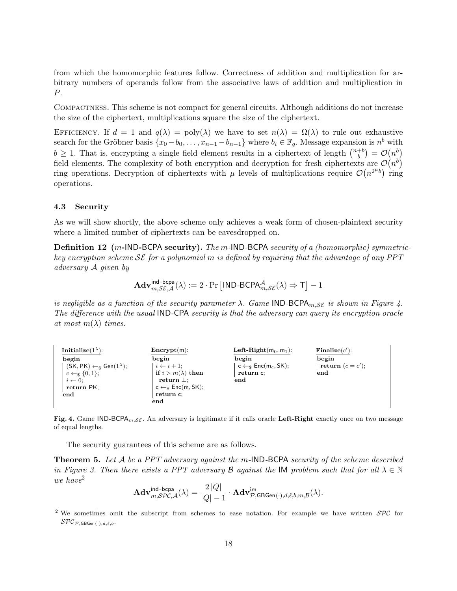from which the homomorphic features follow. Correctness of addition and multiplication for arbitrary numbers of operands follow from the associative laws of addition and multiplication in P.

Compactness. This scheme is not compact for general circuits. Although additions do not increase the size of the ciphertext, multiplications square the size of the ciphertext.

EFFICIENCY. If  $d = 1$  and  $q(\lambda) = \text{poly}(\lambda)$  we have to set  $n(\lambda) = \Omega(\lambda)$  to rule out exhaustive search for the Gröbner basis  $\{x_0 - b_0, \ldots, x_{n-1} - b_{n-1}\}$  where  $b_i \in \mathbb{F}_q$ . Message expansion is  $n^b$  with  $b \geq 1$ . That is, encrypting a single field element results in a ciphertext of length  $\binom{n+b}{b}$  $\binom{+b}{b} = \mathcal{O}(n^b)$ field elements. The complexity of both encryption and decryption for fresh ciphertexts are  $\mathcal{O}(n^b)$ ring operations. Decryption of ciphertexts with  $\mu$  levels of multiplications require  $\mathcal{O}(n^{2^{\mu}b})$  ring operations.

#### 4.3 Security

As we will show shortly, the above scheme only achieves a weak form of chosen-plaintext security where a limited number of ciphertexts can be eavesdropped on.

Definition 12 (m-IND-BCPA security). The m-IND-BCPA security of a (homomorphic) symmetrickey encryption scheme  $\mathcal{S}\mathcal{E}$  for a polynomial m is defined by requiring that the advantage of any PPT adversary A given by

$$
\mathbf{Adv}_{m,\mathcal{SE},\mathcal{A}}^{\mathsf{ind}\text{-}\mathsf{bcpa}}(\lambda) := 2\cdot \Pr\big[\mathsf{IND}\text{-}\mathsf{BCPA}_{m,\mathcal{SE}}^{\mathcal{A}}(\lambda) \Rightarrow \mathsf{T}\big] - 1
$$

is negligible as a function of the security parameter  $\lambda$ . Game IND-BCPA<sub>m, SE</sub> is shown in Figure 4. The difference with the usual **IND-CPA** security is that the adversary can query its encryption oracle at most  $m(\lambda)$  times.

| Initialize( $1^{\lambda}$ ):              | $\rm{Encrypt}(m)$ :          | Left-Right( $m_0, m_1$ ):                  | Finalize $(c')$ :   |
|-------------------------------------------|------------------------------|--------------------------------------------|---------------------|
| begin                                     | begin                        | begin                                      | begin               |
| $(SK, PK) \leftarrow_S Gen(1^{\lambda});$ | $i \leftarrow i+1$ ;         | $c \leftarrow_s$ Enc(m <sub>c</sub> , SK); | return $(c = c')$ ; |
| $c \leftarrow_{\mathbb{S}} \{0,1\};$      | if $i > m(\lambda)$ then     | return c;                                  | end                 |
| $i \leftarrow 0$ ;                        | return $\perp$ ;             | end                                        |                     |
| return PK;                                | $c \leftarrow_s$ Enc(m, SK); |                                            |                     |
| end                                       | return c:                    |                                            |                     |
|                                           | end                          |                                            |                     |

Fig. 4. Game IND-BCPA $_{m,S\mathcal{E}}$ . An adversary is legitimate if it calls oracle Left-Right exactly once on two message of equal lengths.

The security guarantees of this scheme are as follows.

**Theorem 5.** Let  $A$  be a PPT adversary against the m-IND-BCPA security of the scheme described in Figure 3. Then there exists a PPT adversary B against the IM problem such that for all  $\lambda \in \mathbb{N}$ we have<sup>2</sup>

$$
\mathbf{Adv}_{m,\mathcal{SPC},\mathcal{A}}^{\mathsf{ind}\textrm{-}\mathsf{bcpa}}(\lambda)=\frac{2\,|Q|}{|Q|-1}\cdot\mathbf{Adv}_{\mathcal{P},\mathsf{GBGen}(\cdot),d,\ell,b,m,\mathcal{B}}^{\mathsf{im}}(\lambda).
$$

<sup>&</sup>lt;sup>2</sup> We sometimes omit the subscript from schemes to ease notation. For example we have written  $SPC$  for  $\mathcal{SPC}_{\mathcal{P},\mathsf{GBGen}(\cdot),d,\ell,b}.$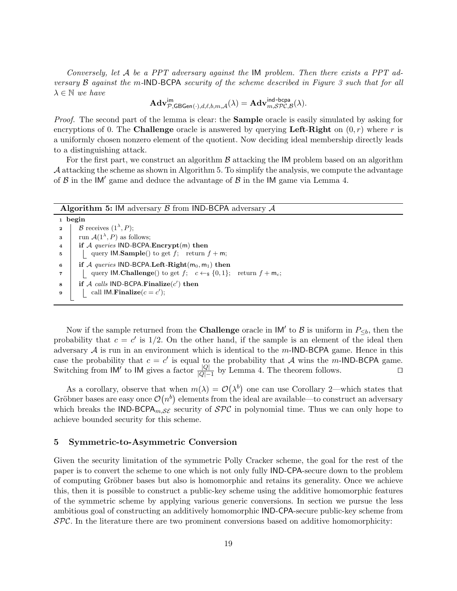Conversely, let A be a PPT adversary against the IM problem. Then there exists a PPT adversary B against the m-IND-BCPA security of the scheme described in Figure 3 such that for all  $\lambda \in \mathbb{N}$  we have

$$
\mathbf{Adv}_{\mathcal{P},\mathsf{GBGen}(\cdot),d,\ell,b,m,\mathcal{A}}^{\mathsf{im}}(\lambda) = \mathbf{Adv}_{m,\mathcal{SPC},\mathcal{B}}^{\mathsf{ind-bcpa}}(\lambda).
$$

Proof. The second part of the lemma is clear: the **Sample** oracle is easily simulated by asking for encryptions of 0. The **Challenge** oracle is answered by querying **Left-Right** on  $(0, r)$  where r is a uniformly chosen nonzero element of the quotient. Now deciding ideal membership directly leads to a distinguishing attack.

For the first part, we construct an algorithm  $\beta$  attacking the IM problem based on an algorithm A attacking the scheme as shown in Algorithm 5. To simplify the analysis, we compute the advantage of  $\beta$  in the IM' game and deduce the advantage of  $\beta$  in the IM game via Lemma 4.

|                         | <b>Algorithm 5:</b> IM adversary $\beta$ from IND-BCPA adversary $\mathcal A$      |  |  |
|-------------------------|------------------------------------------------------------------------------------|--|--|
|                         | 1 begin                                                                            |  |  |
| $\mathbf{2}$            | $\beta$ receives $(1^{\lambda}, P)$ ;                                              |  |  |
| $\bf{3}$                | run $A(1^{\lambda}, P)$ as follows;                                                |  |  |
| $\overline{4}$          | if $A$ queries IND-BCPA. Encrypt $(m)$ then                                        |  |  |
| 5                       | query IM. Sample() to get $f$ ; return $f + m$ ;                                   |  |  |
| 6                       | if A queries IND-BCPA.Left-Right( $m_0$ , $m_1$ ) then                             |  |  |
| $\overline{\mathbf{7}}$ | query IM.Challenge() to get $f$ ; $c \leftarrow_{\$} \{0,1\}$ ; return $f + m_c$ ; |  |  |
| 8                       | if A calls IND-BCPA. Finalize $(c')$ then                                          |  |  |
| 9                       | call IM. <b>Finalize</b> $(c = c')$ ;                                              |  |  |

Now if the sample returned from the **Challenge** oracle in  $\mathsf{IM}'$  to  $\mathcal{B}$  is uniform in  $P_{\leq b}$ , then the probability that  $c = c'$  is  $1/2$ . On the other hand, if the sample is an element of the ideal then adversary  $A$  is run in an environment which is identical to the m-IND-BCPA game. Hence in this case the probability that  $c = c'$  is equal to the probability that A wins the m-IND-BCPA game. Switching from IM' to IM gives a factor  $\frac{|Q|}{|Q|-1}$  by Lemma 4. The theorem follows. □

As a corollary, observe that when  $m(\lambda) = \mathcal{O}(\lambda^b)$  one can use Corollary 2—which states that Gröbner bases are easy once  $\mathcal{O}(n^b)$  elements from the ideal are available—to construct an adversary which breaks the IND-BCPA<sub>m, SE</sub> security of  $SPC$  in polynomial time. Thus we can only hope to achieve bounded security for this scheme.

# 5 Symmetric-to-Asymmetric Conversion

Given the security limitation of the symmetric Polly Cracker scheme, the goal for the rest of the paper is to convert the scheme to one which is not only fully IND-CPA-secure down to the problem of computing Gröbner bases but also is homomorphic and retains its generality. Once we achieve this, then it is possible to construct a public-key scheme using the additive homomorphic features of the symmetric scheme by applying various generic conversions. In section we pursue the less ambitious goal of constructing an additively homomorphic IND-CPA-secure public-key scheme from  $SPC$ . In the literature there are two prominent conversions based on additive homomorphicity: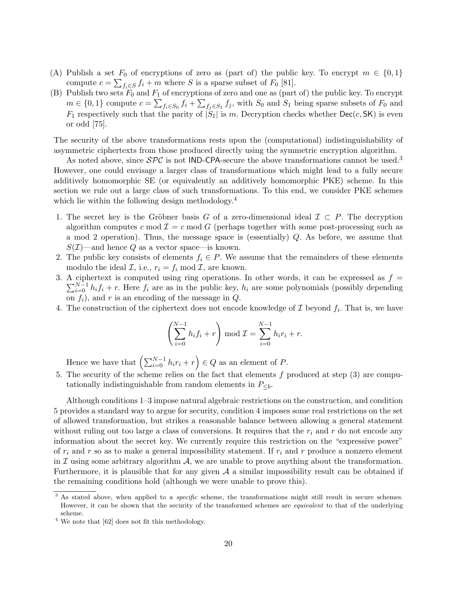- (A) Publish a set  $F_0$  of encryptions of zero as (part of) the public key. To encrypt  $m \in \{0,1\}$ compute  $c = \sum_{f_i \in S} f_i + m$  where S is a sparse subset of  $F_0$  [81].
- (B) Publish two sets  $F_0$  and  $F_1$  of encryptions of zero and one as (part of) the public key. To encrypt  $m \in \{0,1\}$  compute  $c = \sum_{f_i \in S_0} f_i + \sum_{f_j \in S_1} f_j$ , with  $S_0$  and  $S_1$  being sparse subsets of  $F_0$  and  $F_1$  respectively such that the parity of  $|S_1|$  is m. Decryption checks whether  $Dec(c, SK)$  is even or odd [75].

The security of the above transformations rests upon the (computational) indistinguishability of asymmetric ciphertexts from those produced directly using the symmetric encryption algorithm.

As noted above, since  $SPC$  is not IND-CPA-secure the above transformations cannot be used.<sup>3</sup> However, one could envisage a larger class of transformations which might lead to a fully secure additively homomorphic SE (or equivalently an additively homomorphic PKE) scheme. In this section we rule out a large class of such transformations. To this end, we consider PKE schemes which lie within the following design methodology.<sup>4</sup>

- 1. The secret key is the Gröbner basis G of a zero-dimensional ideal  $\mathcal{I} \subset P$ . The decryption algorithm computes c mod  $\mathcal{I} = c$  mod G (perhaps together with some post-processing such as a mod 2 operation). Thus, the message space is (essentially) Q. As before, we assume that  $S(\mathcal{I})$ —and hence Q as a vector space—is known.
- 2. The public key consists of elements  $f_i \in P$ . We assume that the remainders of these elements modulo the ideal  $\mathcal{I}$ , i.e.,  $r_i = f_i \mod \mathcal{I}$ , are known.
- 3. A ciphertext is computed using ring operations. In other words, it can be expressed as  $f =$  $\sum_{i=0}^{N-1} h_i f_i + r$ . Here  $f_i$  are as in the public key,  $h_i$  are some polynomials (possibly depending on  $f_i$ , and r is an encoding of the message in  $Q$ .
- 4. The construction of the ciphertext does not encode knowledge of  $\mathcal I$  beyond  $f_i$ . That is, we have

$$
\left(\sum_{i=0}^{N-1} h_i f_i + r\right) \bmod \mathcal{I} = \sum_{i=0}^{N-1} h_i r_i + r.
$$

Hence we have that  $\left(\sum_{i=0}^{N-1} h_i r_i + r\right) \in Q$  as an element of P.

5. The security of the scheme relies on the fact that elements  $f$  produced at step (3) are computationally indistinguishable from random elements in  $P_{\leq b}$ .

Although conditions 1–3 impose natural algebraic restrictions on the construction, and condition 5 provides a standard way to argue for security, condition 4 imposes some real restrictions on the set of allowed transformation, but strikes a reasonable balance between allowing a general statement without ruling out too large a class of conversions. It requires that the  $r_i$  and r do not encode any information about the secret key. We currently require this restriction on the "expressive power" of  $r_i$  and r so as to make a general impossibility statement. If  $r_i$  and r produce a nonzero element in  $\mathcal I$  using some arbitrary algorithm  $\mathcal A$ , we are unable to prove anything about the transformation. Furthermore, it is plausible that for any given  $A$  a similar impossibility result can be obtained if the remaining conditions hold (although we were unable to prove this).

<sup>&</sup>lt;sup>3</sup> As stated above, when applied to a *specific* scheme, the transformations might still result in secure schemes. However, it can be shown that the security of the transformed schemes are equivalent to that of the underlying scheme.

 $4$  We note that [62] does not fit this methodology.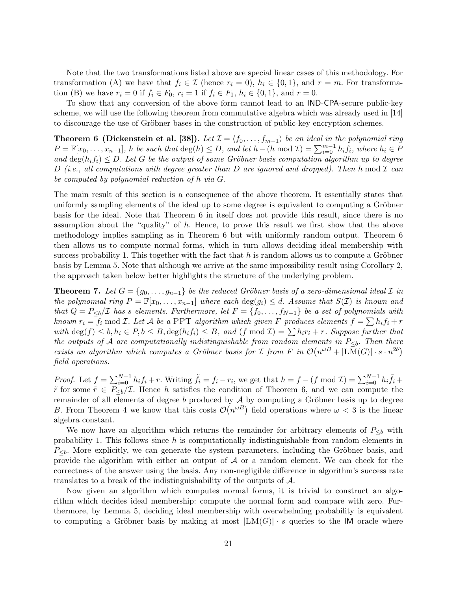Note that the two transformations listed above are special linear cases of this methodology. For transformation (A) we have that  $f_i \in \mathcal{I}$  (hence  $r_i = 0$ ),  $h_i \in \{0, 1\}$ , and  $r = m$ . For transformation (B) we have  $r_i = 0$  if  $f_i \in F_0$ ,  $r_i = 1$  if  $f_i \in F_1$ ,  $h_i \in \{0, 1\}$ , and  $r = 0$ .

To show that any conversion of the above form cannot lead to an IND-CPA-secure public-key scheme, we will use the following theorem from commutative algebra which was already used in [14] to discourage the use of Gröbner bases in the construction of public-key encryption schemes.

**Theorem 6 (Dickenstein et al. [38]).** Let  $\mathcal{I} = \langle f_0, \ldots, f_{m-1} \rangle$  be an ideal in the polynomial ring  $P = \mathbb{F}[x_0, \ldots, x_{n-1}],$  h be such that  $\deg(h) \leq D$ , and let  $h - (h \mod \mathcal{I}) = \sum_{i=0}^{m-1} h_i f_i$ , where  $h_i \in P$ and  $\deg(h_i f_i) \leq D$ . Let G be the output of some Gröbner basis computation algorithm up to degree D (i.e., all computations with degree greater than D are ignored and dropped). Then h mod  $\mathcal I$  can be computed by polynomial reduction of h via G.

The main result of this section is a consequence of the above theorem. It essentially states that uniformly sampling elements of the ideal up to some degree is equivalent to computing a Gröbner basis for the ideal. Note that Theorem 6 in itself does not provide this result, since there is no assumption about the "quality" of h. Hence, to prove this result we first show that the above methodology implies sampling as in Theorem 6 but with uniformly random output. Theorem 6 then allows us to compute normal forms, which in turn allows deciding ideal membership with success probability 1. This together with the fact that h is random allows us to compute a Gröbner basis by Lemma 5. Note that although we arrive at the same impossibility result using Corollary 2, the approach taken below better highlights the structure of the underlying problem.

**Theorem 7.** Let  $G = \{g_0, \ldots, g_{n-1}\}\$  be the reduced Gröbner basis of a zero-dimensional ideal  $\mathcal I$  in the polynomial ring  $P = \mathbb{F}[x_0, \ldots, x_{n-1}]$  where each  $\deg(g_i) \leq d$ . Assume that  $S(\mathcal{I})$  is known and that  $Q = P_{\leq b}/\mathcal{I}$  has s elements. Furthermore, let  $F = \{f_0, \ldots, f_{N-1}\}\$  be a set of polynomials with known  $r_i = f_i \text{ mod } \mathcal{I}$ . Let A be a PPT algorithm which given F produces elements  $f = \sum h_i f_i + r$ with  $\deg(f) \leq b, h_i \in P, b \leq B, \deg(h_i f_i) \leq B$ , and  $(f \mod \mathcal{I}) = \sum h_i r_i + r$ . Suppose further that the outputs of A are computationally indistinguishable from random elements in  $P_{\leq b}$ . Then there exists an algorithm which computes a Gröbner basis for I from F in  $\mathcal{O}(n^{\omega B} + |\overline{\mathrm{LM}}(G)| \cdot s \cdot n^{2b})$ field operations.

*Proof.* Let  $f = \sum_{i=0}^{N-1} h_i f_i + r$ . Writing  $\tilde{f}_i = f_i - r_i$ , we get that  $h = f - (f \mod \mathcal{I}) = \sum_{i=0}^{N-1} h_i \tilde{f}_i +$  $\tilde{r}$  for some  $\tilde{r} \in \overline{P_{\leq b}/\mathcal{I}}$ . Hence h satisfies the condition of Theorem 6, and we can compute the remainder of all elements of degree b produced by  $A$  by computing a Gröbner basis up to degree B. From Theorem 4 we know that this costs  $\mathcal{O}(n^{\omega B})$  field operations where  $\omega < 3$  is the linear algebra constant.

We now have an algorithm which returns the remainder for arbitrary elements of  $P_{\leq b}$  with probability 1. This follows since  $h$  is computationally indistinguishable from random elements in  $P_{\leq b}$ . More explicitly, we can generate the system parameters, including the Gröbner basis, and provide the algorithm with either an output of  $A$  or a random element. We can check for the correctness of the answer using the basis. Any non-negligible difference in algorithm's success rate translates to a break of the indistinguishability of the outputs of A.

Now given an algorithm which computes normal forms, it is trivial to construct an algorithm which decides ideal membership: compute the normal form and compare with zero. Furthermore, by Lemma 5, deciding ideal membership with overwhelming probability is equivalent to computing a Gröbner basis by making at most  $|LM(G)| \cdot s$  queries to the IM oracle where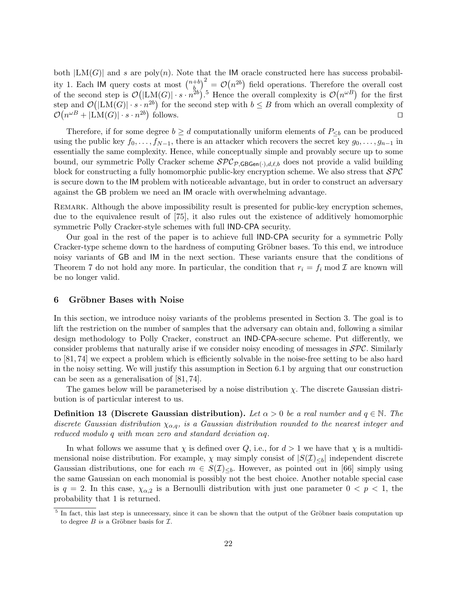both  $|LM(G)|$  and s are poly(n). Note that the IM oracle constructed here has success probability 1. Each IM query costs at most  $\binom{n+b}{b}$  $\left(\frac{b}{b}\right)^2 = \mathcal{O}(n^{2b})$  field operations. Therefore the overall cost of the second step is  $\mathcal{O}(|LM(G)| \cdot s \cdot n^{2b})$ .<sup>5</sup> Hence the overall complexity is  $\mathcal{O}(n^{\omega B})$  for the first step and  $\mathcal{O}(|LM(G)| \cdot s \cdot n^{2b})$  for the second step with  $b \leq B$  from which an overall complexity of  $\mathcal{O}(n^{\omega B} + |\text{LM}(G)| \cdot s \cdot n^{2b})$  follows.

Therefore, if for some degree  $b \geq d$  computationally uniform elements of  $P_{\leq b}$  can be produced using the public key  $f_0, \ldots, f_{N-1}$ , there is an attacker which recovers the secret key  $g_0, \ldots, g_{n-1}$  in essentially the same complexity. Hence, while conceptually simple and provably secure up to some bound, our symmetric Polly Cracker scheme  $\mathcal{SPC}_{\mathcal{P},\mathsf{GBGen}(\cdot),d,\ell,b}$  does not provide a valid building block for constructing a fully homomorphic public-key encryption scheme. We also stress that  $SPC$ is secure down to the IM problem with noticeable advantage, but in order to construct an adversary against the GB problem we need an IM oracle with overwhelming advantage.

REMARK. Although the above impossibility result is presented for public-key encryption schemes, due to the equivalence result of [75], it also rules out the existence of additively homomorphic symmetric Polly Cracker-style schemes with full IND-CPA security.

Our goal in the rest of the paper is to achieve full IND-CPA security for a symmetric Polly Cracker-type scheme down to the hardness of computing Gröbner bases. To this end, we introduce noisy variants of GB and IM in the next section. These variants ensure that the conditions of Theorem 7 do not hold any more. In particular, the condition that  $r_i = f_i \mod \mathcal{I}$  are known will be no longer valid.

# 6 Gröbner Bases with Noise

In this section, we introduce noisy variants of the problems presented in Section 3. The goal is to lift the restriction on the number of samples that the adversary can obtain and, following a similar design methodology to Polly Cracker, construct an IND-CPA-secure scheme. Put differently, we consider problems that naturally arise if we consider noisy encoding of messages in  $SPC$ . Similarly to [81, 74] we expect a problem which is efficiently solvable in the noise-free setting to be also hard in the noisy setting. We will justify this assumption in Section 6.1 by arguing that our construction can be seen as a generalisation of [81, 74].

The games below will be parameterised by a noise distribution  $\chi$ . The discrete Gaussian distribution is of particular interest to us.

**Definition 13 (Discrete Gaussian distribution).** Let  $\alpha > 0$  be a real number and  $q \in \mathbb{N}$ . The discrete Gaussian distribution  $\chi_{\alpha,q}$ , is a Gaussian distribution rounded to the nearest integer and reduced modulo q with mean zero and standard deviation  $\alpha q$ .

In what follows we assume that  $\chi$  is defined over Q, i.e., for  $d > 1$  we have that  $\chi$  is a multidimensional noise distribution. For example,  $\chi$  may simply consist of  $|S(\mathcal{I})_{\leq b}|$  independent discrete Gaussian distributions, one for each  $m \in S(\mathcal{I})_{\leq b}$ . However, as pointed out in [66] simply using the same Gaussian on each monomial is possibly not the best choice. Another notable special case is  $q = 2$ . In this case,  $\chi_{\alpha,2}$  is a Bernoulli distribution with just one parameter  $0 < p < 1$ , the probability that 1 is returned.

 $5$  In fact, this last step is unnecessary, since it can be shown that the output of the Gröbner basis computation up to degree  $B$  is a Gröbner basis for  $\mathcal{I}$ .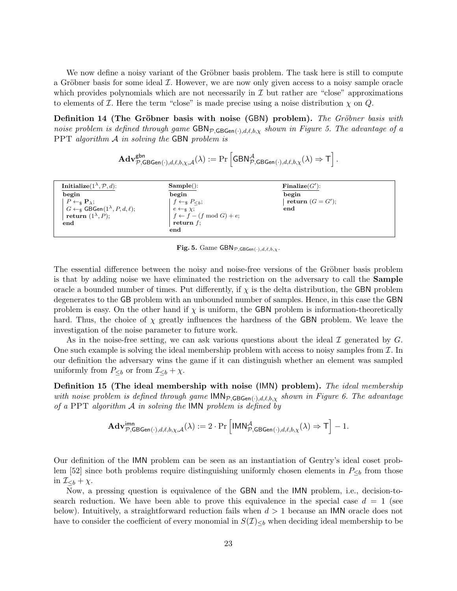We now define a noisy variant of the Gröbner basis problem. The task here is still to compute a Gröbner basis for some ideal  $\mathcal I$ . However, we are now only given access to a noisy sample oracle which provides polynomials which are not necessarily in  $\mathcal I$  but rather are "close" approximations to elements of  $\mathcal I$ . Here the term "close" is made precise using a noise distribution  $\chi$  on  $Q$ .

Definition 14 (The Gröbner basis with noise (GBN) problem). The Gröbner basis with noise problem is defined through game  $\text{GBN}_{\mathcal{P},\text{GBGen}(\cdot),d,\ell,b,\chi}$  shown in Figure 5. The advantage of a PPT algorithm A in solving the GBN problem is

$$
\mathbf{Adv}_{\mathcal{P},\mathsf{GBGen}(\cdot),d,\ell,b,\chi,\mathcal{A}}^{\mathsf{gbn}}(\lambda) := \Pr \left[ \mathsf{GBN}_{\mathcal{P},\mathsf{GBGen}(\cdot),d,\ell,b,\chi}^{\mathcal{A}}(\lambda) \Rightarrow \mathsf{T} \right].
$$

| Initialize( $1^{\lambda}, \mathcal{P}, d$ ):                 | Sample():                           | Finalize $(G')$ :   |
|--------------------------------------------------------------|-------------------------------------|---------------------|
| begin                                                        | begin                               | begin               |
| $P \leftarrow_{\mathbb{S}} \mathbf{P}_{\lambda}$ ;           | $f \leftarrow_{\$} P_{\leq b};$     | return $(G = G')$ ; |
| $G \leftarrow_{\$} \mathsf{GBGen}(1^{\lambda}, P, d, \ell);$ | $e \leftarrow_{\mathcal{R}} \chi$ ; | end                 |
| return $(1^{\lambda}, P)$ ;                                  | $f \leftarrow f - (f \mod G) + e;$  |                     |
| end                                                          | return $f$ ;                        |                     |
|                                                              | end                                 |                     |

Fig. 5. Game  $\text{GBN}_{\mathcal{P},\text{GBGen}(\cdot),d,\ell,b,\gamma}$ .

The essential difference between the noisy and noise-free versions of the Gröbner basis problem is that by adding noise we have eliminated the restriction on the adversary to call the Sample oracle a bounded number of times. Put differently, if  $\chi$  is the delta distribution, the GBN problem degenerates to the GB problem with an unbounded number of samples. Hence, in this case the GBN problem is easy. On the other hand if  $\chi$  is uniform, the GBN problem is information-theoretically hard. Thus, the choice of  $\chi$  greatly influences the hardness of the GBN problem. We leave the investigation of the noise parameter to future work.

As in the noise-free setting, we can ask various questions about the ideal  $\mathcal I$  generated by  $G$ . One such example is solving the ideal membership problem with access to noisy samples from  $\mathcal{I}$ . In our definition the adversary wins the game if it can distinguish whether an element was sampled uniformly from  $P_{\leq b}$  or from  $\mathcal{I}_{\leq b} + \chi$ .

Definition 15 (The ideal membership with noise (IMN) problem). The ideal membership with noise problem is defined through game  $\text{IMN}_{\mathcal{P},\text{GBGen}(\cdot),d,\ell,b,\chi}$  shown in Figure 6. The advantage of a PPT algorithm  $A$  in solving the IMN problem is defined by

$$
\mathbf{Adv}_{\mathcal{P},\mathsf{GBGen}(\cdot),d,\ell,b,\chi,\mathcal{A}}^{\mathsf{inm}}(\lambda) := 2 \cdot \Pr \Big[\mathsf{IMN}_{\mathcal{P},\mathsf{GBGen}(\cdot),d,\ell,b,\chi}^{\mathcal{A}}(\lambda) \Rightarrow \mathsf{T} \Big]-1.
$$

Our definition of the IMN problem can be seen as an instantiation of Gentry's ideal coset problem [52] since both problems require distinguishing uniformly chosen elements in  $P_{\leq b}$  from those in  $\mathcal{I}_{\leq b} + \chi$ .

Now, a pressing question is equivalence of the GBN and the IMN problem, i.e., decision-tosearch reduction. We have been able to prove this equivalence in the special case  $d = 1$  (see below). Intuitively, a straightforward reduction fails when  $d > 1$  because an IMN oracle does not have to consider the coefficient of every monomial in  $S(\mathcal{I})_{\leq b}$  when deciding ideal membership to be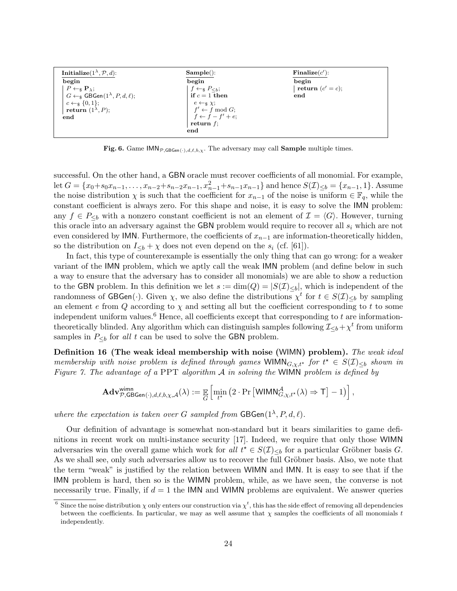| Initialize( $1^{\lambda}, \mathcal{P}, d$ ):                                   | Sample():                                                                                           | <b>Finalize</b> $(c')$ : |
|--------------------------------------------------------------------------------|-----------------------------------------------------------------------------------------------------|--------------------------|
| begin                                                                          | begin                                                                                               | begin                    |
| $P \leftarrow_{\$} \mathbf{P}_{\lambda};$                                      | $f \leftarrow_{\$} P_{\leq b};$<br>if $c = 1$ then                                                  | return $(c' = c)$ ;      |
| $G \leftarrow_{\$} \mathsf{G}\mathsf{B}\mathsf{Gen}(1^{\lambda}, P, d, \ell);$ |                                                                                                     | end                      |
| $c \leftarrow_{\$} \{0,1\};$<br>return $(1^{\lambda}, P);$                     | $e \leftarrow_{\$} \chi;$<br>$f' \leftarrow f \mod G;$<br>$f \leftarrow f - f' + e;$<br>return $f;$ |                          |
|                                                                                |                                                                                                     |                          |
| end                                                                            |                                                                                                     |                          |
|                                                                                |                                                                                                     |                          |
|                                                                                | end                                                                                                 |                          |
|                                                                                |                                                                                                     |                          |

Fig. 6. Game  $IMN_{\mathcal{P},\text{GBGen}(\cdot),d,\ell,b,\chi}$ . The adversary may call **Sample** multiple times.

successful. On the other hand, a GBN oracle must recover coefficients of all monomial. For example, let  $G = \{x_0+s_0x_{n-1}, \ldots, x_{n-2}+s_{n-2}x_{n-1}, x_{n-1}^2+s_{n-1}x_{n-1}\}$  and hence  $S(\mathcal{I})_{\leq b} = \{x_{n-1}, 1\}$ . Assume the noise distribution  $\chi$  is such that the coefficient for  $x_{n-1}$  of the noise is uniform  $\in \mathbb{F}_q$ , while the constant coefficient is always zero. For this shape and noise, it is easy to solve the IMN problem: any  $f \in P_{\leq b}$  with a nonzero constant coefficient is not an element of  $\mathcal{I} = \langle G \rangle$ . However, turning this oracle into an adversary against the GBN problem would require to recover all  $s_i$  which are not even considered by IMN. Furthermore, the coefficients of  $x_{n-1}$  are information-theoretically hidden, so the distribution on  $I_{\leq b} + \chi$  does not even depend on the  $s_i$  (cf. [61]).

In fact, this type of counterexample is essentially the only thing that can go wrong: for a weaker variant of the IMN problem, which we aptly call the weak IMN problem (and define below in such a way to ensure that the adversary has to consider all monomials) we are able to show a reduction to the GBN problem. In this definition we let  $s := \dim(Q) = |S(\mathcal{I})_{\leq b}|$ , which is independent of the randomness of GBGen( $\cdot$ ). Given  $\chi$ , we also define the distributions  $\chi^t$  for  $t \in S(\mathcal{I})_{\leq b}$  by sampling an element e from  $Q$  according to  $\chi$  and setting all but the coefficient corresponding to t to some independent uniform values.<sup>6</sup> Hence, all coefficients except that corresponding to t are informationtheoretically blinded. Any algorithm which can distinguish samples following  $\mathcal{I}_{\leq b} + \chi^t$  from uniform samples in  $P_{\leq b}$  for all t can be used to solve the GBN problem.

Definition 16 (The weak ideal membership with noise (WIMN) problem). The weak ideal membership with noise problem is defined through games  $\text{WIMN}_{G,\chi,t^*}$  for  $t^* \in S(\mathcal{I})_{\leq b}$  shown in Figure 7. The advantage of a PPT algorithm  $A$  in solving the WIMN problem is defined by

$$
\mathbf{Adv}_{\mathcal{P},\mathsf{GBGen}(\cdot),d,\ell,b,\chi,\mathcal{A}}^{\mathsf{wimm}}(\lambda) := \mathop{\mathbb{E}}_{G}\left[\min_{t^{\star}} \left(2 \cdot \Pr\left[\mathsf{WIMN}_{G,\chi,t^{\star}}^{\mathcal{A}}(\lambda) \Rightarrow \mathsf{T}\right] - 1\right)\right],
$$

where the expectation is taken over G sampled from GBGen $(1^{\lambda}, P, d, \ell)$ .

Our definition of advantage is somewhat non-standard but it bears similarities to game definitions in recent work on multi-instance security [17]. Indeed, we require that only those WIMN adversaries win the overall game which work for all  $t^* \in S(\mathcal{I})_{\leq b}$  for a particular Gröbner basis G. As we shall see, only such adversaries allow us to recover the full Gröbner basis. Also, we note that the term "weak" is justified by the relation between WIMN and IMN. It is easy to see that if the IMN problem is hard, then so is the WIMN problem, while, as we have seen, the converse is not necessarily true. Finally, if  $d = 1$  the IMN and WIMN problems are equivalent. We answer queries

<sup>&</sup>lt;sup>6</sup> Since the noise distribution  $\chi$  only enters our construction via  $\chi^t$ , this has the side effect of removing all dependencies between the coefficients. In particular, we may as well assume that  $\chi$  samples the coefficients of all monomials t independently.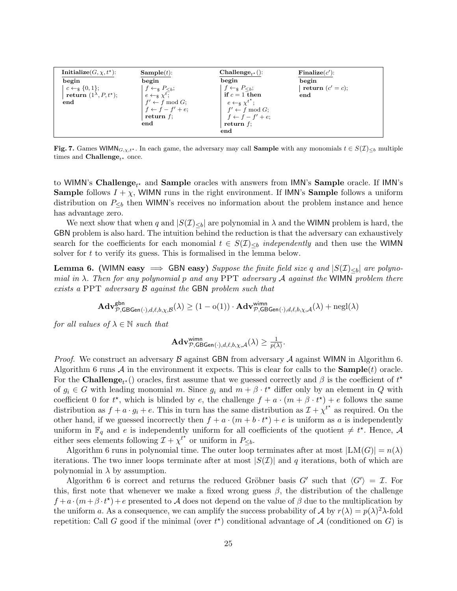| begin<br>begin<br>begin<br>begin                                                                                                                                                                                                 | Initialize $(G, \chi, t^{\star})$ :                                    | $Sample(t):$                                                                                             | $\text{Challenge}_{t\star}()$ : | Finalize $(c')$ :   |
|----------------------------------------------------------------------------------------------------------------------------------------------------------------------------------------------------------------------------------|------------------------------------------------------------------------|----------------------------------------------------------------------------------------------------------|---------------------------------|---------------------|
| if $c=1$ then<br>end<br>$e \leftarrow_s \chi^{t^*};$<br>$f' \leftarrow f \mod G;$<br>$f \leftarrow f - f' + e;$<br>end<br>$f' \leftarrow f \mod G$ ;<br>return $f$ ;<br>$f \leftarrow f - f' + e;$<br>return $f$ ;<br>end<br>end | $c \leftarrow_{\$} \{0, 1\};$<br>return $(1^{\lambda}, P, t^{\star});$ | $\left  \begin{array}{l} f \leftarrow_{\$} P_{\leq b}; \\ e \leftarrow_{\$} \chi^t; \end{array} \right.$ | $f \leftarrow \s F_{\leq b};$   | return $(c' = c)$ ; |

Fig. 7. Games WIMN<sub>G,  $\chi$ , $t^*$ . In each game, the adversary may call **Sample** with any monomials  $t \in S(\mathcal{I})_{\leq b}$  multiple</sub> times and **Challenge**<sub>t</sub> once.

to WIMN's  $\mathbf{Challenge}_{t^\star}$  and  $\mathbf{Sample}$  oracles with answers from IMN's  $\mathbf{Sample}$  oracle. If IMN's **Sample** follows  $I + \chi$ , WIMN runs in the right environment. If IMN's **Sample** follows a uniform distribution on  $P_{\leq b}$  then WIMN's receives no information about the problem instance and hence has advantage zero.

We next show that when q and  $|S(\mathcal{I})_{< b}|$  are polynomial in  $\lambda$  and the WIMN problem is hard, the GBN problem is also hard. The intuition behind the reduction is that the adversary can exhaustively search for the coefficients for each monomial  $t \in S(\mathcal{I})_{\leq b}$  independently and then use the WIMN solver for  $t$  to verify its guess. This is formalised in the lemma below.

**Lemma 6.** (WIMN easy  $\implies$  GBN easy) Suppose the finite field size q and  $|S(\mathcal{I})_{< b}|$  are polynomial in  $\lambda$ . Then for any polynomial p and any PPT adversary A against the WIMN problem there exists a PPT adversary B against the GBN problem such that

$$
\mathbf{Adv}_{\mathcal{P},\mathsf{GBGen}(\cdot),d,\ell,b,\chi,\mathcal{B}}^{\mathsf{gbn}}(\lambda) \geq (1-\mathrm{o}(1)) \cdot \mathbf{Adv}_{\mathcal{P},\mathsf{GBGen}(\cdot),d,\ell,b,\chi,\mathcal{A}}^{\mathsf{wimm}}(\lambda) + \mathrm{negl}(\lambda)
$$

for all values of  $\lambda \in \mathbb{N}$  such that

$$
\mathbf{Adv}_{\mathcal{P},\mathsf{GBGen}(\cdot),d,\ell,b,\chi,\mathcal{A}}^{\mathsf{wimm}}(\lambda) \geq \tfrac{1}{p(\lambda)}.
$$

*Proof.* We construct an adversary  $\beta$  against GBN from adversary  $\mathcal A$  against WIMN in Algorithm 6. Algorithm 6 runs  $\mathcal A$  in the environment it expects. This is clear for calls to the **Sample** $(t)$  oracle. For the **Challenge**<sub>t</sub><sup>\*</sup>() oracles, first assume that we guessed correctly and  $\beta$  is the coefficient of  $t^*$ of  $g_i \in G$  with leading monomial m. Since  $g_i$  and  $m + \beta \cdot t^*$  differ only by an element in Q with coefficient 0 for  $t^*$ , which is blinded by e, the challenge  $f + a \cdot (m + \beta \cdot t^*) + e$  follows the same distribution as  $f + a \cdot g_i + e$ . This in turn has the same distribution as  $\mathcal{I} + \chi^{t^*}$  as required. On the other hand, if we guessed incorrectly then  $f + a \cdot (m + b \cdot t^*) + e$  is uniform as a is independently uniform in  $\mathbb{F}_q$  and e is independently uniform for all coefficients of the quotient  $\neq t^*$ . Hence, A either sees elements following  $\mathcal{I} + \chi^{t^*}$  or uniform in  $P_{\leq b}$ .

Algorithm 6 runs in polynomial time. The outer loop terminates after at most  $|LM(G)| = n(\lambda)$ iterations. The two inner loops terminate after at most  $|S(\mathcal{I})|$  and q iterations, both of which are polynomial in  $\lambda$  by assumption.

Algorithm 6 is correct and returns the reduced Gröbner basis  $G'$  such that  $\langle G' \rangle = \mathcal{I}$ . For this, first note that whenever we make a fixed wrong guess  $\beta$ , the distribution of the challenge  $f + a \cdot (m + \beta \cdot t^*) + e$  presented to A does not depend on the value of  $\beta$  due to the multiplication by the uniform a. As a consequence, we can amplify the success probability of A by  $r(\lambda) = p(\lambda)^2 \lambda$ -fold repetition: Call G good if the minimal (over  $t^*$ ) conditional advantage of A (conditioned on G) is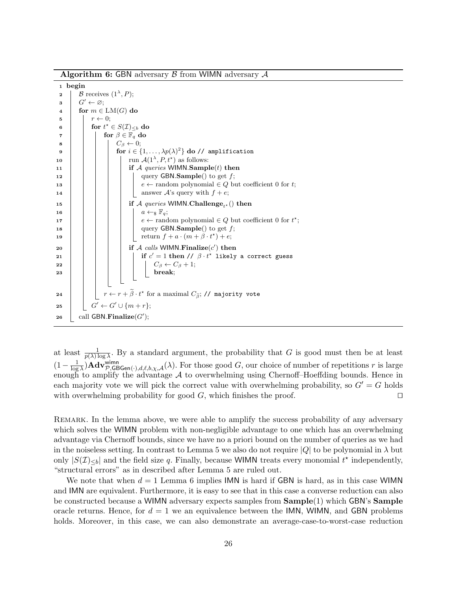Algorithm 6: GBN adversary  $\beta$  from WIMN adversary  $\mathcal A$ 

<sup>1</sup> begin 2 | B receives  $(1^{\lambda}, P)$ ;  $\begin{array}{ccc} \texttt{3} & \begin{array}{|c} \hline \end{array} & G' \leftarrow \varnothing; \end{array} \end{array}$ 4 for  $m \in LM(G)$  do  $\mathbf{5}$  |  $r \leftarrow 0;$  $\begin{array}{|c|c|c|}\hline \mathbf{6} & \multicolumn{1}{|c|}{\text{for }}t^{\star} \in S(\mathcal{I})_{\leq b}\text{ }\mathbf{do} \\\hline \end{array}$  $\tau$  | | for  $\beta \in \mathbb{F}_q$  do  $\begin{array}{c|c|c|c|c|c} \mathbf{s} & \mathbf{0} & \mathbf{0} & \mathbf{0} \end{array}$  $\mathbf{9} \quad | \quad | \quad | \quad \text{for } i \in \{1, \dots, \lambda p(\lambda)^2\} \text{ do } \texttt{ // amplification }$ 10 | | | |  $\text{run } \mathcal{A}(1^{\lambda}, P, t^{\star})$  as follows: 11 | | | if A queries WIMN.Sample(t) then 12  $\vert \vert \vert \vert$   $\vert$  query GBN.Sample() to get f; 13  $\vert \vert \vert \vert \vert$   $\vert e \leftarrow$  random polynomial  $\in Q$  but coefficient 0 for t; 14 | | | | | answer  $\mathcal{A}$ 's query with  $f + e$ ; 15 | | | | if A queries WIMN.Challenge<sub>t\*</sub> () then 16 | | | | |  $a \leftarrow_{\S} \mathbb{F}_q$ ; <sup>17</sup> e ← random polynomial ∈ Q but coefficient 0 for t ? ; 18  $\vert$   $\vert$   $\vert$   $\vert$   $\vert$   $\vert$  query GBN.Sample() to get f; 19 | | | | | return  $f + a \cdot (m + \beta \cdot t^*) + e;$  $\begin{array}{|c|c|c|c|}\hline \text{ } & & \end{array} \qquad \begin{array}{|c|c|c|c|}\hline \text{ } & & \end{array} \text{ if } \mathcal{A}\text{ calls WIMN}.\text{Finalize}(c') \text{ then }$ <sup>21</sup> if c <sup>0</sup> = 1 then // β · t ? likely a correct guess 22 | | | | | |  $C_{\beta} \leftarrow C_{\beta} + 1;$ 23 | | | | | | break; 24  $\Big|\phantom{i}\Big| \Big\|_r \left\langle r + r + \widetilde{\beta}\cdot t^\star \right\rangle$  for a maximal  $C_{\widetilde{\beta}}$ ; // majority vote  $25 \quad | \quad | \quad G' \leftarrow G' \cup \{m+r\};$  $\mathsf{a} \mathsf{a} \mathsf{b} = \mathsf{b} \mathsf{b}$  call GBN. Finalize  $(G')$ ;

at least  $\frac{1}{p(\lambda)\log\lambda}$ . By a standard argument, the probability that G is good must then be at least  $(1-\frac{1}{\log n})$  $\frac{1}{\log \lambda}$ )**Adv**<sup>wimn</sup><br> $\log \frac{1}{\gamma}$ ,GBGen(·),d,l,b, $\chi$ ,A( $\lambda$ ). For those good G, our choice of number of repetitions r is large enough to amplify the advantage  $A$  to overwhelming using Chernoff–Hoeffding bounds. Hence in each majority vote we will pick the correct value with overwhelming probability, so  $G' = G$  holds with overwhelming probability for good  $G$ , which finishes the proof.

REMARK. In the lemma above, we were able to amplify the success probability of any adversary which solves the WIMN problem with non-negligible advantage to one which has an overwhelming advantage via Chernoff bounds, since we have no a priori bound on the number of queries as we had in the noiseless setting. In contrast to Lemma 5 we also do not require |Q| to be polynomial in  $\lambda$  but only  $|S(\mathcal{I})_{\leq b}|$  and the field size q. Finally, because WIMN treats every monomial  $t^*$  independently, "structural errors" as in described after Lemma 5 are ruled out.

We note that when  $d = 1$  Lemma 6 implies IMN is hard if GBN is hard, as in this case WIMN and IMN are equivalent. Furthermore, it is easy to see that in this case a converse reduction can also be constructed because a WIMN adversary expects samples from **Sample**(1) which GBN's **Sample** oracle returns. Hence, for  $d = 1$  we an equivalence between the IMN, WIMN, and GBN problems holds. Moreover, in this case, we can also demonstrate an average-case-to-worst-case reduction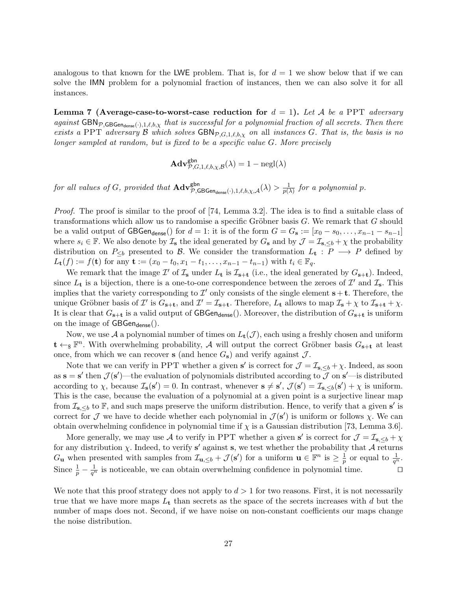analogous to that known for the LWE problem. That is, for  $d = 1$  we show below that if we can solve the IMN problem for a polynomial fraction of instances, then we can also solve it for all instances.

**Lemma 7 (Average-case-to-worst-case reduction for**  $d = 1$ ). Let A be a PPT adversary against  $\text{GBN}_{\mathcal{P},\text{GBGen}_{\text{dense}}(\cdot),1,\ell,b,\chi}$  that is successful for a polynomial fraction of all secrets. Then there exists a PPT adversary B which solves  $\text{GBN}_{\mathcal{P},G,1,\ell,b,\chi}$  on all instances G. That is, the basis is no longer sampled at random, but is fixed to be a specific value G. More precisely

$$
\mathbf{Adv}_{\mathcal{P},G,1,\ell,b,\chi,\mathcal{B}}^{\mathsf{gbn}}(\lambda) = 1 - \mathrm{negl}(\lambda)
$$

for all values of G, provided that  $\mathbf{Adv}_{\mathcal{P},\mathsf{GBGen}_{\mathsf{dense}}(\cdot),1,\ell,b,\chi,\mathcal{A}}^{\mathsf{gbn}}(\lambda) > \frac{1}{p(\lambda)}$  $\frac{1}{p(\lambda)}$  for a polynomial p.

Proof. The proof is similar to the proof of [74, Lemma 3.2]. The idea is to find a suitable class of transformations which allow us to randomise a specific Gröbner basis  $G$ . We remark that  $G$  should be a valid output of GBGen<sub>dense</sub>() for  $d = 1$ : it is of the form  $G = G_s := [x_0 - s_0, \ldots, x_{n-1} - s_{n-1}]$ where  $s_i \in \mathbb{F}$ . We also denote by  $\mathcal{I}_s$  the ideal generated by  $G_s$  and by  $\mathcal{J} = \mathcal{I}_{s, \leq b} + \chi$  the probability distribution on  $P_{\leq b}$  presented to B. We consider the transformation  $L_t : P \longrightarrow P$  defined by  $L_{\mathbf{t}}(f) := f(\mathbf{t})$  for any  $\mathbf{t} := (x_0 - t_0, x_1 - t_1, \ldots, x_{n-1} - t_{n-1})$  with  $t_i \in \mathbb{F}_q$ .

We remark that the image  $\mathcal{I}'$  of  $\mathcal{I}_s$  under  $L_t$  is  $\mathcal{I}_{s+t}$  (i.e., the ideal generated by  $G_{s+t}$ ). Indeed, since  $L_t$  is a bijection, there is a one-to-one correspondence between the zeroes of  $\mathcal{I}'$  and  $\mathcal{I}_s$ . This implies that the variety corresponding to  $\mathcal{I}'$  only consists of the single element  $s+t$ . Therefore, the unique Gröbner basis of  $\mathcal{I}'$  is  $G_{s+t}$ , and  $\mathcal{I}' = \mathcal{I}_{s+t}$ . Therefore,  $L_t$  allows to map  $\mathcal{I}_s + \chi$  to  $\mathcal{I}_{s+t} + \chi$ . It is clear that  $G_{s+t}$  is a valid output of GBGendense(). Moreover, the distribution of  $G_{s+t}$  is uniform on the image of  $GBGen_{dense}$ ).

Now, we use A a polynomial number of times on  $L_t(\mathcal{J})$ , each using a freshly chosen and uniform  $\mathbf{t} \leftarrow_{\S} \mathbb{F}^n$ . With overwhelming probability, A will output the correct Gröbner basis  $G_{s+t}$  at least once, from which we can recover s (and hence  $G_s$ ) and verify against  $\mathcal{J}$ .

Note that we can verify in PPT whether a given s' is correct for  $\mathcal{J} = \mathcal{I}_{s, \leq b} + \chi$ . Indeed, as soon as  $\mathbf{s} = \mathbf{s}'$  then  $\mathcal{J}(\mathbf{s}')$ —the evaluation of polynomials distributed according to  $\mathcal{J}$  on  $\mathbf{s}'$ —is distributed according to  $\chi$ , because  $\mathcal{I}_s(s') = 0$ . In contrast, whenever  $s \neq s'$ ,  $\mathcal{J}(s') = \mathcal{I}_{s, \leq b}(s') + \chi$  is uniform. This is the case, because the evaluation of a polynomial at a given point is a surjective linear map from  $\mathcal{I}_{s, \leq b}$  to F, and such maps preserve the uniform distribution. Hence, to verify that a given s' is correct for  $\mathcal J$  we have to decide whether each polynomial in  $\mathcal J(\mathbf s')$  is uniform or follows  $\chi$ . We can obtain overwhelming confidence in polynomial time if  $\chi$  is a Gaussian distribution [73, Lemma 3.6].

More generally, we may use A to verify in PPT whether a given s' is correct for  $\mathcal{J} = \mathcal{I}_{s, \leq b} + \chi$ for any distribution  $\chi$ . Indeed, to verify s' against s, we test whether the probability that A returns  $G_{\mathbf{u}}$  when presented with samples from  $\mathcal{I}_{\mathbf{u},\leq b}+\mathcal{J}(\mathbf{s}')$  for a uniform  $\mathbf{u}\in\mathbb{F}^n$  is  $\geq \frac{1}{n}$  $rac{1}{p}$  or equal to  $rac{1}{q^n}$ . Since  $\frac{1}{p} - \frac{1}{q^n}$  is noticeable, we can obtain overwhelming confidence in polynomial time.

We note that this proof strategy does not apply to  $d > 1$  for two reasons. First, it is not necessarily true that we have more maps  $L_t$  than secrets as the space of the secrets increases with d but the number of maps does not. Second, if we have noise on non-constant coefficients our maps change the noise distribution.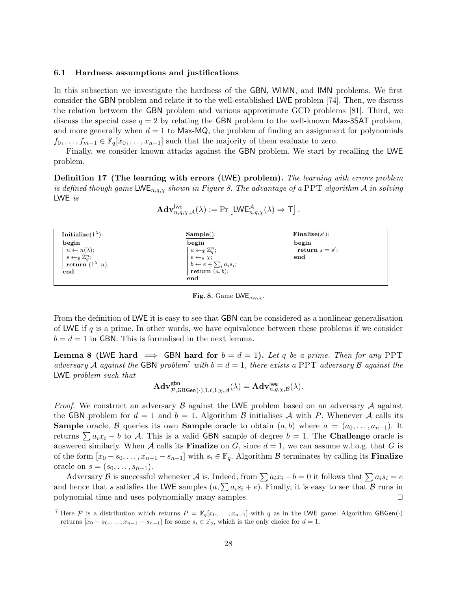### 6.1 Hardness assumptions and justifications

In this subsection we investigate the hardness of the GBN, WIMN, and IMN problems. We first consider the GBN problem and relate it to the well-established LWE problem [74]. Then, we discuss the relation between the GBN problem and various approximate GCD problems [81]. Third, we discuss the special case  $q = 2$  by relating the GBN problem to the well-known Max-3SAT problem, and more generally when  $d = 1$  to Max-MQ, the problem of finding an assignment for polynomials  $f_0, \ldots, f_{m-1} \in \mathbb{F}_q[x_0, \ldots, x_{n-1}]$  such that the majority of them evaluate to zero.

Finally, we consider known attacks against the GBN problem. We start by recalling the LWE problem.

Definition 17 (The learning with errors (LWE) problem). The learning with errors problem is defined though game  $LWE_{n,q,\chi}$  shown in Figure 8. The advantage of a PPT algorithm A in solving LWE is

$$
\mathbf{Adv}_{n,q,\chi,\mathcal{A}}^{\mathsf{Iwe}}(\lambda) := \Pr \left[ \mathsf{LWE}_{n,q,\chi}^{\mathcal{A}}(\lambda) \Rightarrow \mathsf{T} \right].
$$

| Initialize( $1^{\lambda}$ ):                                                                                | Sample():                                                                                                                                       | Finalize $(s')$ : |
|-------------------------------------------------------------------------------------------------------------|-------------------------------------------------------------------------------------------------------------------------------------------------|-------------------|
| begin                                                                                                       | begin                                                                                                                                           | begin             |
| $\left  \begin{array}{l} n \leftarrow n(\lambda); \\ s \leftarrow_{\$} \mathbb{Z}_q^n; \end{array} \right.$ | $\left   \begin{array}{l} a \leftarrow_{\$} \mathbb{Z}^n_q; \\ e \leftarrow_{\$} \chi; \\ b \leftarrow e + \sum_i a_i s_i; \end{array} \right.$ | return $s = s'$ : |
|                                                                                                             |                                                                                                                                                 | end               |
| return $(1^{\lambda}, n)$ ;                                                                                 |                                                                                                                                                 |                   |
| end                                                                                                         | return $(a, b)$ ;                                                                                                                               |                   |
|                                                                                                             | end                                                                                                                                             |                   |

Fig. 8. Game LWE<sub>n,q, $\chi$ </sub>.

From the definition of LWE it is easy to see that GBN can be considered as a nonlinear generalisation of LWE if  $q$  is a prime. In other words, we have equivalence between these problems if we consider  $b = d = 1$  in GBN. This is formalised in the next lemma.

**Lemma 8 (LWE hard**  $\implies$  **GBN hard for**  $b = d = 1$ ). Let q be a prime. Then for any PPT adversary A against the GBN problem<sup>7</sup> with  $b = d = 1$ , there exists a PPT adversary B against the LWE problem such that

$$
\mathbf{Adv}_{\mathcal{P},\mathsf{GBGen}(\cdot),1,\ell,1,\chi,\mathcal{A}}^{\mathsf{gbn}}(\lambda) = \mathbf{Adv}_{n,q,\chi,\mathcal{B}}^{\mathsf{live}}(\lambda).
$$

*Proof.* We construct an adversary  $\beta$  against the LWE problem based on an adversary  $\mathcal A$  against the GBN problem for  $d = 1$  and  $b = 1$ . Algorithm B initialises A with P. Whenever A calls its **Sample** oracle, B queries its own **Sample** oracle to obtain  $(a, b)$  where  $a = (a_0, \ldots, a_{n-1})$ . It returns  $\sum a_i x_i - b$  to A. This is a valid GBN sample of degree  $b = 1$ . The **Challenge** oracle is answered similarly. When A calls its **Finalize** on G, since  $d = 1$ , we can assume w.l.o.g. that G is of the form  $[x_0 - s_0, \ldots, x_{n-1} - s_{n-1}]$  with  $s_i \in \mathbb{F}_q$ . Algorithm B terminates by calling its **Finalize** oracle on  $s = (s_0, \ldots, s_{n-1}).$ 

Adversary B is successful whenever A is. Indeed, from  $\sum a_i x_i - b = 0$  it follows that  $\sum a_i s_i = e$ and hence that s satisfies the LWE samples  $(a, \sum a_i s_i + e)$ . Finally, it is easy to see that B runs in polynomial time and uses polynomially many samples.  $\Box$ 

<sup>&</sup>lt;sup>7</sup> Here P is a distribution which returns  $P = \mathbb{F}_q[x_0, \ldots, x_{n-1}]$  with q as in the LWE game. Algorithm GBGen(·) returns  $[x_0 - s_0, \ldots, x_{n-1} - s_{n-1}]$  for some  $s_i \in \mathbb{F}_q$ , which is the only choice for  $d = 1$ .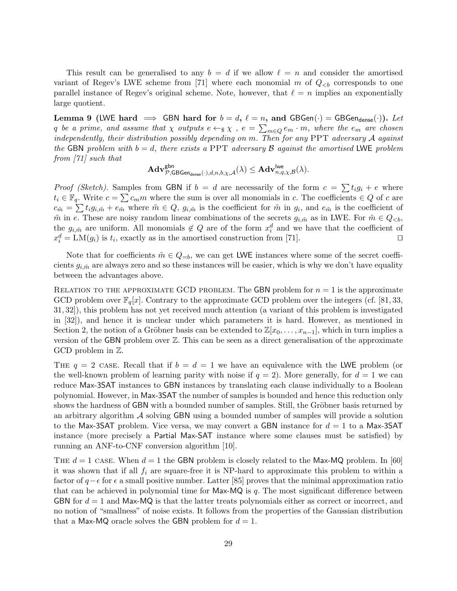This result can be generalised to any  $b = d$  if we allow  $\ell = n$  and consider the amortised variant of Regev's LWE scheme from [71] where each monomial m of  $Q_{< b}$  corresponds to one parallel instance of Regev's original scheme. Note, however, that  $\ell = n$  implies an exponentially large quotient.

**Lemma 9** (LWE hard  $\implies$  GBN hard for  $b = d$ ,  $\ell = n$ , and GBGen(·) = GBGen<sub>dense</sub>(·)). Let q be a prime, and assume that  $\chi$  outputs  $e \leftarrow_{\$} \chi$  ,  $e = \sum_{m \in Q} e_m \cdot m$ , where the  $e_m$  are chosen independently, their distribution possibly depending on m. Then for any  $PPT$  adversary  $\mathcal A$  against the GBN problem with  $b = d$ , there exists a PPT adversary  $\beta$  against the amortised LWE problem from [71] such that

$$
\mathbf{Adv}_{\mathcal{P},\mathsf{GBGen}_{\mathsf{dense}}(\cdot),d,n,b,\chi,\mathcal{A}}^{\mathsf{gbn}}(\lambda) \leq \mathbf{Adv}_{n,q,\chi,\mathcal{B}}^{\mathsf{live}}(\lambda).
$$

*Proof (Sketch)*. Samples from GBN if  $b = d$  are necessarily of the form  $c = \sum t_i g_i + e$  where  $t_i \in \mathbb{F}_q$ . Write  $c = \sum c_m m$  where the sum is over all monomials in c. The coefficients  $\in Q$  of c are  $c_{\tilde{m}} = \sum t_i g_{i,\tilde{m}} + e_{\tilde{m}}$  where  $\tilde{m} \in Q$ ,  $g_{i,\tilde{m}}$  is the coefficient for  $\tilde{m}$  in  $g_i$ , and  $e_{\tilde{m}}$  is the coefficient of  $\tilde{m}$  in e. These are noisy random linear combinations of the secrets  $g_{i,\tilde{m}}$  as in LWE. For  $\tilde{m} \in Q_{< b}$ , the  $g_{i,\tilde{m}}$  are uniform. All monomials  $\notin Q$  are of the form  $x_i^d$  and we have that the coefficient of  $x_i^d = \text{LM}(g_i)$  is  $t_i$ , exactly as in the amortised construction from [71].

Note that for coefficients  $\tilde{m} \in Q_{=b}$ , we can get LWE instances where some of the secret coefficients  $g_{i,\tilde{m}}$  are always zero and so these instances will be easier, which is why we don't have equality between the advantages above.

RELATION TO THE APPROXIMATE GCD PROBLEM. The GBN problem for  $n = 1$  is the approximate GCD problem over  $\mathbb{F}_q[x]$ . Contrary to the approximate GCD problem over the integers (cf. [81, 33, 31, 32]), this problem has not yet received much attention (a variant of this problem is investigated in [32]), and hence it is unclear under which parameters it is hard. However, as mentioned in Section 2, the notion of a Gröbner basis can be extended to  $\mathbb{Z}[x_0, \ldots, x_{n-1}]$ , which in turn implies a version of the GBN problem over Z. This can be seen as a direct generalisation of the approximate GCD problem in Z.

THE  $q = 2$  CASE. Recall that if  $b = d = 1$  we have an equivalence with the LWE problem (or the well-known problem of learning parity with noise if  $q = 2$ ). More generally, for  $d = 1$  we can reduce Max-3SAT instances to GBN instances by translating each clause individually to a Boolean polynomial. However, in Max-3SAT the number of samples is bounded and hence this reduction only shows the hardness of GBN with a bounded number of samples. Still, the Gröbner basis returned by an arbitrary algorithm  $\mathcal A$  solving GBN using a bounded number of samples will provide a solution to the Max-3SAT problem. Vice versa, we may convert a GBN instance for  $d = 1$  to a Max-3SAT instance (more precisely a Partial Max-SAT instance where some clauses must be satisfied) by running an ANF-to-CNF conversion algorithm [10].

THE  $d = 1$  CASE. When  $d = 1$  the GBN problem is closely related to the Max-MQ problem. In [60] it was shown that if all  $f_i$  are square-free it is NP-hard to approximate this problem to within a factor of  $q-\epsilon$  for  $\epsilon$  a small positive number. Latter [85] proves that the minimal approximation ratio that can be achieved in polynomial time for  $Max-MQ$  is q. The most significant difference between GBN for  $d = 1$  and Max-MQ is that the latter treats polynomials either as correct or incorrect, and no notion of "smallness" of noise exists. It follows from the properties of the Gaussian distribution that a Max-MQ oracle solves the GBN problem for  $d = 1$ .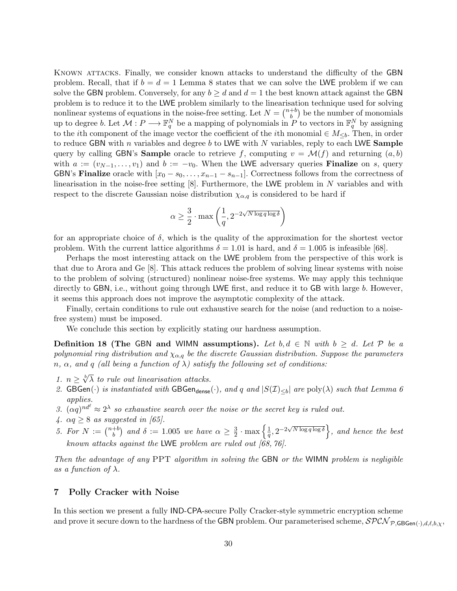Known attacks. Finally, we consider known attacks to understand the difficulty of the GBN problem. Recall, that if  $b = d = 1$  Lemma 8 states that we can solve the LWE problem if we can solve the GBN problem. Conversely, for any  $b \geq d$  and  $d = 1$  the best known attack against the GBN problem is to reduce it to the LWE problem similarly to the linearisation technique used for solving nonlinear systems of equations in the noise-free setting. Let  $N = \binom{n+b}{b}$  $\binom{+b}{b}$  be the number of monomials up to degree b. Let  $\mathcal{M}: P \longrightarrow \mathbb{F}_q^N$  be a mapping of polynomials in  $P$  to vectors in  $\mathbb{F}_q^N$  by assigning to the *i*th component of the image vector the coefficient of the *i*th monomial  $\in M_{\leq b}$ . Then, in order to reduce GBN with n variables and degree b to LWE with  $N$  variables, reply to each LWE Sample query by calling GBN's **Sample** oracle to retrieve f, computing  $v = \mathcal{M}(f)$  and returning  $(a, b)$ with  $a := (v_{N-1}, \ldots, v_1)$  and  $b := -v_0$ . When the LWE adversary queries **Finalize** on s, query GBN's Finalize oracle with  $[x_0 - s_0, \ldots, x_{n-1} - s_{n-1}]$ . Correctness follows from the correctness of linearisation in the noise-free setting  $[8]$ . Furthermore, the LWE problem in N variables and with respect to the discrete Gaussian noise distribution  $\chi_{\alpha,q}$  is considered to be hard if

$$
\alpha \geq \frac{3}{2} \cdot \max\left(\frac{1}{q}, 2^{-2\sqrt{N \log q \log \delta}}\right)
$$

for an appropriate choice of  $\delta$ , which is the quality of the approximation for the shortest vector problem. With the current lattice algorithms  $\delta = 1.01$  is hard, and  $\delta = 1.005$  is infeasible [68].

Perhaps the most interesting attack on the LWE problem from the perspective of this work is that due to Arora and Ge [8]. This attack reduces the problem of solving linear systems with noise to the problem of solving (structured) nonlinear noise-free systems. We may apply this technique directly to GBN, i.e., without going through LWE first, and reduce it to GB with large b. However, it seems this approach does not improve the asymptotic complexity of the attack.

Finally, certain conditions to rule out exhaustive search for the noise (and reduction to a noisefree system) must be imposed.

We conclude this section by explicitly stating our hardness assumption.

Definition 18 (The GBN and WIMN assumptions). Let b,  $d \in \mathbb{N}$  with  $b \geq d$ . Let P be a polynomial ring distribution and  $\chi_{\alpha,q}$  be the discrete Gaussian distribution. Suppose the parameters n,  $\alpha$ , and q (all being a function of  $\lambda$ ) satisfy the following set of conditions:

- 1.  $n \geq \sqrt[6]{\lambda}$  to rule out linearisation attacks.
- 2. GBGen(·) is instantiated with GBGendense(·), and q and  $|S(\mathcal{I})_{< b}|$  are poly( $\lambda$ ) such that Lemma 6 applies.
- 3.  $(\alpha q)^{nd^{\ell}} \approx 2^{\lambda}$  so exhaustive search over the noise or the secret key is ruled out.
- 4.  $\alpha q \geq 8$  as suggested in [65].
- 5. For  $N := \binom{n+b}{b}$  $\binom{+b}{b}$  and  $\delta := 1.005$  we have  $\alpha \geq \frac{3}{2}$  $rac{3}{2} \cdot \max\left\{\frac{1}{q}\right\}$  $\frac{1}{q}, 2^{-2\sqrt{N \log q \log \delta}} \Big\},$  and hence the best known attacks against the LWE problem are ruled out  $\ket{68, 76}$ .

Then the advantage of any PPT algorithm in solving the GBN or the WIMN problem is negligible as a function of  $\lambda$ .

# 7 Polly Cracker with Noise

In this section we present a fully IND-CPA-secure Polly Cracker-style symmetric encryption scheme and prove it secure down to the hardness of the GBN problem. Our parameterised scheme,  $\mathcal{SPCN}_{\mathcal{P},\mathsf{GBGen}(\cdot),d,\ell,b,\chi}$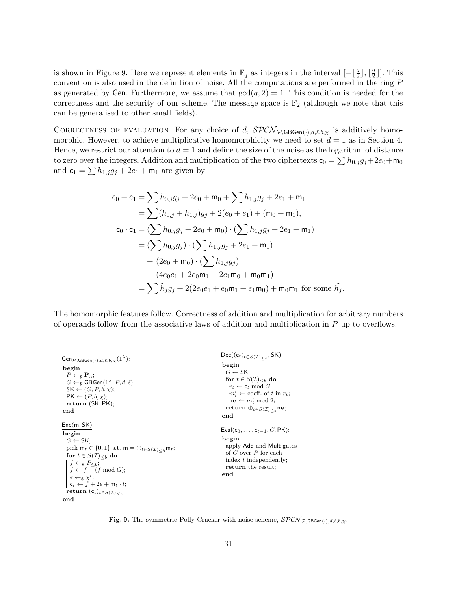is shown in Figure 9. Here we represent elements in  $\mathbb{F}_q$  as integers in the interval  $[-\lfloor \frac{q}{2} \rfloor, \lfloor \frac{q}{2} \rfloor]$  $\frac{q}{2}]$ . This convention is also used in the definition of noise. All the computations are performed in the ring P as generated by Gen. Furthermore, we assume that  $gcd(q, 2) = 1$ . This condition is needed for the correctness and the security of our scheme. The message space is  $\mathbb{F}_2$  (although we note that this can be generalised to other small fields).

CORRECTNESS OF EVALUATION. For any choice of d,  $\mathcal{SPCN}_{\mathcal{P},\mathsf{GBGen}(\cdot),d,\ell,b,\chi}$  is additively homomorphic. However, to achieve multiplicative homomorphicity we need to set  $d = 1$  as in Section 4. Hence, we restrict our attention to  $d = 1$  and define the size of the noise as the logarithm of distance to zero over the integers. Addition and multiplication of the two ciphertexts  $c_0 = \sum h_{0,j}g_j + 2e_0 + m_0$ and  $\mathsf{c}_1 = \sum h_{1,j} g_j + 2e_1 + \mathsf{m}_1$  are given by

$$
c_0 + c_1 = \sum h_{0,j}g_j + 2e_0 + m_0 + \sum h_{1,j}g_j + 2e_1 + m_1
$$
  
=  $\sum (h_{0,j} + h_{1,j})g_j + 2(e_0 + e_1) + (m_0 + m_1),$   
 $c_0 \cdot c_1 = (\sum h_{0,j}g_j + 2e_0 + m_0) \cdot (\sum h_{1,j}g_j + 2e_1 + m_1)$   
=  $(\sum h_{0,j}g_j) \cdot (\sum h_{1,j}g_j + 2e_1 + m_1)$   
+  $(2e_0 + m_0) \cdot (\sum h_{1,j}g_j)$   
+  $(4e_0e_1 + 2e_0m_1 + 2e_1m_0 + m_0m_1)$   
=  $\sum \tilde{h}_jg_j + 2(2e_0e_1 + e_0m_1 + e_1m_0) + m_0m_1$  for some  $\tilde{h}_j$ .

The homomorphic features follow. Correctness of addition and multiplication for arbitrary numbers of operands follow from the associative laws of addition and multiplication in P up to overflows.

| Gen $_{\mathcal{P},\text{GBGen}(\cdot),d,\ell,b,\chi}(1^{\lambda})$ :                                                                                                                                                                                                                                                                                                                                                             | $\mathsf{Dec}((\mathsf{c}_t)_{t\in S(\mathcal{I})_{\leq b}}, \mathsf{SK})$ :                                                                                                                                                                                           |
|-----------------------------------------------------------------------------------------------------------------------------------------------------------------------------------------------------------------------------------------------------------------------------------------------------------------------------------------------------------------------------------------------------------------------------------|------------------------------------------------------------------------------------------------------------------------------------------------------------------------------------------------------------------------------------------------------------------------|
| begin<br>$P \leftarrow_{\mathfrak{S}} \mathbf{P}_{\lambda}$ :<br>$G \leftarrow_{\Re} \mathsf{GBGen}(1^{\lambda}, P, d, \ell);$<br>$SK \leftarrow (G, P, b, \chi);$<br>$PK \leftarrow (P, b, \chi);$<br>return (SK, PK);<br>end                                                                                                                                                                                                    | begin<br>$G \leftarrow$ SK:<br>for $t \in S(\mathcal{I})_{\leq b}$ do<br>$r_t \leftarrow \mathsf{c}_t \mod G;$<br>$m'_t \leftarrow$ coeff. of t in $r_t$ ;<br>$m_t \leftarrow m'_t \mod 2;$<br>return $\oplus_{t \in S(\mathcal{I})_{\leq b}}$ m <sub>t</sub> ;<br>end |
| Enc(m, SK):<br>begin<br>$G \leftarrow SK:$<br>pick $m_t \in \{0,1\}$ s.t. $m = \bigoplus_{t \in S(\mathcal{I})_{\leq h}} m_t$ ;<br>for $t \in S(\mathcal{I})_{\leq b}$ do<br>$\left  \begin{array}{l} f \leftarrow_{\$} P_{\leq b}; \\ f \leftarrow f - (f \bmod G); \end{array} \right.$<br>$e \leftarrow_{\mathbb{S}} \chi^t$ ;<br>$c_t \leftarrow f + 2e + m_t \cdot t;$<br>return $(c_t)_{t \in S(\mathcal{I}) < b}$ ;<br>end | $Eval(c_0, \ldots, c_{t-1}, C, PK)$ :<br>begin<br>apply Add and Mult gates<br>of C over $P$ for each<br>index $t$ independently;<br>return the result:<br>end                                                                                                          |

Fig. 9. The symmetric Polly Cracker with noise scheme,  $\mathcal{SPCN}_{\mathcal{P},\mathsf{GBGen}(\cdot),d,\ell,b,\chi}$ .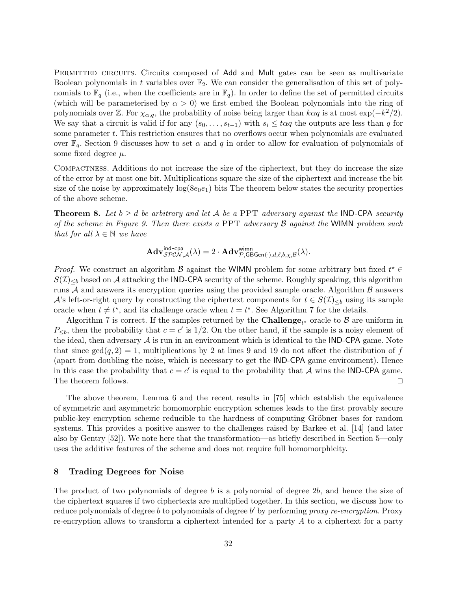PERMITTED CIRCUITS. Circuits composed of Add and Mult gates can be seen as multivariate Boolean polynomials in t variables over  $\mathbb{F}_2$ . We can consider the generalisation of this set of polynomials to  $\mathbb{F}_q$  (i.e., when the coefficients are in  $\mathbb{F}_q$ ). In order to define the set of permitted circuits (which will be parameterised by  $\alpha > 0$ ) we first embed the Boolean polynomials into the ring of polynomials over Z. For  $\chi_{\alpha,q}$ , the probability of noise being larger than  $k\alpha q$  is at most  $\exp(-k^2/2)$ . We say that a circuit is valid if for any  $(s_0, \ldots, s_{t-1})$  with  $s_i \leq t \alpha q$  the outputs are less than q for some parameter t. This restriction ensures that no overflows occur when polynomials are evaluated over  $\mathbb{F}_q$ . Section 9 discusses how to set  $\alpha$  and q in order to allow for evaluation of polynomials of some fixed degree  $\mu$ .

Compactness. Additions do not increase the size of the ciphertext, but they do increase the size of the error by at most one bit. Multiplications square the size of the ciphertext and increase the bit size of the noise by approximately  $log(8e_0e_1)$  bits The theorem below states the security properties of the above scheme.

**Theorem 8.** Let  $b \geq d$  be arbitrary and let A be a PPT adversary against the IND-CPA security of the scheme in Figure 9. Then there exists a PPT adversary B against the WIMN problem such that for all  $\lambda \in \mathbb{N}$  we have

$$
\mathbf{Adv}_{\mathcal{SPCN},\mathcal{A}}^{\mathsf{ind-cpa}}(\lambda) = 2 \cdot \mathbf{Adv}_{\mathcal{P},\mathsf{GBGen}(\cdot),d,\ell,b,\chi,\mathcal{B}}^{\mathsf{wind}}(\lambda).
$$

*Proof.* We construct an algorithm B against the WIMN problem for some arbitrary but fixed  $t^* \in$  $S(\mathcal{I})_{\leq h}$  based on A attacking the IND-CPA security of the scheme. Roughly speaking, this algorithm runs  $A$  and answers its encryption queries using the provided sample oracle. Algorithm  $B$  answers A's left-or-right query by constructing the ciphertext components for  $t \in S(\mathcal{I})_{\leq b}$  using its sample oracle when  $t \neq t^*$ , and its challenge oracle when  $t = t^*$ . See Algorithm 7 for the details.

Algorithm 7 is correct. If the samples returned by the **Challenge**<sub>t</sub>, oracle to  $\mathcal{B}$  are uniform in  $P_{\leq b}$ , then the probability that  $c = c'$  is 1/2. On the other hand, if the sample is a noisy element of the ideal, then adversary  $A$  is run in an environment which is identical to the IND-CPA game. Note that since  $gcd(q, 2) = 1$ , multiplications by 2 at lines 9 and 19 do not affect the distribution of f (apart from doubling the noise, which is necessary to get the IND-CPA game environment). Hence in this case the probability that  $c = c'$  is equal to the probability that A wins the **IND-CPA** game. The theorem follows.  $\Box$ 

The above theorem, Lemma 6 and the recent results in [75] which establish the equivalence of symmetric and asymmetric homomorphic encryption schemes leads to the first provably secure public-key encryption scheme reducible to the hardness of computing Gröbner bases for random systems. This provides a positive answer to the challenges raised by Barkee et al. [14] (and later also by Gentry [52]). We note here that the transformation—as briefly described in Section 5—only uses the additive features of the scheme and does not require full homomorphicity.

# 8 Trading Degrees for Noise

The product of two polynomials of degree  $b$  is a polynomial of degree  $2b$ , and hence the size of the ciphertext squares if two ciphertexts are multiplied together. In this section, we discuss how to reduce polynomials of degree  $b$  to polynomials of degree  $b'$  by performing proxy re-encryption. Proxy re-encryption allows to transform a ciphertext intended for a party A to a ciphertext for a party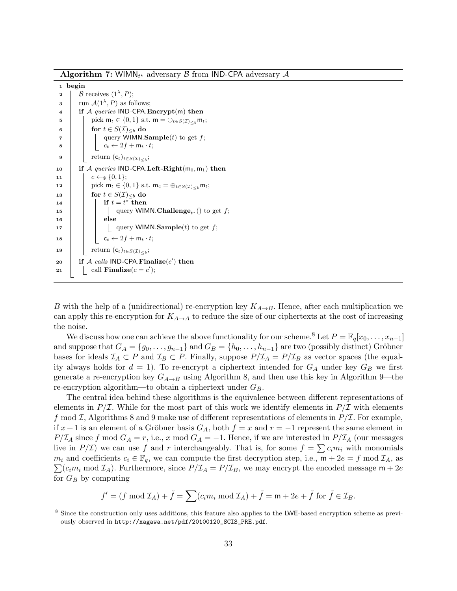Algorithm 7: WIMN<sub>t</sub><sup>\*</sup> adversary  $\beta$  from IND-CPA adversary  $\mathcal A$ 

```
1 begin
 2 | B receives (1^{\lambda}, P);
 \mathsf{sum} run \mathcal{A}(1^{\lambda}, P) as follows;
 4 if A queries IND-CPA. Encrypt(m) then
 5 | | pick m_t \in \{0, 1\} s.t. m = \bigoplus_{t \in S(\mathcal{I}) \leq b} m_t;6 for t \in S(\mathcal{I})_{\leq b} do
 \tau | | query WIMN.Sample(t) to get f;
 \begin{array}{c|c|c|c|c} \mathbf{s} & \mathbf{0} & \mathbf{0} & \mathbf{c}_t \leftarrow 2f + \mathsf{m}_t \cdot t; \end{array}9 | return (c_t)_{t \in S(\mathcal{I}) < b};10 if A queries IND-CPA.Left-Right(m_0, m_1) then
11 c \leftarrow_{\$} \{0,1\};12 | pick m_t \in \{0, 1\} s.t. m_c = \bigoplus_{t \in S(\mathcal{I}) \leq b} m_t;13 for t \in S(\mathcal{I})_{\leq b} do
14 if t = t^* then
15 | | | query WIMN.Challenge<sub>t</sub>\phi () to get f;
16 else
17 | | | query WIMN.Sample(t) to get f;
18 ct ← 2f + mt · t;
19 | return (c_t)_{t \in S(\mathcal{I}) < b};
20 if A calls IND-CPA. Finalize(c') then
21 | call Finalize(c = c');
```
B with the help of a (unidirectional) re-encryption key  $K_{A\rightarrow B}$ . Hence, after each multiplication we can apply this re-encryption for  $K_{A\rightarrow A}$  to reduce the size of our ciphertexts at the cost of increasing the noise.

We discuss how one can achieve the above functionality for our scheme.<sup>8</sup> Let  $P = \mathbb{F}_q[x_0, \ldots, x_{n-1}]$ and suppose that  $G_A = \{g_0, \ldots, g_{n-1}\}\$  and  $G_B = \{h_0, \ldots, h_{n-1}\}\$  are two (possibly distinct) Gröbner bases for ideals  $\mathcal{I}_A \subset P$  and  $\mathcal{I}_B \subset P$ . Finally, suppose  $P/\mathcal{I}_A = P/\mathcal{I}_B$  as vector spaces (the equality always holds for  $d = 1$ ). To re-encrypt a ciphertext intended for  $G_A$  under key  $G_B$  we first generate a re-encryption key  $G_{A\rightarrow B}$  using Algorithm 8, and then use this key in Algorithm 9—the re-encryption algorithm—to obtain a ciphertext under  $G_B$ .

The central idea behind these algorithms is the equivalence between different representations of elements in  $P/\mathcal{I}$ . While for the most part of this work we identify elements in  $P/\mathcal{I}$  with elements f mod I, Algorithms 8 and 9 make use of different representations of elements in  $P/L$ . For example, if  $x+1$  is an element of a Gröbner basis  $G_A$ , both  $f = x$  and  $r = -1$  represent the same element in  $P/\mathcal{I}_A$  since f mod  $G_A = r$ , i.e., x mod  $G_A = -1$ . Hence, if we are interested in  $P/\mathcal{I}_A$  (our messages live in  $P/\mathcal{I}$ ) we can use f and r interchangeably. That is, for some  $f = \sum c_i m_i$  with monomials  $m_i$  and coefficients  $c_i \in \mathbb{F}_q$ , we can compute the first decryption step, i.e.,  $\mathsf{m} + 2e = f \bmod \mathcal{I}_A$ , as  $\sum (c_i m_i \text{ mod } \mathcal{I}_A)$ . Furthermore, since  $P/\mathcal{I}_A = P/\mathcal{I}_B$ , we may encrypt the encoded message  $\mathsf{m} + 2e$ for  $G_B$  by computing

$$
f' = (f \bmod \mathcal{I}_A) + \tilde{f} = \sum (c_i m_i \bmod \mathcal{I}_A) + \tilde{f} = \mathsf{m} + 2e + \tilde{f} \text{ for } \tilde{f} \in \mathcal{I}_B.
$$

<sup>&</sup>lt;sup>8</sup> Since the construction only uses additions, this feature also applies to the LWE-based encryption scheme as previously observed in http://xagawa.net/pdf/20100120\_SCIS\_PRE.pdf.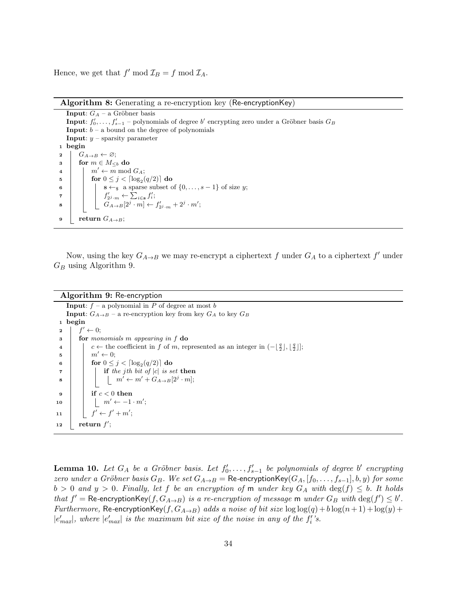Hence, we get that  $f' \mod \mathcal{I}_B = f \mod \mathcal{I}_A$ .

Algorithm 8: Generating a re-encryption key (Re-encryptionKey)

**Input:**  $G_A$  – a Gröbner basis **Input**:  $f'_0, \ldots, f'_{s-1}$  – polynomials of degree b' encrypting zero under a Gröbner basis  $G_B$ **Input:**  $b - a$  bound on the degree of polynomials **Input:**  $y$  – sparsity parameter <sup>1</sup> begin 2  $G_{A\rightarrow B} \leftarrow \varnothing;$  $3 \quad | \quad \text{for } m \in M_{\leq b} \text{ do}$ 4  $m' \leftarrow m \mod G_A;$  $\quad \ \ \, \mathsf{s} \quad \quad \mid \quad \mathbf{for} \,\, 0 \leq j < \lceil \log_2(q/2) \rceil \,\, \mathbf{do}$ 6  $\vert \vert$  s  $\leftarrow$  s a sparse subset of  $\{0, \ldots, s-1\}$  of size y;  $\tau$  |  $f'_{2^j \cdot m} \leftarrow \sum_{i \in \mathbf{s}} f'_i;$  $\begin{array}{|c|c|c|c|c|}\n\hline\n8 & & \phantom{0} & G_{A\rightarrow B}[2^j\cdot m] & \leftarrow & f'_{2^j\cdot m} + 2^j\cdot m';\n\hline\n\end{array}$ 9 return  $G_{A\rightarrow B}$ ;

Now, using the key  $G_{A\rightarrow B}$  we may re-encrypt a ciphertext f under  $G_A$  to a ciphertext f' under  $G_B$  using Algorithm 9.

```
Algorithm 9: Re-encryption
```

```
Input: f - a polynomial in P of degree at most b
      Input: G_{A\rightarrow B} – a re-encryption key from key G_A to key G_B1 begin
  2 \mid f' \leftarrow 0;3 for monomials m appearing in f do
  4 c ← the coefficient in f of m, represented as an integer in \left(-\lfloor \frac{q}{2} \rfloor, \lfloor \frac{q}{2} \rfloor \rfloor;5 \mid m' \leftarrow 0;\begin{array}{|c|c|c|}\ \text{\hspace{0.3cm}6}\ \text{\hspace{0.3cm}of}\ \text{\hspace{0.3cm}for}\ 0\leq j<\lceil \log_2(q/2)\rceil\ \text{\hspace{0.3cm}do} \end{array}\tau | | if the jth bit of |c| is set then
  \begin{array}{|c|c|c|c|c|}\hline \hspace{0.2cm}8 & & \hspace{0.2cm} & \hspace{0.2cm} & \hspace{0.2cm} & \hspace{0.2cm} & \hspace{0.2cm} & \hspace{0.2cm} & \hspace{0.2cm} & \hspace{0.2cm} & \hspace{0.2cm} & \hspace{0.2cm} & \hspace{0.2cm} & \hspace{0.2cm} & \hspace{0.2cm} & \hspace{0.2cm} & \hspace{0.2cm} & \hspace{0.2cm} & \hspace{0.2cm} & \hspace{0.2cm} & \hspace{0.2cm}9 \mid \text{if } c < 0 \text{ then}10 m0 ← −1 · m0
;
11 \vert f' \leftarrow f' + m';\begin{array}{cc} 12 \end{array} return f';
```
**Lemma 10.** Let  $G_A$  be a Gröbner basis. Let  $f'_0, \ldots, f'_{s-1}$  be polynomials of degree b' encrypting zero under a Gröbner basis  $G_B$ . We set  $G_{A\rightarrow B}$  = Re-encryptionKey( $G_A$ ,  $[f_0, \ldots, f_{s-1}], b, y$ ) for some  $b > 0$  and  $y > 0$ . Finally, let f be an encryption of m under key  $G_A$  with  $\deg(f) \leq b$ . It holds that  $f' = \text{Re-encryptionKey}(f, G_{A \to B})$  is a re-encryption of message m under  $G_B$  with  $\deg(f') \leq b'$ . Furthermore, Re-encryptionKey(f,  $G_{A\rightarrow B}$ ) adds a noise of bit size  $\log \log(q) + b \log(n + 1) + \log(y) +$  $|e'_{max}|$ , where  $|e'_{max}|$  is the maximum bit size of the noise in any of the  $f'_{i}$ 's.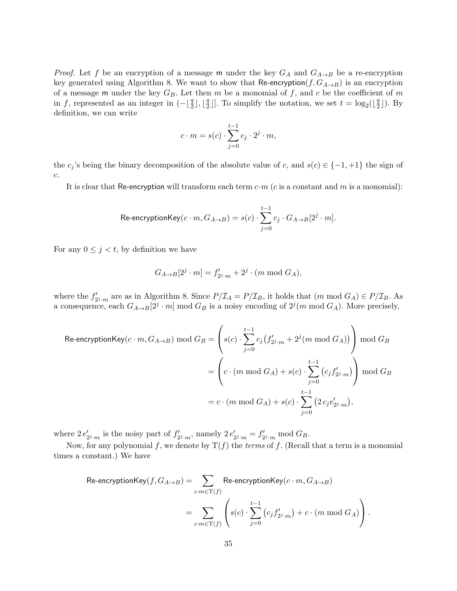*Proof.* Let f be an encryption of a message m under the key  $G_A$  and  $G_{A\rightarrow B}$  be a re-encryption key generated using Algorithm 8. We want to show that Re-encryption $(f, G_{A\rightarrow B})$  is an encryption of a message m under the key  $G_B$ . Let then m be a monomial of f, and c be the coefficient of m in f, represented as an integer in  $\left(-\lfloor \frac{q}{2} \rfloor, \lfloor \frac{q}{2} \rfloor\right)$  $\frac{q}{2}$ ]. To simplify the notation, we set  $t = \log_2(\lfloor \frac{q}{2} \rfloor)$  $\frac{q}{2}$ ]). By definition, we can write

$$
c \cdot m = s(c) \cdot \sum_{j=0}^{t-1} c_j \cdot 2^j \cdot m,
$$

the c<sub>j</sub>'s being the binary decomposition of the absolute value of c, and  $s(c) \in \{-1, +1\}$  the sign of  $\boldsymbol{c}.$ 

It is clear that Re-encryption will transform each term  $c \cdot m$  (c is a constant and m is a monomial):

$$
\textsf{Re-encryptionKey}(c \cdot m, G_{A \to B}) = s(c) \cdot \sum_{j=0}^{t-1} c_j \cdot G_{A \to B} [2^j \cdot m].
$$

For any  $0 \leq j \leq t$ , by definition we have

$$
G_{A\rightarrow B}[2j \cdot m] = f'_{2j \cdot m} + 2j \cdot (m \bmod G_A),
$$

where the  $f'_{2}$  $Z'_{2^j \cdot m}$  are as in Algorithm 8. Since  $P/\mathcal{I}_A = P/\mathcal{I}_B$ , it holds that  $(m \mod G_A) \in P/\mathcal{I}_B$ . As a consequence, each  $G_{A\rightarrow B}[2^j \cdot m] \mod G_B$  is a noisy encoding of  $2^j(m \mod G_A)$ . More precisely,

$$
\begin{aligned} \text{Re-encryptionKey}(c \cdot m, G_{A \to B}) \text{ mod } G_B &= \left( s(c) \cdot \sum_{j=0}^{t-1} c_j \left( f'_{2^j \cdot m} + 2^j (m \text{ mod } G_A) \right) \right) \text{ mod } G_B \\ &= \left( c \cdot (m \text{ mod } G_A) + s(c) \cdot \sum_{j=0}^{t-1} \left( c_j f'_{2^j \cdot m} \right) \right) \text{ mod } G_B \\ &= c \cdot (m \text{ mod } G_A) + s(c) \cdot \sum_{j=0}^{t-1} \left( 2 \, c_j e'_{2^j \cdot m} \right), \end{aligned}
$$

where  $2 e_1'$  $y'_{2^j \cdot m}$  is the noisy part of  $f'_2$  $\mathbf{z}'_{2^j \cdot m}$ , namely  $2 e'_2$  $y'_{2^j \cdot m} = f'_2$  $C'_{2^j \cdot m}$  mod  $G_B$ .

Now, for any polynomial f, we denote by  $T(f)$  the *terms* of f. (Recall that a term is a monomial times a constant.) We have

Re-encryptionKey
$$
(f, G_{A\to B})
$$
 =  $\sum_{c \cdot m \in \mathcal{T}(f)}$  Re-encryptionKey $(c \cdot m, G_{A\to B})$   
 =  $\sum_{c \cdot m \in \mathcal{T}(f)} \left( s(c) \cdot \sum_{j=0}^{t-1} (c_j f'_{2^j \cdot m}) + c \cdot (m \mod G_A) \right)$ .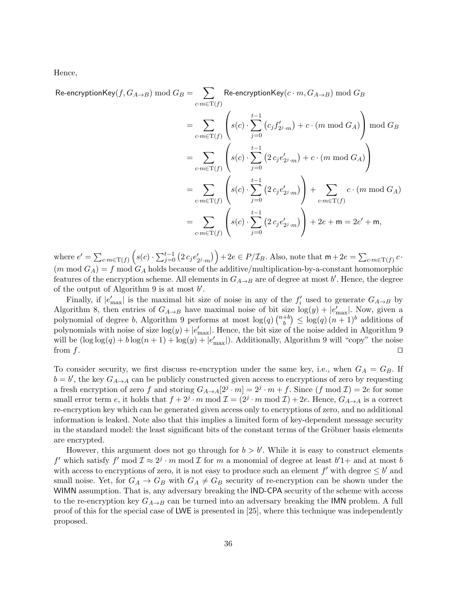Hence,

$$
\begin{aligned}\n\text{Re-encryptionKey}(f, G_{A \to B}) \text{ mod } G_B &= \sum_{c \cdot m \in \text{T}(f)} \text{Re-encryptionKey}(c \cdot m, G_{A \to B}) \text{ mod } G_B \\
&= \sum_{c \cdot m \in \text{T}(f)} \left( s(c) \cdot \sum_{j=0}^{t-1} \left( c_j f'_{2^j \cdot m} \right) + c \cdot (m \text{ mod } G_A) \right) \text{ mod } G_B \\
&= \sum_{c \cdot m \in \text{T}(f)} \left( s(c) \cdot \sum_{j=0}^{t-1} \left( 2 c_j e'_{2^j \cdot m} \right) + c \cdot (m \text{ mod } G_A) \right) \\
&= \sum_{c \cdot m \in \text{T}(f)} \left( s(c) \cdot \sum_{j=0}^{t-1} \left( 2 c_j e'_{2^j \cdot m} \right) \right) + \sum_{c \cdot m \in \text{T}(f)} c \cdot (m \text{ mod } G_A) \\
&= \sum_{c \cdot m \in \text{T}(f)} \left( s(c) \cdot \sum_{j=0}^{t-1} \left( 2 c_j e'_{2^j \cdot m} \right) \right) + 2e + \mathsf{m} = 2e' + \mathsf{m},\n\end{aligned}
$$

where  $e' = \sum_{c \cdot m \in \mathrm{T}(f)} \left( s(c) \cdot \sum_{j=0}^{t-1} \left( 2 c_j e_j^j \right) \right)$  $\mathcal{L}'_{2^j \cdot m}$ ) + 2e  $\in P/\mathcal{I}_B$ . Also, note that  $\mathsf{m} + 2e = \sum_{c \cdot m \in \mathrm{T}(f)} c \cdot$  $(m \mod G_A) = f \mod G_A$  holds because of the additive/multiplication-by-a-constant homomorphic features of the encryption scheme. All elements in  $G_{A\to B}$  are of degree at most  $b'$ . Hence, the degree of the output of Algorithm 9 is at most  $b'$ .

Finally, if  $|e'_{\text{max}}|$  is the maximal bit size of noise in any of the  $f'_{i}$  used to generate  $G_{A\rightarrow B}$  by Algorithm 8, then entries of  $G_{A\to B}$  have maximal noise of bit size  $log(y) + |e'_{\text{max}}|$ . Now, given a polynomial of degree b, Algorithm 9 performs at most  $log(q)$   $\binom{n+b}{b}$  $\binom{+b}{b} \leq \log(q)(n+1)^b$  additions of polynomials with noise of size  $log(y) + |e'_{\text{max}}|$ . Hence, the bit size of the noise added in Algorithm 9 will be  $(\log \log(q) + b \log(n+1) + \log(y) + |e'_{\text{max}}|)$ . Additionally, Algorithm 9 will "copy" the noise from  $f$ .

To consider security, we first discuss re-encryption under the same key, i.e., when  $G_A = G_B$ . If  $b = b'$ , the key  $G_{A\to A}$  can be publicly constructed given access to encryptions of zero by requesting a fresh encryption of zero f and storing  $G_{A\to A}[2^j \cdot m] = 2^j \cdot m + f$ . Since  $(f \mod \mathcal{I}) = 2e$  for some small error term e, it holds that  $f + 2^j \cdot m \mod \mathcal{I} = (2^j \cdot m \mod \mathcal{I}) + 2e$ . Hence,  $G_{A \to A}$  is a correct re-encryption key which can be generated given access only to encryptions of zero, and no additional information is leaked. Note also that this implies a limited form of key-dependent message security in the standard model: the least significant bits of the constant terms of the Gröbner basis elements are encrypted.

However, this argument does not go through for  $b > b'$ . While it is easy to construct elements f' which satisfy f' mod  $\mathcal{I} \approx 2^j \cdot m \mod \mathcal{I}$  for m a monomial of degree at least  $b'1$ + and at most b with access to encryptions of zero, it is not easy to produce such an element  $f'$  with degree  $\leq b'$  and small noise. Yet, for  $G_A \rightarrow G_B$  with  $G_A \neq G_B$  security of re-encryption can be shown under the WIMN assumption. That is, any adversary breaking the **IND-CPA** security of the scheme with access to the re-encryption key  $G_{A\rightarrow B}$  can be turned into an adversary breaking the IMN problem. A full proof of this for the special case of LWE is presented in [25], where this technique was independently proposed.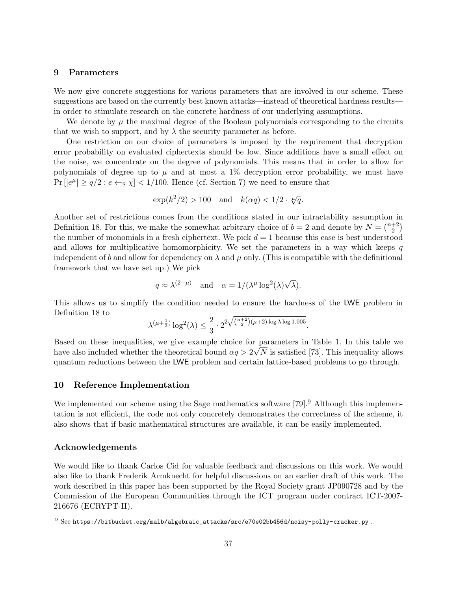# 9 Parameters

We now give concrete suggestions for various parameters that are involved in our scheme. These suggestions are based on the currently best known attacks—instead of theoretical hardness results in order to stimulate research on the concrete hardness of our underlying assumptions.

We denote by  $\mu$  the maximal degree of the Boolean polynomials corresponding to the circuits that we wish to support, and by  $\lambda$  the security parameter as before.

One restriction on our choice of parameters is imposed by the requirement that decryption error probability on evaluated ciphertexts should be low. Since additions have a small effect on the noise, we concentrate on the degree of polynomials. This means that in order to allow for polynomials of degree up to  $\mu$  and at most a 1% decryption error probability, we must have  $Pr[|e^{\mu}| \geq q/2 : e \leftarrow_{\$} \chi] < 1/100.$  Hence (cf. Section 7) we need to ensure that

$$
\exp(k^2/2) > 100 \quad \text{and} \quad k(\alpha q) < 1/2 \cdot \sqrt[n]{q}.
$$

Another set of restrictions comes from the conditions stated in our intractability assumption in Definition 18. For this, we make the somewhat arbitrary choice of  $b = 2$  and denote by  $N = \binom{n+2}{2}$  $_{2}^{+2})$ the number of monomials in a fresh ciphertext. We pick  $d = 1$  because this case is best understood and allows for multiplicative homomorphicity. We set the parameters in a way which keeps  $q$ independent of b and allow for dependency on  $\lambda$  and  $\mu$  only. (This is compatible with the definitional framework that we have set up.) We pick

$$
q \approx \lambda^{(2+\mu)}
$$
 and  $\alpha = 1/(\lambda^{\mu} \log^2(\lambda) \sqrt{\lambda}).$ 

This allows us to simplify the condition needed to ensure the hardness of the LWE problem in Definition 18 to

$$
\lambda^{(\mu+\frac{1}{2})}\log^2(\lambda) \leq \frac{2}{3} \cdot 2^{2\sqrt{\binom{n+2}{2}(\mu+2)\log\lambda\log 1.005}}.
$$

Based on these inequalities, we give example choice for parameters in Table 1. In this table we have also included whether the theoretical bound  $\alpha q > 2\sqrt{N}$  is satisfied [73]. This inequality allows quantum reductions between the LWE problem and certain lattice-based problems to go through.

# 10 Reference Implementation

We implemented our scheme using the Sage mathematics software [79].<sup>9</sup> Although this implementation is not efficient, the code not only concretely demonstrates the correctness of the scheme, it also shows that if basic mathematical structures are available, it can be easily implemented.

# Acknowledgements

We would like to thank Carlos Cid for valuable feedback and discussions on this work. We would also like to thank Frederik Armknecht for helpful discussions on an earlier draft of this work. The work described in this paper has been supported by the Royal Society grant JP090728 and by the Commission of the European Communities through the ICT program under contract ICT-2007- 216676 (ECRYPT-II).

 $9$  See https://bitbucket.org/malb/algebraic\_attacks/src/e70e02bb456d/noisy-polly-cracker.py.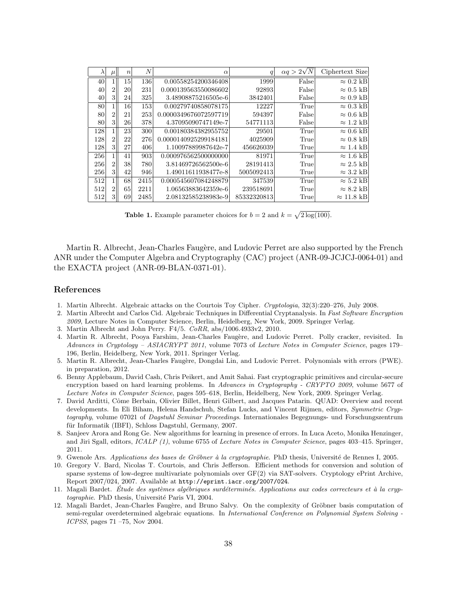| $\boldsymbol{N}$<br>$\alpha q > 2\sqrt{N}$<br>$\boldsymbol{n}$<br>$\lambda$<br>$\alpha$<br>q<br>$\mu$ | Ciphertext Size           |
|-------------------------------------------------------------------------------------------------------|---------------------------|
|                                                                                                       |                           |
| 136<br>False<br>15<br>0.00558254200346408<br>1999<br>40                                               | $\approx 0.2$ kB          |
| False<br>231<br>0.000139563550086602<br>40<br>2 <sub>1</sub><br>20<br>92893                           | $\approx 0.5 \text{ kB}$  |
| False<br>40<br>$\mathbf{R}$<br>325<br>3.48908875216505e-6<br>24<br>3842401                            | $\approx 0.9 \text{ kB}$  |
| 80<br>16<br>153<br>0.00279740858078175<br>True<br>12227                                               | $\approx 0.3 \text{ kB}$  |
| 80<br>False<br>21<br>253<br>0.0000349676072597719<br>594397<br>2                                      | $\approx 0.6 \text{ kB}$  |
| 80<br>False<br>378<br>4.37095090747149e-7<br>54771113<br>3<br>26                                      | $\approx 1.2 \text{ kB}$  |
| 23<br>True<br>128<br>0.00180384382955752<br>29501<br>300                                              | $\approx 0.6 \text{ kB}$  |
| 128<br>22<br>276<br>0.0000140925299184181<br>True<br>4025909<br>2                                     | $\approx 0.8$ kB          |
| 128<br>$\mathbf{R}$<br>27<br>406<br>1.10097889987642e-7 <br>456626039<br>True                         | $\approx 1.4 \text{ kB}$  |
| 256<br>903<br>41<br>0.000976562500000000<br>81971<br>True                                             | $\approx 1.6 \text{ kB}$  |
| 256<br>38<br>3.81469726562500e-6<br>28191413<br>True<br>780<br>$\overline{2}$                         | $\approx 2.5 \text{ kB}$  |
| 256<br>$\vert$ 3 $\vert$<br>1.49011611938477e-8<br>5005092413<br>True<br>42<br>946                    | $\approx 3.2 \text{ kB}$  |
| 512<br>68<br>2415<br>0.000545607084248879<br>347539<br>True                                           | $\approx 5.2$ kB          |
| 512<br>65<br>2211<br>239518691<br>True<br>$\overline{2}$<br>1.06563883642359e-6                       | $\approx 8.2 \text{ kB}$  |
| 512<br>2.08132585238983e-9<br>85332320813<br>True<br>69<br>2485                                       | $\approx 11.8 \text{ kB}$ |

**Table 1.** Example parameter choices for  $b = 2$  and  $k = \sqrt{2 \log(100)}$ .

Martin R. Albrecht, Jean-Charles Faugère, and Ludovic Perret are also supported by the French ANR under the Computer Algebra and Cryptography (CAC) project (ANR-09-JCJCJ-0064-01) and the EXACTA project (ANR-09-BLAN-0371-01).

## References

- 1. Martin Albrecht. Algebraic attacks on the Courtois Toy Cipher. Cryptologia, 32(3):220–276, July 2008.
- 2. Martin Albrecht and Carlos Cid. Algebraic Techniques in Differential Cryptanalysis. In Fast Software Encryption 2009, Lecture Notes in Computer Science, Berlin, Heidelberg, New York, 2009. Springer Verlag.
- 3. Martin Albrecht and John Perry. F4/5. CoRR, abs/1006.4933v2, 2010.
- 4. Martin R. Albrecht, Pooya Farshim, Jean-Charles Faugère, and Ludovic Perret. Polly cracker, revisited. In Advances in Cryptology – ASIACRYPT 2011, volume 7073 of Lecture Notes in Computer Science, pages 179– 196, Berlin, Heidelberg, New York, 2011. Springer Verlag.
- 5. Martin R. Albrecht, Jean-Charles Faugère, Dongdai Lin, and Ludovic Perret. Polynomials with errors (PWE). in preparation, 2012.
- 6. Benny Applebaum, David Cash, Chris Peikert, and Amit Sahai. Fast cryptographic primitives and circular-secure encryption based on hard learning problems. In Advances in Cryptography - CRYPTO 2009, volume 5677 of Lecture Notes in Computer Science, pages 595–618, Berlin, Heidelberg, New York, 2009. Springer Verlag.
- 7. David Arditti, Cˆome Berbain, Olivier Billet, Henri Gilbert, and Jacques Patarin. QUAD: Overview and recent developments. In Eli Biham, Helena Handschuh, Stefan Lucks, and Vincent Rijmen, editors, Symmetric Cryptography, volume 07021 of Dagstuhl Seminar Proceedings. Internationales Begegnungs- und Forschungszentrum für Informatik (IBFI), Schloss Dagstuhl, Germany, 2007.
- 8. Sanjeev Arora and Rong Ge. New algorithms for learning in presence of errors. In Luca Aceto, Monika Henzinger, and Jiri Sgall, editors, ICALP (1), volume 6755 of Lecture Notes in Computer Science, pages 403–415. Springer, 2011.
- 9. Gwenole Ars. Applications des bases de Gröbner à la cryptographie. PhD thesis, Université de Rennes I, 2005.
- 10. Gregory V. Bard, Nicolas T. Courtois, and Chris Jefferson. Efficient methods for conversion and solution of sparse systems of low-degree multivariate polynomials over GF(2) via SAT-solvers. Cryptology ePrint Archive, Report 2007/024, 2007. Available at http://eprint.iacr.org/2007/024.
- 11. Magali Bardet. Étude des systèmes algébriques surdéterminés. Applications aux codes correcteurs et à la cryptographie. PhD thesis, Université Paris VI, 2004.
- 12. Magali Bardet, Jean-Charles Faugère, and Bruno Salvy. On the complexity of Gröbner basis computation of semi-regular overdetermined algebraic equations. In International Conference on Polynomial System Solving - ICPSS, pages 71 –75, Nov 2004.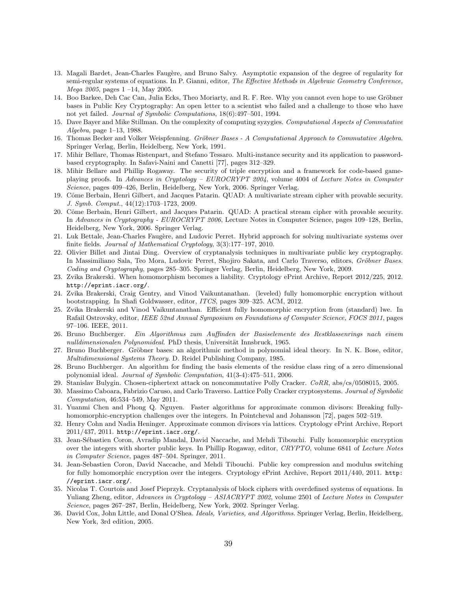- 13. Magali Bardet, Jean-Charles Faugère, and Bruno Salvy. Asymptotic expansion of the degree of regularity for semi-regular systems of equations. In P. Gianni, editor, The Effective Methods in Algebraic Geometry Conference, Mega 2005, pages 1 –14, May 2005.
- 14. Boo Barkee, Deh Cac Can, Julia Ecks, Theo Moriarty, and R. F. Ree. Why you cannot even hope to use Gröbner bases in Public Key Cryptography: An open letter to a scientist who failed and a challenge to those who have not yet failed. Journal of Symbolic Computations, 18(6):497-501, 1994.
- 15. Dave Bayer and Mike Stillman. On the complexity of computing syzygies. Computational Aspects of Commutative  $Algebra$ , page 1–13, 1988.
- 16. Thomas Becker and Volker Weispfenning. Gröbner Bases A Computational Approach to Commutative Algebra. Springer Verlag, Berlin, Heidelberg, New York, 1991.
- 17. Mihir Bellare, Thomas Ristenpart, and Stefano Tessaro. Multi-instance security and its application to passwordbased cryptography. In Safavi-Naini and Canetti [77], pages 312–329.
- 18. Mihir Bellare and Phillip Rogaway. The security of triple encryption and a framework for code-based gameplaying proofs. In Advances in Cryptology – EUROCRYPT 2004, volume 4004 of Lecture Notes in Computer Science, pages 409–426, Berlin, Heidelberg, New York, 2006. Springer Verlag.
- 19. Côme Berbain, Henri Gilbert, and Jacques Patarin. QUAD: A multivariate stream cipher with provable security. J. Symb. Comput., 44(12):1703–1723, 2009.
- 20. Côme Berbain, Henri Gilbert, and Jacques Patarin. QUAD: A practical stream cipher with provable security. In Advances in Cryptography - EUROCRYPT 2006, Lecture Notes in Computer Science, pages 109–128, Berlin, Heidelberg, New York, 2006. Springer Verlag.
- 21. Luk Bettale, Jean-Charles Faugère, and Ludovic Perret. Hybrid approach for solving multivariate systems over finite fields. Journal of Mathematical Cryptology, 3(3):177–197, 2010.
- 22. Olivier Billet and Jintai Ding. Overview of cryptanalysis techniques in multivariate public key cryptography. In Massimiliano Sala, Teo Mora, Ludovic Perret, Shojiro Sakata, and Carlo Traverso, editors, Gröbner Bases. Coding and Cryptography, pages 285–305. Springer Verlag, Berlin, Heidelberg, New York, 2009.
- 23. Zvika Brakerski. When homomorphism becomes a liability. Cryptology ePrint Archive, Report 2012/225, 2012. http://eprint.iacr.org/.
- 24. Zvika Brakerski, Craig Gentry, and Vinod Vaikuntanathan. (leveled) fully homomorphic encryption without bootstrapping. In Shafi Goldwasser, editor, ITCS, pages 309–325. ACM, 2012.
- 25. Zvika Brakerski and Vinod Vaikuntanathan. Efficient fully homomorphic encryption from (standard) lwe. In Rafail Ostrovsky, editor, IEEE 52nd Annual Symposium on Foundations of Computer Science, FOCS 2011, pages 97–106. IEEE, 2011.
- 26. Bruno Buchberger. Ein Algorithmus zum Auffinden der Basiselemente des Restklassenrings nach einem nulldimensionalen Polynomideal. PhD thesis, Universität Innsbruck, 1965.
- 27. Bruno Buchberger. Gröbner bases: an algorithmic method in polynomial ideal theory. In N. K. Bose, editor, Multidimensional Systems Theory. D. Reidel Publishing Company, 1985.
- 28. Bruno Buchberger. An algorithm for finding the basis elements of the residue class ring of a zero dimensional polynomial ideal. Journal of Symbolic Computation, 41(3-4):475–511, 2006.
- 29. Stanislav Bulygin. Chosen-ciphertext attack on noncommutative Polly Cracker. CoRR, abs/cs/0508015, 2005.
- 30. Massimo Caboara, Fabrizio Caruso, and Carlo Traverso. Lattice Polly Cracker cryptosystems. Journal of Symbolic Computation, 46:534–549, May 2011.
- 31. Yuanmi Chen and Phong Q. Nguyen. Faster algorithms for approximate common divisors: Breaking fullyhomomorphic-encryption challenges over the integers. In Pointcheval and Johansson [72], pages 502–519.
- 32. Henry Cohn and Nadia Heninger. Approximate common divisors via lattices. Cryptology ePrint Archive, Report 2011/437, 2011. http://eprint.iacr.org/.
- 33. Jean-S´ebastien Coron, Avradip Mandal, David Naccache, and Mehdi Tibouchi. Fully homomorphic encryption over the integers with shorter public keys. In Phillip Rogaway, editor, CRYPTO, volume 6841 of Lecture Notes in Computer Science, pages 487–504. Springer, 2011.
- 34. Jean-Sebastien Coron, David Naccache, and Mehdi Tibouchi. Public key compression and modulus switching for fully homomorphic encryption over the integers. Cryptology ePrint Archive, Report 2011/440, 2011. http: //eprint.iacr.org/.
- 35. Nicolas T. Courtois and Josef Pieprzyk. Cryptanalysis of block ciphers with overdefined systems of equations. In Yuliang Zheng, editor, Advances in Cryptology – ASIACRYPT 2002, volume 2501 of Lecture Notes in Computer Science, pages 267–287, Berlin, Heidelberg, New York, 2002. Springer Verlag.
- 36. David Cox, John Little, and Donal O'Shea. Ideals, Varieties, and Algorithms. Springer Verlag, Berlin, Heidelberg, New York, 3rd edition, 2005.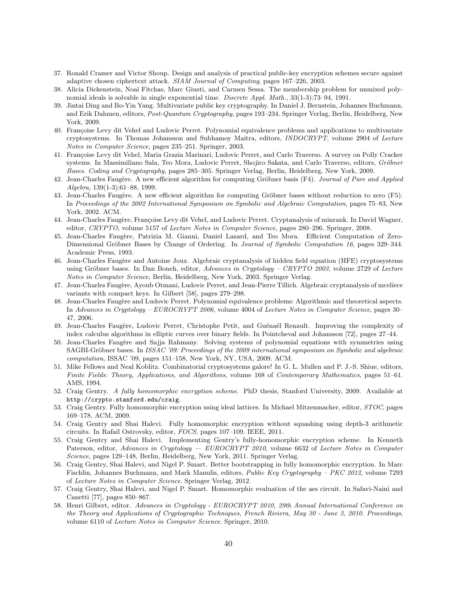- 37. Ronald Cramer and Victor Shoup. Design and analysis of practical public-key encryption schemes secure against adaptive chosen ciphertext attack. SIAM Journal of Computing, pages 167–226, 2003.
- 38. Alicia Dickenstein, Noaï Fitchas, Marc Giusti, and Carmen Sessa. The membership problem for unmixed polynomial ideals is solvable in single exponential time. Discrete Appl. Math., 33(1-3):73–94, 1991.
- 39. Jintai Ding and Bo-Yin Yang. Multivariate public key cryptography. In Daniel J. Bernstein, Johannes Buchmann, and Erik Dahmen, editors, Post-Quantum Cryptography, pages 193–234. Springer Verlag, Berlin, Heidelberg, New York, 2009.
- 40. Françoise Levy dit Vehel and Ludovic Perret. Polynomial equivalence problems and applications to multivariate cryptosystems. In Thomas Johansson and Subhamoy Maitra, editors, INDOCRYPT, volume 2904 of Lecture Notes in Computer Science, pages 235–251. Springer, 2003.
- 41. Françoise Levy dit Vehel, Maria Grazia Marinari, Ludovic Perret, and Carlo Traverso. A survey on Polly Cracker systems. In Massimiliano Sala, Teo Mora, Ludovic Perret, Shojiro Sakata, and Carlo Traverso, editors, Gröbner Bases. Coding and Cryptography, pages 285–305. Springer Verlag, Berlin, Heidelberg, New York, 2009.
- 42. Jean-Charles Faugère. A new efficient algorithm for computing Gröbner basis (F4). Journal of Pure and Applied Algebra, 139(1-3):61–88, 1999.
- 43. Jean-Charles Faugère. A new efficient algorithm for computing Gröbner bases without reduction to zero (F5). In Proceedings of the 2002 International Symposium on Symbolic and Algebraic Computation, pages 75–83, New York, 2002. ACM.
- 44. Jean-Charles Faugère, Françoise Levy dit Vehel, and Ludovic Perret. Cryptanalysis of minrank. In David Wagner, editor, CRYPTO, volume 5157 of Lecture Notes in Computer Science, pages 280–296. Springer, 2008.
- 45. Jean-Charles Faugère, Patrizia M. Gianni, Daniel Lazard, and Teo Mora. Efficient Computation of Zero-Dimensional Gröbner Bases by Change of Ordering. In *Journal of Symbolic Computation 16*, pages 329–344. Academic Press, 1993.
- 46. Jean-Charles Faugère and Antoine Joux. Algebraic cryptanalysis of hidden field equation (HFE) cryptosystems using Gröbner bases. In Dan Boneh, editor, Advances in Cryptology – CRYPTO 2003, volume 2729 of Lecture Notes in Computer Science, Berlin, Heidelberg, New York, 2003. Springer Verlag.
- 47. Jean-Charles Faugère, Ayoub Otmani, Ludovic Perret, and Jean-Pierre Tillich. Algebraic cryptanalysis of mceliece variants with compact keys. In Gilbert [58], pages 279–298.
- 48. Jean-Charles Faugère and Ludovic Perret. Polynomial equivalence problems: Algorithmic and theoretical aspects. In Advances in Cryptology – EUROCRYPT 2006, volume 4004 of Lecture Notes in Computer Science, pages 30– 47, 2006.
- 49. Jean-Charles Faugère, Ludovic Perret, Christophe Petit, and Guénaël Renault. Improving the complexity of index calculus algorithms in elliptic curves over binary fields. In Pointcheval and Johansson [72], pages 27–44.
- 50. Jean-Charles Faugère and Sajja Rahmany. Solving systems of polynomial equations with symmetries using SAGBI-Gröbner bases. In ISSAC '09: Proceedings of the 2009 international symposium on Symbolic and algebraic computation, ISSAC '09, pages 151–158, New York, NY, USA, 2009. ACM.
- 51. Mike Fellows and Neal Koblitz. Combinatorial cryptosystems galore! In G. L. Mullen and P. J.-S. Shiue, editors, Finite Fields: Theory, Applications, and Algorithms, volume 168 of Contemporary Mathematics, pages 51–61. AMS, 1994.
- 52. Craig Gentry. A fully homomorphic encryption scheme. PhD thesis, Stanford University, 2009. Available at http://crypto.stanford.edu/craig.
- 53. Craig Gentry. Fully homomorphic encryption using ideal lattices. In Michael Mitzenmacher, editor, STOC, pages 169–178. ACM, 2009.
- 54. Craig Gentry and Shai Halevi. Fully homomorphic encryption without squashing using depth-3 arithmetic circuits. In Rafail Ostrovsky, editor, FOCS, pages 107–109. IEEE, 2011.
- 55. Craig Gentry and Shai Halevi. Implementing Gentry's fully-homomorphic encryption scheme. In Kenneth Paterson, editor, Advances in Cryptology — EUROCRYPT 2010, volume 6632 of Lecture Notes in Computer Science, pages 129–148, Berlin, Heidelberg, New York, 2011. Springer Verlag.
- 56. Craig Gentry, Shai Halevi, and Nigel P. Smart. Better bootstrapping in fully homomorphic encryption. In Marc Fischlin, Johannes Buchmann, and Mark Manulis, editors, Public Key Cryptography – PKC 2012, volume 7293 of Lecture Notes in Computer Science. Springer Verlag, 2012.
- 57. Craig Gentry, Shai Halevi, and Nigel P. Smart. Homomorphic evaluation of the aes circuit. In Safavi-Naini and Canetti [77], pages 850–867.
- 58. Henri Gilbert, editor. Advances in Cryptology EUROCRYPT 2010, 29th Annual International Conference on the Theory and Applications of Cryptographic Techniques, French Riviera, May 30 - June 3, 2010. Proceedings, volume 6110 of Lecture Notes in Computer Science. Springer, 2010.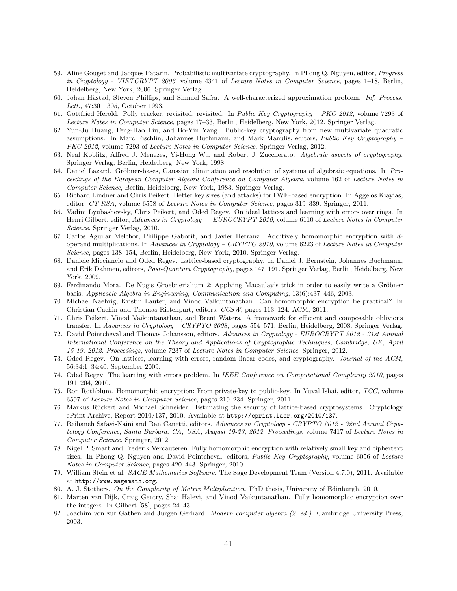- 59. Aline Gouget and Jacques Patarin. Probabilistic multivariate cryptography. In Phong Q. Nguyen, editor, Progress in Cryptology - VIETCRYPT 2006, volume 4341 of Lecture Notes in Computer Science, pages 1–18, Berlin, Heidelberg, New York, 2006. Springer Verlag.
- 60. Johan Håstad, Steven Phillips, and Shmuel Safra. A well-characterized approximation problem. Inf. Process. Lett., 47:301–305, October 1993.
- 61. Gottfried Herold. Polly cracker, revisited, revisited. In Public Key Cryptography PKC 2012, volume 7293 of Lecture Notes in Computer Science, pages 17–33, Berlin, Heidelberg, New York, 2012. Springer Verlag.
- 62. Yun-Ju Huang, Feng-Hao Liu, and Bo-Yin Yang. Public-key cryptography from new multivariate quadratic assumptions. In Marc Fischlin, Johannes Buchmann, and Mark Manulis, editors, Public Key Cryptography -PKC 2012, volume 7293 of Lecture Notes in Computer Science. Springer Verlag, 2012.
- 63. Neal Koblitz, Alfred J. Menezes, Yi-Hong Wu, and Robert J. Zuccherato. Algebraic aspects of cryptography. Springer Verlag, Berlin, Heidelberg, New York, 1998.
- 64. Daniel Lazard. Gröbner-bases, Gaussian elimination and resolution of systems of algebraic equations. In Proceedings of the European Computer Algebra Conference on Computer Algebra, volume 162 of Lecture Notes in Computer Science, Berlin, Heidelberg, New York, 1983. Springer Verlag.
- 65. Richard Lindner and Chris Peikert. Better key sizes (and attacks) for LWE-based encryption. In Aggelos Kiayias, editor, CT-RSA, volume 6558 of Lecture Notes in Computer Science, pages 319–339. Springer, 2011.
- 66. Vadim Lyubashevsky, Chris Peikert, and Oded Regev. On ideal lattices and learning with errors over rings. In Henri Gilbert, editor, Advances in Cryptology — EUROCRYPT 2010, volume 6110 of Lecture Notes in Computer Science. Springer Verlag, 2010.
- 67. Carlos Aguilar Melchor, Philippe Gaborit, and Javier Herranz. Additively homomorphic encryption with doperand multiplications. In Advances in Cryptology – CRYPTO 2010, volume 6223 of Lecture Notes in Computer Science, pages 138–154, Berlin, Heidelberg, New York, 2010. Springer Verlag.
- 68. Daniele Micciancio and Oded Regev. Lattice-based cryptography. In Daniel J. Bernstein, Johannes Buchmann, and Erik Dahmen, editors, Post-Quantum Cryptography, pages 147–191. Springer Verlag, Berlin, Heidelberg, New York, 2009.
- 69. Ferdinando Mora. De Nugis Groebnerialium 2: Applying Macaulay's trick in order to easily write a Gröbner basis. Applicable Algebra in Engineering, Communication and Computing, 13(6):437–446, 2003.
- 70. Michael Naehrig, Kristin Lauter, and Vinod Vaikuntanathan. Can homomorphic encryption be practical? In Christian Cachin and Thomas Ristenpart, editors, CCSW, pages 113–124. ACM, 2011.
- 71. Chris Peikert, Vinod Vaikuntanathan, and Brent Waters. A framework for efficient and composable oblivious transfer. In Advances in Cryptology – CRYPTO 2008, pages 554–571, Berlin, Heidelberg, 2008. Springer Verlag.
- 72. David Pointcheval and Thomas Johansson, editors. Advances in Cryptology EUROCRYPT 2012 31st Annual International Conference on the Theory and Applications of Cryptographic Techniques, Cambridge, UK, April 15-19, 2012. Proceedings, volume 7237 of Lecture Notes in Computer Science. Springer, 2012.
- 73. Oded Regev. On lattices, learning with errors, random linear codes, and cryptography. Journal of the ACM, 56:34:1–34:40, September 2009.
- 74. Oded Regev. The learning with errors problem. In IEEE Conference on Computational Complexity 2010, pages 191–204, 2010.
- 75. Ron Rothblum. Homomorphic encryption: From private-key to public-key. In Yuval Ishai, editor, TCC, volume 6597 of Lecture Notes in Computer Science, pages 219–234. Springer, 2011.
- 76. Markus R¨uckert and Michael Schneider. Estimating the security of lattice-based cryptosystems. Cryptology ePrint Archive, Report 2010/137, 2010. Available at http://eprint.iacr.org/2010/137.
- 77. Reihaneh Safavi-Naini and Ran Canetti, editors. Advances in Cryptology CRYPTO 2012 32nd Annual Cryptology Conference, Santa Barbara, CA, USA, August 19-23, 2012. Proceedings, volume 7417 of Lecture Notes in Computer Science. Springer, 2012.
- 78. Nigel P. Smart and Frederik Vercauteren. Fully homomorphic encryption with relatively small key and ciphertext sizes. In Phong Q. Nguyen and David Pointcheval, editors, Public Key Cryptography, volume 6056 of Lecture Notes in Computer Science, pages 420–443. Springer, 2010.
- 79. William Stein et al. SAGE Mathematics Software. The Sage Development Team (Version 4.7.0), 2011. Available at http://www.sagemath.org.
- 80. A. J. Stothers. On the Complexity of Matrix Multiplication. PhD thesis, University of Edinburgh, 2010.
- 81. Marten van Dijk, Craig Gentry, Shai Halevi, and Vinod Vaikuntanathan. Fully homomorphic encryption over the integers. In Gilbert [58], pages 24–43.
- 82. Joachim von zur Gathen and Jürgen Gerhard. Modern computer algebra (2. ed.). Cambridge University Press, 2003.